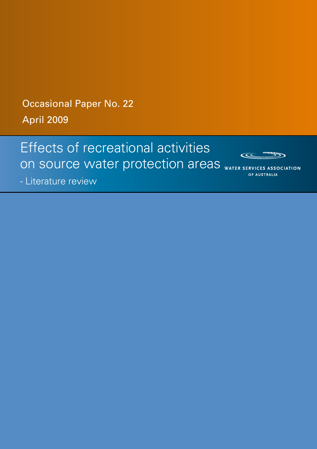Occasional Paper No. 22 April 2009

Effects of recreational activities ON SOUrce water protection areas WATER SERVICES ASSOCIATION



- Literature review

OF AUSTRALIA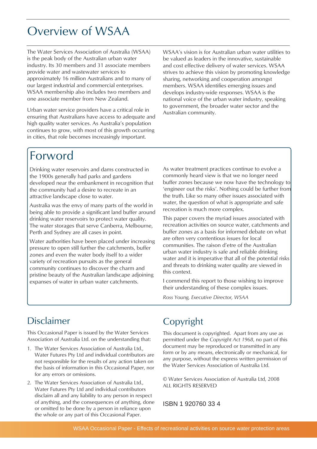# Overview of WSAA

The Water Services Association of Australia (WSAA) is the peak body of the Australian urban water industry. Its 30 members and 31 associate members provide water and wastewater services to approximately 16 million Australians and to many of our largest industrial and commercial enterprises. WSAA membership also includes two members and one associate member from New Zealand.

Urban water service providers have a critical role in ensuring that Australians have access to adequate and high quality water services. As Australia's population continues to grow, with most of this growth occurring in cities, that role becomes increasingly important.

WSAA's vision is for Australian urban water utilities to be valued as leaders in the innovative, sustainable and cost effective delivery of water services. WSAA strives to achieve this vision by promoting knowledge sharing, networking and cooperation amongst members. WSAA identifies emerging issues and develops industry-wide responses. WSAA is the national voice of the urban water industry, speaking to government, the broader water sector and the Australian community.

# Forword

Drinking water reservoirs and dams constructed in the 1900s generally had parks and gardens developed near the embankment in recognition that the community had a desire to recreate in an attractive landscape close to water.

Australia was the envy of many parts of the world in being able to provide a significant land buffer around drinking water reservoirs to protect water quality. The water storages that serve Canberra, Melbourne, Perth and Sydney are all cases in point.

Water authorities have been placed under increasing pressure to open still further the catchments, buffer zones and even the water body itself to a wider variety of recreation pursuits as the general community continues to discover the charm and pristine beauty of the Australian landscape adjoining expanses of water in urban water catchments.

As water treatment practices continue to evolve a commonly heard view is that we no longer need buffer zones because we now have the technology to 'engineer out the risks'. Nothing could be further from the truth. Like so many other issues associated with water, the question of what is appropriate and safe recreation is much more complex.

This paper covers the myriad issues associated with recreation activities on source water, catchments and buffer zones as a basis for informed debate on what are often very contentious issues for local communities. The raison d'etre of the Australian urban water industry is safe and reliable drinking water and it is imperative that all of the potential risks and threats to drinking water quality are viewed in this context.

I commend this report to those wishing to improve their understanding of these complex issues.

*Ross Young, Executive Director, WSAA*

## Disclaimer

This Occasional Paper is issued by the Water Services Association of Australia Ltd. on the understanding that:

- 1. The Water Services Association of Australia Ltd., Water Futures Pty Ltd and individual contributors are not responsible for the results of any action taken on the basis of information in this Occasional Paper, nor for any errors or omissions.
- 2. The Water Services Association of Australia Ltd., Water Futures Pty Ltd and individual contributors disclaim all and any liability to any person in respect of anything, and the consequences of anything, done or omitted to be done by a person in reliance upon the whole or any part of this Occasional Paper.

### Copyright

This document is copyrighted. Apart from any use as permitted under the *Copyright Act 1968*, no part of this document may be reproduced or transmitted in any form or by any means, electronically or mechanical, for any purpose, without the express written permission of the Water Services Association of Australia Ltd.

© Water Services Association of Australia Ltd, 2008 ALL RIGHTS RESERVED

ISBN 1 920760 33 4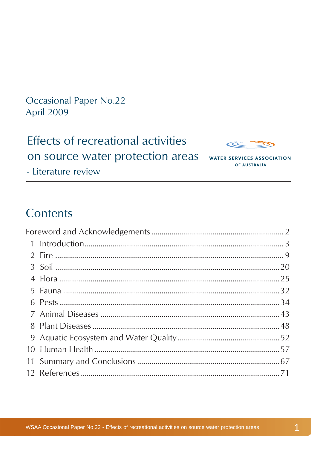**Occasional Paper No.22** April 2009

# Effects of recreational activities on source water protection areas



**WATER SERVICES ASSOCIATION** OF AUSTRALIA

- Literature review

# Contents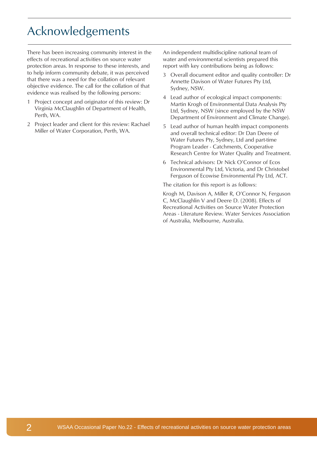# <span id="page-3-0"></span>Acknowledgements

There has been increasing community interest in the effects of recreational activities on source water protection areas. In response to these interests, and to help inform community debate, it was perceived that there was a need for the collation of relevant objective evidence. The call for the collation of that evidence was realised by the following persons:

- 1 Project concept and originator of this review: Dr Virginia McClaughlin of Department of Health, Perth, WA.
- 2 Project leader and client for this review: Rachael Miller of Water Corporation, Perth, WA.

An independent multidiscipline national team of water and environmental scientists prepared this report with key contributions being as follows:

- 3 Overall document editor and quality controller: Dr Annette Davison of Water Futures Pty Ltd, Sydney, NSW.
- 4 Lead author of ecological impact components: Martin Krogh of Environmental Data Analysis Pty Ltd, Sydney, NSW (since employed by the NSW Department of Environment and Climate Change).
- 5 Lead author of human health impact components and overall technical editor: Dr Dan Deere of Water Futures Pty, Sydney, Ltd and part-time Program Leader - Catchments, Cooperative Research Centre for Water Quality and Treatment.
- 6 Technical advisors: Dr Nick O'Connor of Ecos Environmental Pty Ltd, Victoria, and Dr Christobel Ferguson of Ecowise Environmental Pty Ltd, ACT.

The citation for this report is as follows:

Krogh M, Davison A, Miller R, O'Connor N, Ferguson C, McClaughlin V and Deere D. (2008). Effects of Recreational Activities on Source Water Protection Areas - Literature Review. Water Services Association of Australia, Melbourne, Australia.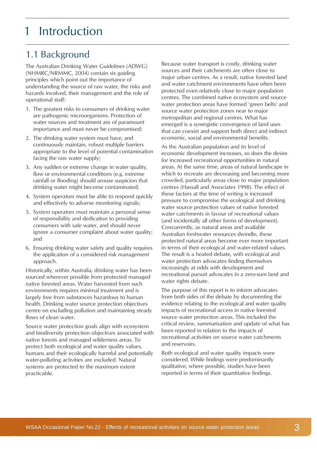# <span id="page-4-0"></span>1 Introduction

### 1.1 Background

The Australian Drinking Water Guidelines (ADWG) (NHMRC/NRMMC, 2004) contain six guiding principles which point out the importance of understanding the source of raw water, the risks and hazards involved, their management and the role of operational staff:

- 1. The greatest risks to consumers of drinking water are pathogenic microorganisms. Protection of water sources and treatment are of paramount importance and must never be compromised;
- 2. The drinking water system must have, and continuously maintain, robust multiple barriers appropriate to the level of potential contamination facing the raw water supply;
- 3. Any sudden or extreme change in water quality, flow or environmental conditions (e.g. extreme rainfall or flooding) should arouse suspicion that drinking water might become contaminated;
- 4. System operators must be able to respond quickly and effectively to adverse monitoring signals;
- 5. System operators must maintain a personal sense of responsibility and dedication to providing consumers with safe water, and should never ignore a consumer complaint about water quality; and
- 6. Ensuring drinking water safety and quality requires the application of a considered risk management approach.

Historically, within Australia, drinking water has been sourced wherever possible from protected managed native forested areas. Water harvested from such environments requires minimal treatment and is largely free from substances hazardous to human health. Drinking water source protection objectives centre on excluding pollution and maintaining steady flows of clean water.

Source water protection goals align with ecosystem and biodiversity protection objectives associated with native forests and managed wilderness areas. To protect both ecological and water quality values, humans and their ecologically harmful and potentially water-polluting activities are excluded. Natural systems are protected to the maximum extent practicable.

Because water transport is costly, drinking water sources and their catchments are often close to major urban centres. As a result, native forested land and water catchment environments have often been protected even relatively close to major population centres. The combined native ecosystem and source water protection areas have formed 'green belts' and source water protection zones near to major metropolitan and regional centres. What has emerged is a synergistic convergence of land uses that can coexist and support both direct and indirect economic, social and environmental benefits.

As the Australian population and its level of economic development increases, so does the desire for increased recreational opportunities in natural areas. At the same time, areas of natural landscape in which to recreate are decreasing and becoming more crowded, particularly areas close to major population centres (Hassall and Associates 1998). The effect of these factors at the time of writing is increased pressure to compromise the ecological and drinking water source protection values of native forested water catchments in favour of recreational values (and incidentally all other forms of development). Concurrently, as natural areas and available Australian freshwater resources dwindle, these protected natural areas become ever more important in terms of their ecological and water-related values. The result is a heated debate, with ecological and water protection advocates finding themselves increasingly at odds with development and recreational pursuit advocates in a zero-sum land and water rights debate.

The purpose of this report is to inform advocates from both sides of the debate by documenting the evidence relating to the ecological and water quality impacts of recreational access in native forested source water protection areas. This included the critical review, summarisation and update of what has been reported in relation to the impacts of recreational activities on source water catchments and reservoirs.

Both ecological and water quality impacts were considered. While findings were predominantly qualitative, where possible, studies have been reported in terms of their quantitative findings.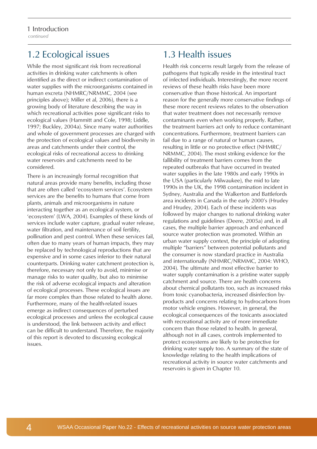#### 1.2 Ecological issues

While the most significant risk from recreational activities in drinking water catchments is often identified as the direct or indirect contamination of water supplies with the microorganisms contained in human excreta (NHMRC/NRMMC, 2004 (see principles above); Miller et al, 2006), there is a growing body of literature describing the way in which recreational activities pose significant risks to ecological values (Hammitt and Cole, 1998; Liddle, 1997; Buckley, 2004a). Since many water authorities and whole of government processes are charged with the protection of ecological values and biodiversity in areas and catchments under their control, the ecological risks of recreational access to drinking water reservoirs and catchments need to be considered.

There is an increasingly formal recognition that natural areas provide many benefits, including those that are often called 'ecosystem services'. Ecosystem services are the benefits to humans that come from plants, animals and microorganisms in nature interacting together as an ecological system, or 'ecosystem' (LWA, 2004). Examples of these kinds of services include water capture, gradual water release, water filtration, and maintenance of soil fertility, pollination and pest control. When these services fail, often due to many years of human impacts, they may be replaced by technological reproductions that are expensive and in some cases inferior to their natural counterparts. Drinking water catchment protection is, therefore, necessary not only to avoid, minimise or manage risks to water quality, but also to minimise the risk of adverse ecological impacts and alteration of ecological processes. These ecological issues are far more complex than those related to health alone. Furthermore, many of the health-related issues emerge as indirect consequences of perturbed ecological processes and unless the ecological cause is understood, the link between activity and effect can be difficult to understand. Therefore, the majority of this report is devoted to discussing ecological issues.

#### 1.3 Health issues

Health risk concerns result largely from the release of pathogens that typically reside in the intestinal tract of infected individuals. Interestingly, the more recent reviews of these health risks have been more conservative than those historical. An important reason for the generally more conservative findings of these more recent reviews relates to the observation that water treatment does not necessarily remove contaminants even when working properly. Rather, the treatment barriers act only to reduce contaminant concentrations. Furthermore, treatment barriers can fail due to a range of natural or human causes, resulting in little or no protective effect (NHMRC/ NRMMC, 2004). The most striking evidence for the fallibility of treatment barriers comes from the repeated outbreaks that have occurred in treated water supplies in the late 1980s and early 1990s in the USA (particularly Milwaukee), the mid to late 1990s in the UK, the 1998 contamination incident in Sydney, Australia and the Walkerton and Battlefords area incidents in Canada in the early 2000's (Hrudey and Hrudey, 2004). Each of these incidents was followed by major changes to national drinking water regulations and guidelines (Deere, 2005a) and, in all cases, the multiple barrier approach and enhanced source water protection was promoted. Within an urban water supply context, the principle of adopting multiple "barriers" between potential pollutants and the consumer is now standard practice in Australia and internationally (NHMRC/NRMMC, 2004: WHO, 2004). The ultimate and most effective barrier to water supply contamination is a pristine water supply catchment and source. There are health concerns about chemical pollutants too, such as increased risks from toxic cyanobacteria, increased disinfection byproducts and concerns relating to hydrocarbons from motor vehicle engines. However, in general, the ecological consequences of the toxicants associated with recreational activity are of more immediate concern than those related to health. In general, although not in all cases, controls implemented to protect ecosystems are likely to be protective for drinking water supply too. A summary of the state of knowledge relating to the health implications of recreational activity in source water catchments and reservoirs is given in Chapter 10.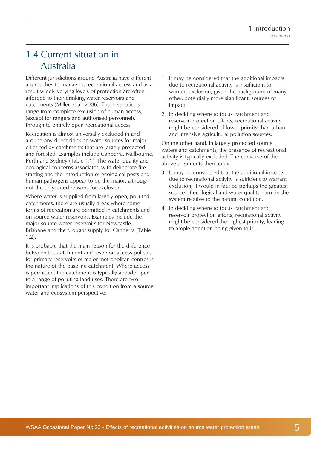### 1.4 Current situation in Australia

Different jurisdictions around Australia have different approaches to managing recreational access and as a result widely varying levels of protection are often afforded to their drinking water reservoirs and catchments (Miller et al, 2006). These variations range from complete exclusion of human access, (except for rangers and authorised personnel), through to entirely open recreational access.

Recreation is almost universally excluded in and around any direct drinking water sources for major cities fed by catchments that are largely protected and forested. Examples include Canberra, Melbourne, Perth and Sydney (Table 1.1). The water quality and ecological concerns associated with deliberate fire starting and the introduction of ecological pests and human pathogens appear to be the major, although not the only, cited reasons for exclusion.

Where water is supplied from largely open, polluted catchments, there are usually areas where some forms of recreation are permitted in catchments and on source water reservoirs. Examples include the major source water reservoirs for Newcastle, Brisbane and the drought supply for Canberra (Table 1.2).

It is probable that the main reason for the difference between the catchment and reservoir access policies for primary reservoirs of major metropolitan centres is the nature of the baseline catchment. Where access is permitted, the catchment is typically already open to a range of polluting land uses. There are two important implications of this condition from a source water and ecosystem perspective:

- 1 It may be considered that the additional impacts due to recreational activity is insufficient to warrant exclusion, given the background of many other, potentially more significant, sources of impact.
- 2 In deciding where to focus catchment and reservoir protection efforts, recreational activity might be considered of lower priority than urban and intensive agricultural pollution sources.

On the other hand, in largely protected source waters and catchments, the presence of recreational activity is typically excluded. The converse of the above arguments then apply:

- 3 It may be considered that the additional impacts due to recreational activity is sufficient to warrant exclusion; it would in fact be perhaps the greatest source of ecological and water quality harm in the system relative to the natural condition.
- 4 In deciding where to focus catchment and reservoir protection efforts, recreational activity might be considered the highest priority, leading to ample attention being given to it.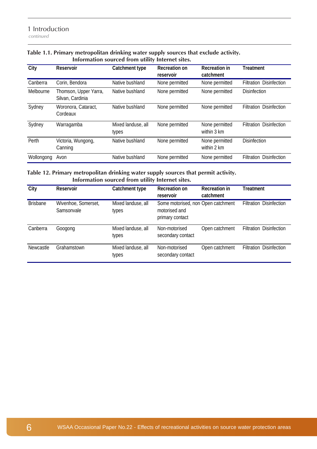#### 1 Introduction

 *continued*

#### **Table 1.1. Primary metropolitan drinking water supply sources that exclude activity. Information sourced from utility Internet sites.**

| City       | Reservoir                                 | Catchment type              | <b>Recreation on</b><br>reservoir | <b>Recreation in</b><br>catchment | <b>Treatment</b>                         |
|------------|-------------------------------------------|-----------------------------|-----------------------------------|-----------------------------------|------------------------------------------|
| Canberra   | Corin, Bendora                            | Native bushland             | None permitted                    | None permitted                    | <b>Filtration Disinfection</b>           |
| Melbourne  | Thomson, Upper Yarra,<br>Silvan, Cardinia | Native bushland             | None permitted                    | None permitted                    | <b>Disinfection</b>                      |
| Sydney     | Woronora, Cataract,<br>Cordeaux           | Native bushland             | None permitted                    | None permitted                    | <b>Disinfection</b><br><b>Filtration</b> |
| Sydney     | Warragamba                                | Mixed landuse, all<br>types | None permitted                    | None permitted<br>within 3 km     | <b>Disinfection</b><br><b>Filtration</b> |
| Perth      | Victoria, Wungong,<br>Canning             | Native bushland             | None permitted                    | None permitted<br>within 2 km     | <b>Disinfection</b>                      |
| Wollongong | Avon                                      | Native bushland             | None permitted                    | None permitted                    | <b>Disinfection</b><br>Filtration        |

#### **Table 12. Primary metropolitan drinking water supply sources that permit activity. Information sourced from utility Internet sites.**

| City             | Reservoir                         | Catchment type              | <b>Recreation on</b><br>reservoir                                      | <b>Recreation in</b><br>catchment | <b>Treatment</b>               |
|------------------|-----------------------------------|-----------------------------|------------------------------------------------------------------------|-----------------------------------|--------------------------------|
| <b>Brisbane</b>  | Wivenhoe, Somerset,<br>Samsonvale | Mixed landuse, all<br>types | Some motorised, non-Open catchment<br>motorised and<br>primary contact |                                   | <b>Filtration Disinfection</b> |
| Canberra         | Googong                           | Mixed landuse, all<br>types | Non-motorised<br>secondary contact                                     | Open catchment                    | <b>Filtration Disinfection</b> |
| <b>Newcastle</b> | Grahamstown                       | Mixed landuse, all<br>types | Non-motorised<br>secondary contact                                     | Open catchment                    | <b>Filtration Disinfection</b> |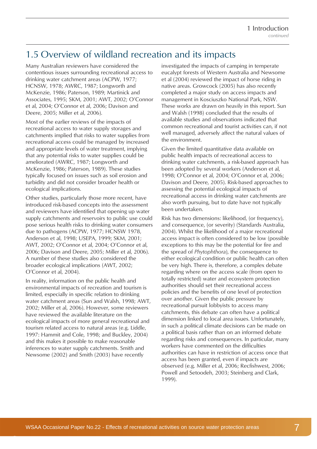## 1.5 Overview of wildland recreation and its impacts

Many Australian reviewers have considered the contentious issues surrounding recreational access to drinking water catchment areas (ACPW, 1977; HCNSW, 1978; AWRC, 1987; Longworth and McKenzie, 1986; Paterson, 1989; Martinick and Associates, 1995; SKM, 2001; AWT, 2002; O'Connor et al, 2004; O'Connor et al, 2006; Davison and Deere, 2005; Miller et al, 2006).

Most of the earlier reviews of the impacts of recreational access to water supply storages and catchments implied that risks to water supplies from recreational access could be managed by increased and appropriate levels of water treatment, implying that any potential risks to water supplies could be ameliorated (AWRC, 1987; Longworth and McKenzie, 1986; Paterson, 1989). These studies typically focused on issues such as soil erosion and turbidity and did not consider broader health or ecological implications.

Other studies, particularly those more recent, have introduced risk-based concepts into the assessment and reviewers have identified that opening up water supply catchments and reservoirs to public use could pose serious health risks to drinking water consumers due to pathogens (ACPW, 1977; HCNSW 1978, Anderson et al, 1998; USEPA, 1999; SKM, 2001; AWT, 2002; O'Connor et al, 2004; O'Connor et al, 2006; Davison and Deere, 2005; Miller et al, 2006). A number of these studies also considered the broader ecological implications (AWT, 2002; O'Connor et al, 2004).

In reality, information on the public health and environmental impacts of recreation and tourism is limited, especially in specific relation to drinking water catchment areas (Sun and Walsh, 1998; AWT, 2002; Miller et al, 2006). However, some reviewers have reviewed the available literature on the ecological impacts of more general recreational and tourism related access to natural areas (e.g. Liddle, 1997: Hammit and Cole, 1998; and Buckley, 2004) and this makes it possible to make reasonable inferences to water supply catchments. Smith and Newsome (2002) and Smith (2003) have recently

investigated the impacts of camping in temperate eucalypt forests of Western Australia and Newsome et al (2004) reviewed the impact of horse riding in native areas. Growcock (2005) has also recently completed a major study on access impacts and management in Kosciuszko National Park, NSW. These works are drawn on heavily in this report. Sun and Walsh (1998) concluded that the results of available studies and observations indicated that common recreational and tourist activities can, if not well managed, adversely affect the natural values of the environment.

Given the limited quantitative data available on public health impacts of recreational access to drinking water catchments, a risk-based approach has been adopted by several workers (Anderson et al, 1998; O'Connor et al, 2004; O'Connor et al, 2006; Davison and Deere, 2005). Risk-based approaches to assessing the potential ecological impacts of recreational access in drinking water catchments are also worth pursuing, but to date have not typically been undertaken.

Risk has two dimensions: likelihood, (or frequency), and consequence, (or severity) (Standards Australia, 2004). Whilst the likelihood of a major recreational access impact is often considered to be low (possible exceptions to this may be the potential for fire and the spread of *Phytophthora*), the consequence to either ecological condition or public health can often be very high. There is, therefore, a complex debate regarding where on the access scale (from open to totally restricted) water and ecosystem protection authorities should set their recreational access policies and the benefits of one level of protection over another. Given the public pressure by recreational pursuit lobbyists to access many catchments, this debate can often have a political dimension linked to local area issues. Unfortunately, in such a political climate decisions can be made on a political basis rather than on an informed debate regarding risks and consequences. In particular, many workers have commented on the difficulties authorities can have in restriction of access once that access has been granted, even if impacts are observed (e.g. Miller et al, 2006; Recfishwest, 2006; Powell and Setoodeh, 2003; Steinberg and Clark, 1999).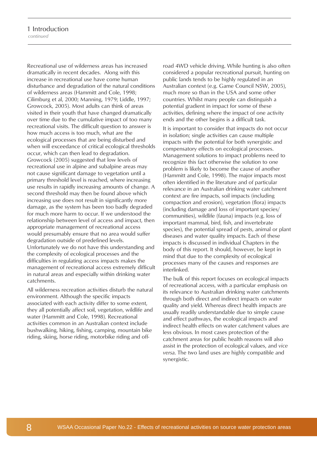Recreational use of wilderness areas has increased dramatically in recent decades. Along with this increase in recreational use have come human disturbance and degradation of the natural conditions of wilderness areas (Hammitt and Cole, 1998; Cilimburg et al, 2000; Manning, 1979; Liddle, 1997; Growcock, 2005). Most adults can think of areas visited in their youth that have changed dramatically over time due to the cumulative impact of too many recreational visits. The difficult question to answer is how much access is too much, what are the ecological processes that are being disturbed and when will exceedance of critical ecological thresholds occur, which can then lead to degradation. Growcock (2005) suggested that low levels of recreational use in alpine and subalpine areas may not cause significant damage to vegetation until a primary threshold level is reached, where increasing use results in rapidly increasing amounts of change. A second threshold may then be found above which increasing use does not result in significantly more damage, as the system has been too badly degraded for much more harm to occur. If we understood the relationship between level of access and impact, then appropriate management of recreational access would presumably ensure that no area would suffer degradation outside of predefined levels. Unfortunately we do not have this understanding and the complexity of ecological processes and the difficulties in regulating access impacts makes the management of recreational access extremely difficult in natural areas and especially within drinking water catchments.

All wilderness recreation activities disturb the natural environment. Although the specific impacts associated with each activity differ to some extent, they all potentially affect soil, vegetation, wildlife and water (Hammitt and Cole, 1998). Recreational activities common in an Australian context include bushwalking, hiking, fishing, camping, mountain bike riding, skiing, horse riding, motorbike riding and offroad 4WD vehicle driving. While hunting is also often considered a popular recreational pursuit, hunting on public lands tends to be highly regulated in an Australian context (e.g. Game Council NSW, 2005), much more so than in the USA and some other countries. Whilst many people can distinguish a potential gradient in impact for some of these activities, defining where the impact of one activity ends and the other begins is a difficult task.

It is important to consider that impacts do not occur in isolation; single activities can cause multiple impacts with the potential for both synergistic and compensatory effects on ecological processes. Management solutions to impact problems need to recognize this fact otherwise the solution to one problem is likely to become the cause of another (Hammitt and Cole, 1998). The major impacts most often identified in the literature and of particular relevance in an Australian drinking water catchment context are fire impacts, soil impacts (including compaction and erosion), vegetation (flora) impacts (including damage and loss of important species/ communities), wildlife (fauna) impacts (e.g. loss of important mammal, bird, fish, and invertebrate species), the potential spread of pests, animal or plant diseases and water quality impacts. Each of these impacts is discussed in individual Chapters in the body of this report. It should, however, be kept in mind that due to the complexity of ecological processes many of the causes and responses are interlinked.

The bulk of this report focuses on ecological impacts of recreational access, with a particular emphasis on its relevance to Australian drinking water catchments through both direct and indirect impacts on water quality and yield. Whereas direct health impacts are usually readily understandable due to simple cause and effect pathways, the ecological impacts and indirect health effects on water catchment values are less obvious. In most cases protection of the catchment areas for public health reasons will also assist in the protection of ecological values, and *vice versa*. The two land uses are highly compatible and synergistic.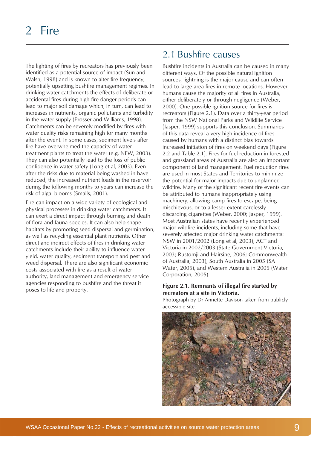<span id="page-10-0"></span>The lighting of fires by recreators has previously been identified as a potential source of impact (Sun and Walsh, 1998) and is known to alter fire frequency, potentially upsetting bushfire management regimes. In drinking water catchments the effects of deliberate or accidental fires during high fire danger periods can lead to major soil damage which, in turn, can lead to increases in nutrients, organic pollutants and turbidity in the water supply (Prosser and Williams, 1998). Catchments can be severely modified by fires with water quality risks remaining high for many months after the event. In some cases, sediment levels after fire have overwhelmed the capacity of water treatment plants to treat the water (e.g. NEW, 2003). They can also potentially lead to the loss of public confidence in water safety (Long et al, 2003). Even after the risks due to material being washed in have reduced, the increased nutrient loads in the reservoir during the following months to years can increase the risk of algal blooms (Smalls, 2001).

Fire can impact on a wide variety of ecological and physical processes in drinking water catchments. It can exert a direct impact through burning and death of flora and fauna species. It can also help shape habitats by promoting seed dispersal and germination, as well as recycling essential plant nutrients. Other direct and indirect effects of fires in drinking water catchments include their ability to influence water yield, water quality, sediment transport and pest and weed dispersal. There are also significant economic costs associated with fire as a result of water authority, land management and emergency service agencies responding to bushfire and the threat it poses to life and property.

#### 2.1 Bushfire causes

Bushfire incidents in Australia can be caused in many different ways. Of the possible natural ignition sources, lightning is the major cause and can often lead to large area fires in remote locations. However, humans cause the majority of all fires in Australia, either deliberately or through negligence (Weber, 2000). One possible ignition source for fires is recreators (Figure 2.1). Data over a thirty-year period from the NSW National Parks and Wildlife Service (Jasper, 1999) supports this conclusion. Summaries of this data reveal a very high incidence of fires caused by humans with a distinct bias towards increased initiation of fires on weekend days (Figure 2.2 and Table 2.1). Fires for fuel reduction in forested and grassland areas of Australia are also an important component of land management. Fuel reduction fires are used in most States and Territories to minimize the potential for major impacts due to unplanned wildfire. Many of the significant recent fire events can be attributed to humans inappropriately using machinery, allowing camp fires to escape, being mischievous, or to a lesser extent carelessly discarding cigarettes (Weber, 2000; Jasper, 1999). Most Australian states have recently experienced major wildfire incidents, including some that have severely affected major drinking water catchments: NSW in 2001/2002 (Long et al, 2003), ACT and Victoria in 2002/2003 (State Government Victoria, 2003; Rustomji and Hairsine, 2006; Commonwealth of Australia, 2003), South Australia in 2005 (SA Water, 2005), and Western Australia in 2005 (Water Corporation, 2005).

#### **Figure 2.1. Remnants of illegal fire started by recreators at a site in Victoria.**

Photograph by Dr Annette Davison taken from publicly accessible site.

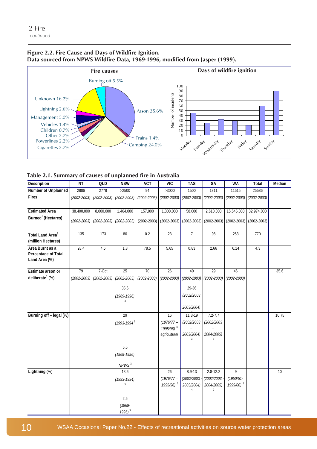

#### **Figure 2.2. Fire Cause and Days of Wildfire Ignition. Data sourced from NPWS Wildfire Data, 1969-1996, modified from Jasper (1999).**

|  |  |  | Table 2.1. Summary of causes of unplanned fire in Australia |  |  |  |
|--|--|--|-------------------------------------------------------------|--|--|--|
|--|--|--|-------------------------------------------------------------|--|--|--|

| <b>Description</b>             | $\overline{\text{NT}}$ | QLD             | <b>NSW</b>              | <b>ACT</b>      | $\overline{VIC}$      | <b>TAS</b>      | $\overline{\text{SA}}$ | <b>WA</b>             | <b>Total</b>    | Median |
|--------------------------------|------------------------|-----------------|-------------------------|-----------------|-----------------------|-----------------|------------------------|-----------------------|-----------------|--------|
| <b>Number of Unplanned</b>     | 2886                   | 2778            | >2500                   | 94              | >3000                 | 1500            | 1311                   | 11515                 | 25586           |        |
| First <sup>1</sup>             | $(2002 - 2003)$        | $(2002 - 2003)$ | $(2002 - 2003)$         | $(2002 - 2003)$ | $(2002 - 2003)$       | $(2002 - 2003)$ | $(2002 - 2003)$        | $(2002 - 2003)$       | $(2002 - 2003)$ |        |
|                                |                        |                 |                         |                 |                       |                 |                        |                       |                 |        |
| <b>Estimated Area</b>          | 38,400,000             | 8,000,000       | 1,464,000               | 157,000         | 1,300,000             | 58,000          | 2,610,000              | 15,545,000            | 32,974,000      |        |
| Burned <sup>1</sup> (Hectares) | $(2002 - 2003)$        | $(2002 - 2003)$ | $(2002 - 2003)$         | $(2002 - 2003)$ | $(2002 - 2003)$       | $(2002 - 2003)$ | $(2002 - 2003)$        | $(2002 - 2003)$       | $(2002 - 2003)$ |        |
|                                |                        |                 |                         |                 |                       |                 |                        |                       |                 |        |
| Total Land Area <sup>2</sup>   | 135                    | 173             | $80\,$                  | 0.2             | 23                    | $\overline{7}$  | 98                     | 253                   | 770             |        |
| (million Hectares)             |                        |                 |                         |                 |                       |                 |                        |                       |                 |        |
| Area Burnt as a                | 28.4                   | 4.6             | 1.8                     | 78.5            | 5.65                  | 0.83            | 2.66                   | 6.14                  | 4.3             |        |
| Percentage of Total            |                        |                 |                         |                 |                       |                 |                        |                       |                 |        |
| Land Area (%)                  |                        |                 |                         |                 |                       |                 |                        |                       |                 |        |
|                                | $\overline{79}$        |                 |                         |                 |                       |                 |                        |                       |                 |        |
| Estimate arson or              |                        | $7-Oct$         | $\overline{25}$         | 70              | 26                    | 40              | 29                     | 46                    |                 | 35.6   |
| deliberate <sup>1</sup> (%)    | $(2002 - 2003)$        | $(2002 - 2003)$ | $(2002 - 2003)$         | $(2002 - 2003)$ | $(2002 - 2003)$       | $(2002 - 2003)$ | $(2002 - 2003)$        | $(2002 - 2003)$       |                 |        |
|                                |                        |                 | 35.6                    |                 |                       | 29-36           |                        |                       |                 |        |
|                                |                        |                 | $(1969 - 1996)$         |                 |                       | (2002/2003      |                        |                       |                 |        |
|                                |                        |                 |                         |                 |                       |                 |                        |                       |                 |        |
|                                |                        |                 |                         |                 |                       | 2003/2004)      |                        |                       |                 |        |
| Burning off - legal (%)        |                        |                 | 29                      |                 | $\overline{16}$       | $11.3 - 19$     | $7.2 - 7.7$            |                       |                 | 10.75  |
|                                |                        |                 | (1993-1994 <sup>5</sup> |                 | $(1976/77 -$          | (2002/2003      | (2002/2003             |                       |                 |        |
|                                |                        |                 |                         |                 | 1995/96) <sup>6</sup> |                 |                        |                       |                 |        |
|                                |                        |                 |                         |                 | agricultural          | 2003/2004)      | 2004/2005)             |                       |                 |        |
|                                |                        |                 |                         |                 |                       |                 |                        |                       |                 |        |
|                                |                        |                 | 5.5                     |                 |                       |                 |                        |                       |                 |        |
|                                |                        |                 | $(1969 - 1996)$         |                 |                       |                 |                        |                       |                 |        |
|                                |                        |                 | NPWS <sup>3</sup>       |                 |                       |                 |                        |                       |                 |        |
| Lightning (%)                  |                        |                 | 13.6                    |                 | 26                    | 8.9-13          | $2.8 - 12.2$           | 9                     |                 | 10     |
|                                |                        |                 | $(1993 - 1994)$         |                 | $(1976/77 -$          | (2002/2003      | $(2002/2003 -$         | $(1950/51 -$          |                 |        |
|                                |                        |                 |                         |                 | 1995/96) <sup>6</sup> | 2003/2004)      | 2004/2005)             | 1999/00) <sup>8</sup> |                 |        |
|                                |                        |                 |                         |                 |                       |                 |                        |                       |                 |        |
|                                |                        |                 | 2.6                     |                 |                       |                 |                        |                       |                 |        |
|                                |                        |                 | $(1969 -$               |                 |                       |                 |                        |                       |                 |        |
|                                |                        |                 | $1996)^{3}$             |                 |                       |                 |                        |                       |                 |        |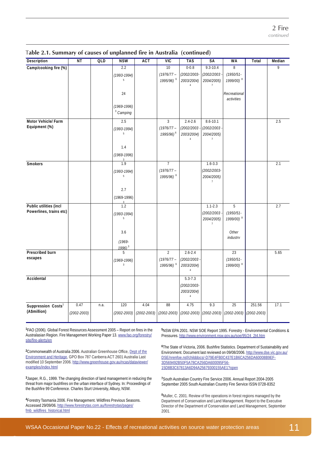#### 2 Fire  *continued*

| <b>Description</b>                                | $\overline{\text{NT}}$  | QLD  | <b>NSW</b>                             | ACT                     | <b>VIC</b>                                              | <b>TAS</b>                                               | $\overline{\text{SA}}$                                      | <b>WA</b>                                   | Total                     | Median |
|---------------------------------------------------|-------------------------|------|----------------------------------------|-------------------------|---------------------------------------------------------|----------------------------------------------------------|-------------------------------------------------------------|---------------------------------------------|---------------------------|--------|
| Camp/cooking fire (%)                             |                         |      | 2.2<br>$(1993 - 1994)$                 |                         | 10<br>$(1976/77 -$<br>1995/96) <sup>6</sup>             | $0 - 0.8$<br>(2002/2003-<br>2003/2004)<br>$\overline{4}$ | $9.3 - 10.4$<br>(2002/2003<br>2004/2005)<br>$\overline{7}$  | 8<br>$(1950/51 -$<br>1999/00) <sup>8</sup>  |                           | 9      |
|                                                   |                         |      | 24                                     |                         |                                                         |                                                          |                                                             | Recreational<br>activities                  |                           |        |
|                                                   |                         |      | $(1969 - 1996)$<br>$3$ Camping         |                         |                                                         |                                                          |                                                             |                                             |                           |        |
| Motor Vehicle/ Farm<br>Equipment (%)              |                         |      | 2.5<br>$(1993 - 1994)$                 |                         | 3<br>$(1976/77 -$<br>1995/96) <sup>6</sup>              | $2.4 - 2.6$<br>(2002/2003<br>2003/2004)                  | $8.6 - 10.1$<br>(2002/2003)<br>2004/2005)<br>$\overline{7}$ |                                             |                           | 2.5    |
|                                                   |                         |      | 1.4<br>$(1969 - 1996)$                 |                         |                                                         |                                                          |                                                             |                                             |                           |        |
| Smokers                                           |                         |      | 1.9<br>$(1993 - 1994)$<br>5            |                         | $\overline{7}$<br>$(1976/77 -$<br>1995/96) 6            |                                                          | $1.6 - 3.3$<br>(2002/2003-<br>2004/2005)<br>$\overline{7}$  |                                             |                           | 2.1    |
|                                                   |                         |      | 2.7<br>$(1969 - 1996)$                 |                         |                                                         |                                                          |                                                             |                                             |                           |        |
| Public utilities (incl<br>Powerlines, trains etc) |                         |      | $\frac{3}{1.2}$<br>$(1993 - 1994)$     |                         |                                                         |                                                          | $1.1 - 2.3$<br>(2002/2003<br>2004/2005)                     | 5<br>$(1950/51 -$<br>1999/00) 8             |                           | 2.7    |
|                                                   |                         |      | 3.6<br>$(1969 -$<br>$1996)^{3}$        |                         |                                                         |                                                          |                                                             | Other<br>industrv                           |                           |        |
| Prescribed burn<br>escapes                        |                         |      | 5<br>$(1969 - 1996)$<br>$\overline{3}$ |                         | $\overline{2}$<br>$(1976/77 -$<br>1995/96) <sup>6</sup> | $2.6 - 2.4$<br>(2002/2003<br>2003/2004)                  |                                                             | 23<br>$(1950/51 -$<br>1999/00) <sup>8</sup> |                           | 5.65   |
| Accidental                                        |                         |      |                                        |                         |                                                         | $5.3 - 7.3$<br>(2002/2003-<br>2003/2004)                 |                                                             |                                             |                           |        |
| Suppression Costs <sup>1</sup><br>(A\$million)    | 0.47<br>$(2002 - 2003)$ | n.a. | 120<br>$(2002 - 2003)$                 | 4.04<br>$(2002 - 2003)$ | 88<br>$(2002 - 2003)$                                   | 4.75<br>$(2002 - 2003)$                                  | 9.3<br>$(2002 - 2003)$                                      | 25<br>$(2002 - 2003)$                       | 251.56<br>$(2002 - 2003)$ | 17.1   |

#### T**able 2.1. Summary of causes of unplanned fire in Australia (continued)**

**<sup>1</sup>**FAO (2006). Global Forest Resources Assessment 2005 – Report on fires in the Australasian Region. Fire Management Working Paper 13. www.fao.org/forestry/ site/fire-alerts/en

**<sup>2</sup>**Commonwealth of Australia 2006. Australian Greenhouse Office, Dept of the Environment and Heritage, GPO Box 787 Canberra ACT 2601 Australia Last modified 10 September 2006. http://www.greenhouse.gov.au/ncas/dataviewer/ examples/index.html

**<sup>3</sup>**Jasper, R.G., 1999. The changing direction of land management in reducing the threat from major bushfires on the urban interface of Sydney. In: Proceedings of the Bushfire 99 Conference. Charles Sturt University, Albury, NSW.

**<sup>4</sup>**Forestry Tasmania 2006. Fire Management. Wildfires Previous Seasons. Accessed 29/09/06. http://www.forestrytas.com.au/forestrytas/pages/ fmb\_wildfires\_historical.html

**<sup>5</sup>**NSW EPA 2001. NSW SOE Report 1995. Forestry - Environmental Conditions & Pressures. http://www.environment.nsw.gov.au/soe/95/24\_2t4.htm

**<sup>6</sup>**The State of Victoria, 2006. Bushfire Statistics. Department of Sustainability and Environment. Document last reviewed on 09/08/2006. http://www.dse.vic.gov.au/ DSE/nrenfoe.nsf/childdocs/-D79E4FB0C437E1B6CA256DA60008B9EF-3D569492B50F5A78CA256DA600095F56- 15D8B3C67813A6D94A25679300155AE1?open

**<sup>7</sup>**South Australian Country Fire Service 2006. Annual Report 2004-2005 September 2005 South Australian Country Fire Service ISSN 0728-8352

**<sup>8</sup>**Muller, C. 2001. Review of fire operations in forest regions managed by the Department of Conservation and Land Management. Report to the Executive Director of the Department of Conservation and Land Management, September 2001.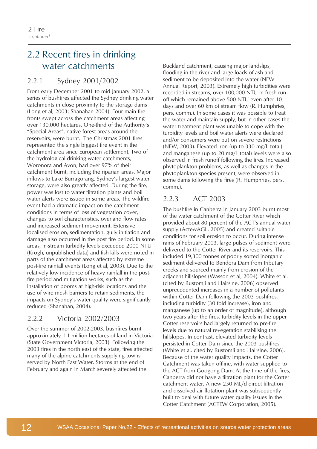## 2.2 Recent fires in drinking water catchments

#### 2.2.1 Sydney 2001/2002

From early December 2001 to mid January 2002, a series of bushfires affected the Sydney drinking water catchments in close proximity to the storage dams (Long et al, 2003; Shanahan 2004). Four main fire fronts swept across the catchment areas affecting over 130,000 hectares. One-third of the Authority's "Special Areas", native forest areas around the reservoirs, were burnt. The Christmas 2001 fires represented the single biggest fire event in the catchment area since European settlement. Two of the hydrological drinking water catchments, Woronora and Avon, had over 97% of their catchment burnt, including the riparian areas. Major inflows to Lake Burragorang, Sydney's largest water storage, were also greatly affected. During the fire, power was lost to water filtration plants and boil water alerts were issued in some areas. The wildfire event had a dramatic impact on the catchment conditions in terms of loss of vegetation cover, changes to soil characteristics, overland flow rates and increased sediment movement. Extensive localised erosion, sedimentation, gully initiation and damage also occurred in the post fire period. In some areas, in-stream turbidity levels exceeded 2000 NTU (Krogh, unpublished data) and fish kills were noted in parts of the catchment areas affected by extreme post-fire rainfall events (Long et al, 2003). Due to the relatively low incidence of heavy rainfall in the postfire period and mitigation works, such as the installation of booms at high-risk locations and the use of wire mesh barriers to retain sediments, the impacts on Sydney's water quality were significantly reduced (Shanahan, 2004).

#### 2.2.2 Victoria 2002/2003

Over the summer of 2002-2003, bushfires burnt approximately 1.1 million hectares of land in Victoria (State Government Victoria, 2003). Following the 2003 fires in the north east of the state, fires affected many of the alpine catchments supplying towns served by North East Water. Storms at the end of February and again in March severely affected the

Buckland catchment, causing major landslips, flooding in the river and large loads of ash and sediment to be deposited into the water (NEW Annual Report, 2003). Extremely high turbidities were recorded in streams, over 100,000 NTU in fresh run off which remained above 500 NTU even after 10 days and over 60 km of stream flow (R. Humphries, pers. comm.). In some cases it was possible to treat the water and maintain supply, but in other cases the water treatment plant was unable to cope with the turbidity levels and boil water alerts were declared and/or consumers were put on severe restrictions (NEW, 2003). Elevated iron (up to 330 mg/L total) and manganese (up to 20 mg/L total) levels were also observed in fresh runoff following the fires. Increased phytoplankton problems, as well as changes in the phytoplankton species present, were observed in some dams following the fires (R. Humphries, pers. comm.).

#### 2.2.3 ACT 2003

The bushfire in Canberra in January 2003 burnt most of the water catchment of the Cotter River which provided about 80 percent of the ACT's annual water supply (ActewAGL, 2005) and created suitable conditions for soil erosion to occur. During intense rains of February 2003, large pulses of sediment were delivered to the Cotter River and its reservoirs. This included 19,300 tonnes of poorly sorted inorganic sediment delivered to Bendora Dam from tributary creeks and sourced mainly from erosion of the adjacent hillslopes (Wasson et al, 2004). White et al. (cited by Rustomji and Hairsine, 2006) observed unprecedented increases in a number of pollutants within Cotter Dam following the 2003 bushfires, including turbidity (30 fold increase), iron and manganese (up to an order of magnitude), although two years after the fires, turbidity levels in the upper Cotter reservoirs had largely returned to pre-fire levels due to natural revegetation stabilising the hillslopes. In contrast, elevated turbidity levels persisted in Cotter Dam since the 2003 bushfires (White et al. cited by Rustomji and Hairsine, 2006). Because of the water quality impacts, the Cotter Catchment was taken offline, with water supplied to the ACT from Googong Dam. At the time of the fires, Canberra did not have a filtration plant for the Cotter catchment water. A new 250 ML/d direct filtration and dissolved air flotation plant was subsequently built to deal with future water quality issues in the Cotter Catchment (ACTEW Corporation, 2005).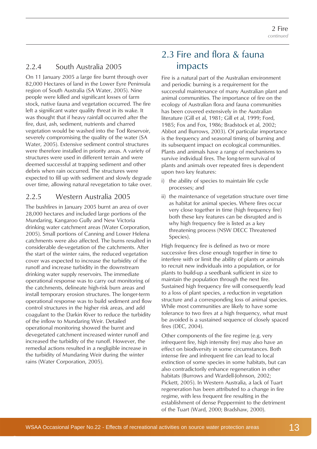#### 2.2.4 South Australia 2005

On 11 January 2005 a large fire burnt through over 82,000 Hectares of land in the Lower Eyre Peninsula region of South Australia (SA Water, 2005). Nine people were killed and significant losses of farm stock, native fauna and vegetation occurred. The fire left a significant water quality threat in its wake. It was thought that if heavy rainfall occurred after the fire, dust, ash, sediment, nutrients and charred vegetation would be washed into the Tod Reservoir, severely compromising the quality of the water (SA Water, 2005). Extensive sediment control structures were therefore installed in priority areas. A variety of structures were used in different terrain and were deemed successful at trapping sediment and other debris when rain occurred. The structures were expected to fill up with sediment and slowly degrade over time, allowing natural revegetation to take over.

#### 2.2.5 Western Australia 2005

The bushfires in January 2005 burnt an area of over 28,000 hectares and included large portions of the Mundaring, Kangaroo Gully and New Victoria drinking water catchment areas (Water Corporation, 2005). Small portions of Canning and Lower Helena catchments were also affected. The burns resulted in considerable de-vegetation of the catchments. After the start of the winter rains, the reduced vegetation cover was expected to increase the turbidity of the runoff and increase turbidity in the downstream drinking water supply reservoirs. The immediate operational response was to carry out monitoring of the catchments, delineate high-risk burn areas and install temporary erosion structures. The longer-term operational response was to build sediment and flow control structures in the higher risk areas, and add coagulant to the Darkin River to reduce the turbidity of the inflow to Mundaring Weir. Detailed operational monitoring showed the burnt and devegetated catchment increased winter runoff and increased the turbidity of the runoff. However, the remedial actions resulted in a negligible increase in the turbidity of Mundaring Weir during the winter rains (Water Corporation, 2005).

## 2.3 Fire and flora & fauna impacts

Fire is a natural part of the Australian environment and periodic burning is a requirement for the successful maintenance of many Australian plant and animal communities. The importance of fire on the ecology of Australian flora and fauna communities has been covered extensively in the Australian literature (Gill et al, 1981; Gill et al, 1999; Ford, 1985; Fox and Fox, 1986; Bradstock et al, 2002; Abbot and Burrows, 2003). Of particular importance is the frequency and seasonal timing of burning and its subsequent impact on ecological communities. Plants and animals have a range of mechanisms to survive individual fires. The long-term survival of plants and animals over repeated fires is dependent upon two key features:

- i) the ability of species to maintain life cycle processes; and
- ii) the maintenance of vegetation structure over time as habitat for animal species. Where fires occur very close together in time (high frequency fire) both these key features can be disrupted and is why high frequency fire is listed as a key threatening process (NSW DECC Threatened Species).

High frequency fire is defined as two or more successive fires close enough together in time to interfere with or limit the ability of plants or animals to recruit new individuals into a population, or for plants to build-up a seedbank sufficient in size to maintain the population through the next fire. Sustained high frequency fire will consequently lead to a loss of plant species, a reduction in vegetation structure and a corresponding loss of animal species. While most communities are likely to have some tolerance to two fires at a high frequency, what must be avoided is a sustained sequence of closely spaced fires (DEC, 2004).

Other components of the fire regime (e.g. very infrequent fire, high intensity fire) may also have an effect on biodiversity in some circumstances. Both intense fire and infrequent fire can lead to local extinction of some species in some habitats, but can also contradictorily enhance regeneration in other habitats (Burrows and Wardell-Johnson, 2002; Pickett, 2005). In Western Australia, a lack of Tuart regeneration has been attributed to a change in fire regime, with less frequent fire resulting in the establishment of dense Peppermint to the detriment of the Tuart (Ward, 2000; Bradshaw, 2000).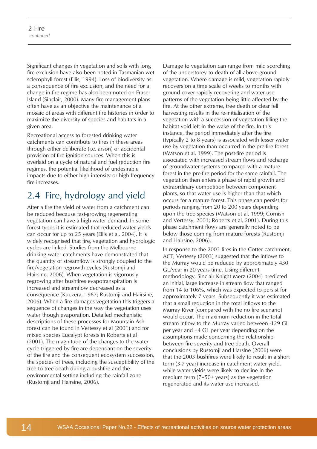Significant changes in vegetation and soils with long fire exclusion have also been noted in Tasmanian wet sclerophyll forest (Ellis, 1994). Loss of biodiversity as a consequence of fire exclusion, and the need for a change in fire regime has also been noted on Fraser Island (Sinclair, 2000). Many fire management plans often have as an objective the maintenance of a mosaic of areas with different fire histories in order to maximize the diversity of species and habitats in a given area.

Recreational access to forested drinking water catchments can contribute to fires in these areas through either deliberate (i.e. arson) or accidental provision of fire ignition sources. When this is overlaid on a cycle of natural and fuel reduction fire regimes, the potential likelihood of undesirable impacts due to either high intensity or high frequency fire increases.

### 2.4 Fire, hydrology and yield

After a fire the yield of water from a catchment can be reduced because fast-growing regenerating vegetation can have a high water demand. In some forest types it is estimated that reduced water yields can occur for up to 25 years (Ellis et al, 2004). It is widely recognised that fire, vegetation and hydrologic cycles are linked. Studies from the Melbourne drinking water catchments have demonstrated that the quantity of streamflow is strongly coupled to the fire/vegetation regrowth cycles (Rustomji and Hairsine, 2006). When vegetation is vigorously regrowing after bushfires evapotranspiration is increased and streamflow decreased as a consequence (Kuczera, 1987; Rustomji and Hairsine, 2006). When a fire damages vegetation this triggers a sequence of changes in the way the vegetation uses water though evaporation. Detailed mechanistic descriptions of these processes for Mountain Ash forest can be found in Vertessy et al (2001) and for mixed species Eucalypt forests in Roberts et al (2001). The magnitude of the changes to the water cycle triggered by fire are dependant on the severity of the fire and the consequent ecosystem succession, the species of trees, including the susceptibility of the tree to tree death during a bushfire and the environmental setting including the rainfall zone (Rustomji and Hairsine, 2006).

Damage to vegetation can range from mild scorching of the understorey to death of all above ground vegetation. Where damage is mild, vegetation rapidly recovers on a time scale of weeks to months with ground cover rapidly recovering and water use patterns of the vegetation being little affected by the fire. At the other extreme, tree death or clear fell harvesting results in the re-initialisation of the vegetation with a succession of vegetation filling the habitat void left in the wake of the fire. In this instance, the period immediately after the fire (typically 2 to 8 years) is associated with lesser water use by vegetation than occurred in the pre-fire forest (Watson et al, 1999). The post-fire period is associated with increased stream flows and recharge of groundwater systems compared with a mature forest in the pre-fire period for the same rainfall. The vegetation then enters a phase of rapid growth and extraordinary competition between component plants, so that water use is higher than that which occurs for a mature forest. This phase can persist for periods ranging from 20 to 200 years depending upon the tree species (Watson et al, 1999; Cornish and Vertessy, 2001; Roberts et al, 2001). During this phase catchment flows are generally noted to be below those coming from mature forests (Rustomji and Hairsine, 2006).

In response to the 2003 fires in the Cotter catchment, ACT, Vertessy (2003) suggested that the inflows to the Murray would be reduced by approximately 430 GL/year in 20 years time. Using different methodology, Sinclair Knight Merz (2004) predicted an initial, large increase in stream flow that ranged from 14 to 106%, which was expected to persist for approximately 7 years. Subsequently it was estimated that a small reduction in the total inflows to the Murray River (compared with the no fire scenario) would occur. The maximum reduction in the total stream inflow to the Murray varied between -129 GL per year and +4 GL per year depending on the assumptions made concerning the relationship between fire severity and tree death. Overall conclusions by Rustomji and Harsine (2006) were that the 2003 bushfires were likely to result in a short term (3-7 year) increase in catchment water yield, while water yields were likely to decline in the medium term (7–50+ years) as the vegetation regenerated and its water use increased.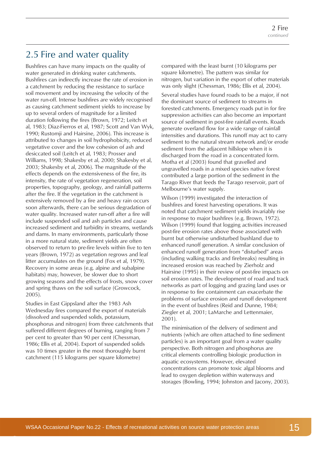### 2.5 Fire and water quality

Bushfires can have many impacts on the quality of water generated in drinking water catchments. Bushfires can indirectly increase the rate of erosion in a catchment by reducing the resistance to surface soil movement and by increasing the velocity of the water run-off. Intense bushfires are widely recognised as causing catchment sediment yields to increase by up to several orders of magnitude for a limited duration following the fires (Brown, 1972; Leitch et al, 1983; Diaz-Fierros et al, 1987; Scott and Van Wyk, 1990; Rustomji and Hairsine, 2006). This increase is attributed to changes in soil hydrophobicity, reduced vegetative cover and the low cohesion of ash and desiccated soil (Leitch et al, 1983; Prosser and Williams, 1998; Shakesby et al, 2000; Shakesby et al, 2003; Shakesby et al, 2006). The magnitude of the effects depends on the extensiveness of the fire, its intensity, the rate of vegetation regeneration, soil properties, topography, geology, and rainfall patterns after the fire. If the vegetation in the catchment is extensively removed by a fire and heavy rain occurs soon afterwards, there can be serious degradation of water quality. Increased water run-off after a fire will include suspended soil and ash particles and cause increased sediment and turbidity in streams, wetlands and dams. In many environments, particularly those in a more natural state, sediment yields are often observed to return to pre-fire levels within five to ten years (Brown, 1972) as vegetation regrows and leaf litter accumulates on the ground (Fox et al, 1979). Recovery in some areas (e.g. alpine and subalpine habitats) may, however, be slower due to short growing seasons and the effects of frosts, snow cover and spring thaws on the soil surface (Growcock, 2005).

Studies in East Gippsland after the 1983 Ash Wednesday fires compared the export of materials (dissolved and suspended solids, potassium, phosphorus and nitrogen) from three catchments that suffered different degrees of burning, ranging from 7 per cent to greater than 90 per cent (Chessman, 1986; Ellis et al, 2004). Export of suspended solids was 10 times greater in the most thoroughly burnt catchment (115 kilograms per square kilometre)

compared with the least burnt (10 kilograms per square kilometre). The pattern was similar for nitrogen, but variation in the export of other materials was only slight (Chessman, 1986; Ellis et al, 2004).

Several studies have found roads to be a major, if not the dominant source of sediment to streams in forested catchments. Emergency roads put in for fire suppression activities can also become an important source of sediment in post-fire rainfall events. Roads generate overland flow for a wide range of rainfall intensities and durations. This runoff may act to carry sediment to the natural stream network and/or erode sediment from the adjacent hillslope when it is discharged from the road in a concentrated form. Motha et al (2003) found that gravelled and ungravelled roads in a mixed species native forest contributed a large portion of the sediment in the Tarago River that feeds the Tarago reservoir, part of Melbourne's water supply.

Wilson (1999) investigated the interaction of bushfires and forest harvesting operations. It was noted that catchment sediment yields invariably rise in response to major bushfires (e.g. Brown, 1972). Wilson (1999) found that logging activities increased post-fire erosion rates above those associated with burnt but otherwise undisturbed bushland due to enhanced runoff generation. A similar conclusion of enhanced runoff generation from "disturbed" areas (including walking tracks and firebreaks) resulting in increased erosion was reached by Zierholz and Hairsine (1995) in their review of post-fire impacts on soil erosion rates. The development of road and track networks as part of logging and grazing land uses or in response to fire containment can exacerbate the problems of surface erosion and runoff development in the event of bushfires (Reid and Dunne, 1984; Ziegler et al, 2001; LaMarche and Lettenmaier, 2001).

The minimisation of the delivery of sediment and nutrients (which are often attached to fine sediment particles) is an important goal from a water quality perspective. Both nitrogen and phosphorus are critical elements controlling biologic production in aquatic ecosystems. However, elevated concentrations can promote toxic algal blooms and lead to oxygen depletion within waterways and storages (Bowling, 1994; Johnston and Jacony, 2003).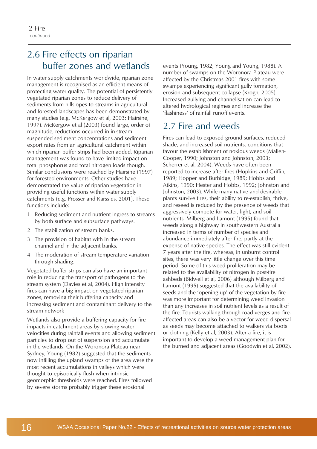## 2.6 Fire effects on riparian buffer zones and wetlands

In water supply catchments worldwide, riparian zone management is recognised as an efficient means of protecting water quality. The potential of persistently vegetated riparian zones to reduce delivery of sediments from hillslopes to streams in agricultural and forested landscapes has been demonstrated by many studies (e.g. McKergow et al, 2003; Hairsine, 1997). McKergow et al (2003) found large, order of magnitude, reductions occurred in in-stream suspended sediment concentrations and sediment export rates from an agricultural catchment within which riparian buffer strips had been added. Riparian management was found to have limited impact on total phosphorus and total nitrogen loads though. Similar conclusions were reached by Hairsine (1997) for forested environments. Other studies have demonstrated the value of riparian vegetation in providing useful functions within water supply catchments (e.g. Prosser and Karssies, 2001). These functions include:

- 1 Reducing sediment and nutrient ingress to streams by both surface and subsurface pathways.
- 2 The stabilization of stream banks.
- 3 The provision of habitat with in the stream channel and in the adjacent banks.
- 4 The moderation of stream temperature variation through shading.

Vegetated buffer strips can also have an important role in reducing the transport of pathogens to the stream system (Davies et al, 2004). High intensity fires can have a big impact on vegetated riparian zones, removing their buffering capacity and increasing sediment and contaminant delivery to the stream network

Wetlands also provide a buffering capacity for fire impacts in catchment areas by slowing water velocities during rainfall events and allowing sediment particles to drop out of suspension and accumulate in the wetlands. On the Woronora Plateau near Sydney, Young (1982) suggested that the sediments now infilling the upland swamps of the area were the most recent accumulations in valleys which were thought to episodically flush when intrinsic geomorphic thresholds were reached. Fires followed by severe storms probably trigger these erosional

events (Young, 1982; Young and Young, 1988). A number of swamps on the Woronora Plateau were affected by the Christmas 2001 fires with some swamps experiencing significant gully formation, erosion and subsequent collapse (Krogh, 2005). Increased gullying and channelisation can lead to altered hydrological regimes and increase the 'flashiness' of rainfall runoff events.

## 2.7 Fire and weeds

Fires can lead to exposed ground surfaces, reduced shade, and increased soil nutrients, conditions that favour the establishment of noxious weeds (Mallen-Cooper, 1990; Johnston and Johnston, 2003; Scherrer et al, 2004). Weeds have often been reported to increase after fires (Hopkins and Griffin, 1989; Hopper and Burbidge, 1989; Hobbs and Atkins, 1990; Hester and Hobbs, 1992; Johnston and Johnston, 2003). While many native and desirable plants survive fires, their ability to re-establish, thrive, and reseed is reduced by the presence of weeds that aggressively compete for water, light, and soil nutrients. Milberg and Lamont (1995) found that weeds along a highway in southwestern Australia increased in terms of number of species and abundance immediately after fire, partly at the expense of native species. The effect was still evident 7 years after the fire, whereas, in unburnt control sites, there was very little change over this time period. Some of this weed proliferation may be related to the availability of nitrogen in post-fire ashbeds (Bidwell et al, 2006) although Milberg and Lamont (1995) suggested that the availability of seeds and the 'opening up' of the vegetation by fire was more important for determining weed invasion than any increases in soil nutrient levels as a result of the fire. Tourists walking through road verges and fireaffected areas can also be a vector for weed dispersal as seeds may become attached to walkers via boots or clothing (Kelly et al, 2003). After a fire, it is important to develop a weed management plan for the burned and adjacent areas (Goodwin et al, 2002).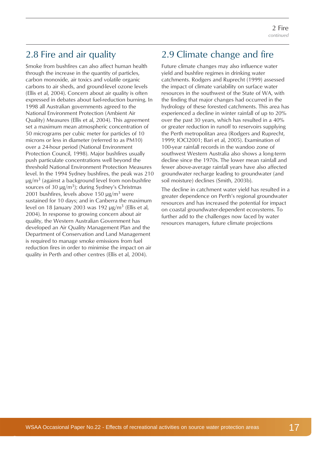### 2.8 Fire and air quality

Smoke from bushfires can also affect human health through the increase in the quantity of particles, carbon monoxide, air toxics and volatile organic carbons to air sheds, and ground-level ozone levels (Ellis et al, 2004). Concern about air quality is often expressed in debates about fuel-reduction burning. In 1998 all Australian governments agreed to the National Environment Protection (Ambient Air Quality) Measures (Ellis et al, 2004). This agreement set a maximum mean atmospheric concentration of 50 micrograms per cubic meter for particles of 10 microns or less in diameter (referred to as PM10) over a 24-hour period (National Environment Protection Council, 1998). Major bushfires usually push particulate concentrations well beyond the threshold National Environment Protection Measures level. In the 1994 Sydney bushfires, the peak was 210  $\mu$ g/m<sup>3</sup> (against a background level from non-bushfire sources of 30  $\mu$ g/m<sup>3</sup>); during Sydney's Christmas 2001 bushfires, levels above 150  $\mu$ g/m<sup>3</sup> were sustained for 10 days; and in Canberra the maximum level on 18 January 2003 was 192  $\mu$ g/m<sup>3</sup> (Ellis et al, 2004). In response to growing concern about air quality, the Western Australian Government has developed an Air Quality Management Plan and the Department of Conservation and Land Management is required to manage smoke emissions from fuel reduction fires in order to minimise the impact on air quality in Perth and other centres (Ellis et al, 2004).

### 2.9 Climate change and fire

Future climate changes may also influence water yield and bushfire regimes in drinking water catchments. Rodgers and Ruprecht (1999) assessed the impact of climate variability on surface water resources in the southwest of the State of WA, with the finding that major changes had occurred in the hydrology of these forested catchments. This area has experienced a decline in winter rainfall of up to 20% over the past 30 years, which has resulted in a 40% or greater reduction in runoff to reservoirs supplying the Perth metropolitan area (Rodgers and Ruprecht, 1999; IOCI2001; Bari et al, 2005). Examination of 100-year rainfall records in the wandoo zone of southwest Western Australia also shows a long-term decline since the 1970s. The lower mean rainfall and fewer above-average rainfall years have also affected groundwater recharge leading to groundwater (and soil moisture) declines (Smith, 2003b).

The decline in catchment water yield has resulted in a greater dependence on Perth's regional groundwater resources and has increased the potential for impact on coastal groundwater-dependent ecosystems. To further add to the challenges now faced by water resources managers, future climate projections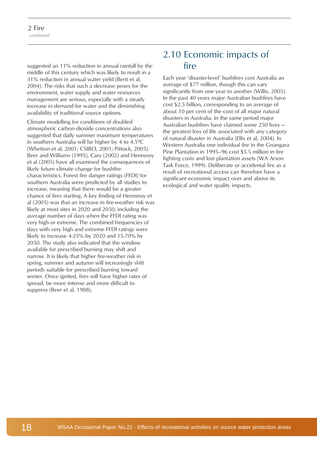suggested an 11% reduction in annual rainfall by the middle of this century which was likely to result in a 31% reduction in annual water yield (Berti et al, 2004). The risks that such a decrease poses for the environment, water supply and water resources management are serious, especially with a steady increase in demand for water and the diminishing availability of traditional source options.

Climate modelling for conditions of doubled atmospheric carbon dioxide concentrations also suggested that daily summer maximum temperatures in southern Australia will be higher by 4 to  $4.5^{\circ}$ C (Whetton et al, 2001; CSIRO, 2001; Pittock, 2005). Beer and Williams (1995), Cary (2002) and Hennessy et al (2005) have all examined the consequences of likely future climate change for bushfire characteristics. Forest fire danger ratings (FFDI) for southern Australia were predicted by all studies to increase, meaning that there would be a greater chance of fires starting. A key finding of Hennessy et al (2005) was that an increase in fire-weather risk was likely at most sites in 2020 and 2050, including the average number of days when the FFDI rating was very high or extreme. The combined frequencies of days with very high and extreme FFDI ratings were likely to increase 4-25% by 2020 and 15-70% by 2050. The study also indicated that the window available for prescribed burning may shift and narrow. It is likely that higher fire-weather risk in spring, summer and autumn will increasingly shift periods suitable for prescribed burning toward winter. Once ignited, fires will have higher rates of spread, be more intense and more difficult to suppress (Beer et al, 1988).

## 2.10 Economic impacts of fire

Each year 'disaster-level' bushfires cost Australia an average of \$77 million, though this can vary significantly from one year to another (Willis, 2005). In the past 40 years major Australian bushfires have cost \$2.5 billion, corresponding to an average of about 10 per cent of the cost of all major natural disasters in Australia. In the same period major Australian bushfires have claimed some 250 lives the greatest loss of life associated with any category of natural disaster in Australia (Ellis et al, 2004). In Western Australia one individual fire in the Gnangara Pine Plantation in 1995–96 cost \$5.5 million in fire fighting costs and lost plantation assets (WA Arson Task Force, 1999). Deliberate or accidental fire as a result of recreational access can therefore have a significant economic impact over and above its ecological and water quality impacts.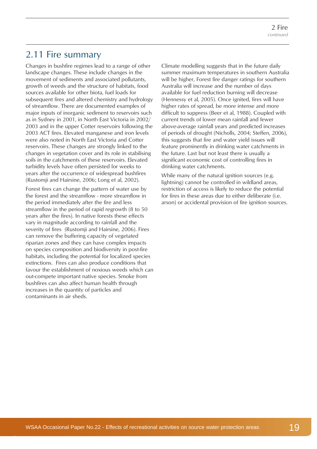#### <span id="page-20-0"></span>2.11 Fire summary

Changes in bushfire regimes lead to a range of other landscape changes. These include changes in the movement of sediments and associated pollutants, growth of weeds and the structure of habitats, food sources available for other biota, fuel loads for subsequent fires and altered chemistry and hydrology of streamflow. There are documented examples of major inputs of inorganic sediment to reservoirs such as in Sydney in 2001, in North East Victoria in 2002/ 2003 and in the upper Cotter reservoirs following the 2003 ACT fires. Elevated manganese and iron levels were also noted in North East Victoria and Cotter reservoirs. These changes are strongly linked to the changes in vegetation cover and its role in stabilising soils in the catchments of these reservoirs. Elevated turbidity levels have often persisted for weeks to years after the occurrence of widespread bushfires (Rustomji and Hairsine, 2006; Long et al, 2002).

Forest fires can change the pattern of water use by the forest and the streamflow - more streamflow in the period immediately after the fire and less streamflow in the period of rapid regrowth (8 to 50 years after the fires). In native forests these effects vary in magnitude according to rainfall and the severity of fires (Rustomji and Hairsine, 2006). Fires can remove the buffering capacity of vegetated riparian zones and they can have complex impacts on species composition and biodiversity in post-fire habitats, including the potential for localized species extinctions. Fires can also produce conditions that favour the establishment of noxious weeds which can out-compete important native species. Smoke from bushfires can also affect human health through increases in the quantity of particles and contaminants in air sheds.

Climate modelling suggests that in the future daily summer maximum temperatures in southern Australia will be higher, Forest fire danger ratings for southern Australia will increase and the number of days available for fuel reduction burning will decrease (Hennessy et al, 2005). Once ignited, fires will have higher rates of spread, be more intense and more difficult to suppress (Beer et al, 1988). Coupled with current trends of lower mean rainfall and fewer above-average rainfall years and predicted increases of periods of drought (Nicholls, 2004; Steffen, 2006), this suggests that fire and water yield issues will feature prominently in drinking water catchments in the future. Last but not least there is usually a significant economic cost of controlling fires in drinking water catchments.

While many of the natural ignition sources (e.g. lightning) cannot be controlled in wildland areas, restriction of access is likely to reduce the potential for fires in these areas due to either deliberate (i.e. arson) or accidental provision of fire ignition sources.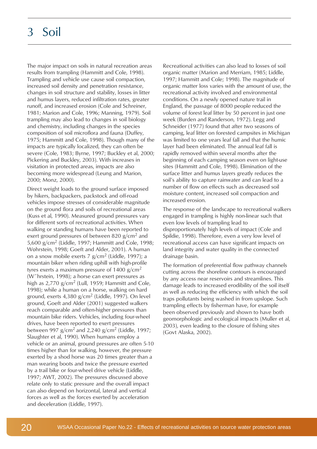# 3 Soil

The major impact on soils in natural recreation areas results from trampling (Hammitt and Cole, 1998). Trampling and vehicle use cause soil compaction, increased soil density and penetration resistance, changes in soil structure and stability, losses in litter and humus layers, reduced infiltration rates, greater runoff, and increased erosion (Cole and Schreiner, 1981; Marion and Cole, 1996; Manning, 1979). Soil trampling may also lead to changes in soil biology and chemistry, including changes in the species composition of soil microflora and fauna (Duffey, 1975; Hammitt and Cole, 1998). Though many of the impacts are typically localized, they can often be severe (Cole, 1983; Byrne, 1997; Buckley et al, 2000; Pickering and Buckley, 2003). With increases in visitation in protected areas, impacts are also becoming more widespread (Leung and Marion, 2000; Monz, 2000).

Direct weight loads to the ground surface imposed by hikers, backpackers, packstock and off-road vehicles impose stresses of considerable magnitude on the ground flora and soils of recreational areas (Kuss et al, 1990). Measured ground pressures vary for different sorts of recreational activities. When walking or standing humans have been reported to exert ground pressures of between 820 g/cm<sup>2</sup> and 5,600  $g/cm<sup>2</sup>$  (Liddle, 1997; Hammitt and Cole, 1998; Wοhrstein, 1998; Goeft and Alder, 2001). A human on a snow mobile exerts 7 g/cm<sup>2</sup> (Liddle, 1997); a mountain biker when riding uphill with high-profile tyres exerts a maximum pressure of  $1400 \text{ g/cm}^2$ (Wˆhrstein, 1998); a horse can exert pressures as high as  $2,770$  g/cm<sup>2</sup> (Lull, 1959; Hammitt and Cole, 1998); while a human on a horse, walking on hard ground, exerts  $4,380$  g/cm<sup>2</sup> (Liddle, 1997). On level ground, Goeft and Alder (2001) suggested walkers reach comparable and often-higher pressures than mountain bike riders. Vehicles, including four-wheel drives, have been reported to exert pressures between 997  $g/cm^2$  and 2,240  $g/cm^2$  (Liddle, 1997; Slaughter et al, 1990). When humans employ a vehicle or an animal, ground pressures are often 5-10 times higher than for walking, however, the pressure exerted by a shod horse was 20 times greater than a man wearing boots and twice the pressure exerted by a trail bike or four-wheel drive vehicle (Liddle, 1997; AWT, 2002). The pressures discussed above relate only to static pressure and the overall impact can also depend on horizontal, lateral and vertical forces as well as the forces exerted by acceleration and deceleration (Liddle, 1997).

Recreational activities can also lead to losses of soil organic matter (Marion and Merriam, 1985; Liddle, 1997; Hammitt and Cole; 1998). The magnitude of organic matter loss varies with the amount of use, the recreational activity involved and environmental conditions. On a newly opened nature trail in England, the passage of 8000 people reduced the volume of forest leaf litter by 50 percent in just one week (Burden and Randerson, 1972). Legg and Schneider (1977) found that after two seasons of camping, leaf litter on forested campsites in Michigan was limited to one years leaf fall and that the humic layer had been eliminated. The annual leaf fall is rapidly removed within several months after the beginning of each camping season even on light-use sites (Hammitt and Cole, 1998). Elimination of the surface litter and humus layers greatly reduces the soil's ability to capture rainwater and can lead to a number of flow on effects such as decreased soil moisture content, increased soil compaction and increased erosion.

The response of the landscape to recreational walkers engaged in trampling is highly non-linear such that even low levels of trampling lead to disproportionately high levels of impact (Cole and Spildie, 1998). Therefore, even a very low level of recreational access can have significant impacts on land integrity and water quality in the connected drainage basin.

The formation of preferential flow pathway channels cutting across the shoreline contours is encouraged by any access near reservoirs and streamlines. This damage leads to increased erodibility of the soil itself as well as reducing the efficiency with which the soil traps pollutants being washed in from upslope. Such trampling effects by fisherman have, for example been observed previously and shown to have both geomorphologic and ecological impacts (Muller et al, 2003), even leading to the closure of fishing sites (Govt Alaska, 2002).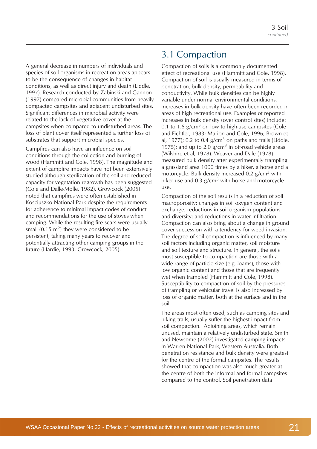A general decrease in numbers of individuals and species of soil organisms in recreation areas appears to be the consequence of changes in habitat conditions, as well as direct injury and death (Liddle, 1997). Research conducted by Zabinski and Gannon (1997) compared microbial communities from heavily compacted campsites and adjacent undisturbed sites. Significant differences in microbial activity were related to the lack of vegetative cover at the campsites when compared to undisturbed areas. The loss of plant cover itself represented a further loss of substrates that support microbial species.

Campfires can also have an influence on soil conditions through the collection and burning of wood (Hammitt and Cole, 1998). The magnitude and extent of campfire impacts have not been extensively studied although sterilization of the soil and reduced capacity for vegetation regrowth has been suggested (Cole and Dalle-Molle, 1982). Growcock (2005) noted that campfires were often established in Kosciuszko National Park despite the requirements for adherence to minimal impact codes of conduct and recommendations for the use of stoves when camping. While the resulting fire scars were usually small  $(0.15 \text{ m}^2)$  they were considered to be persistent, taking many years to recover and potentially attracting other camping groups in the future (Hardie, 1993; Growcock, 2005).

#### 3.1 Compaction

Compaction of soils is a commonly documented effect of recreational use (Hammitt and Cole, 1998). Compaction of soil is usually measured in terms of penetration, bulk density, permeability and conductivity. While bulk densities can be highly variable under normal environmental conditions, increases in bulk density have often been recorded in areas of high recreational use. Examples of reported increases in bulk density (over control sites) include: 0.1 to 1.6  $g/cm<sup>3</sup>$  on low to high-use campsites (Cole and Fichtler, 1983; Marion and Cole, 1996; Brown et al, 1977); 0.2 to 0.4  $g/cm<sup>3</sup>$  on paths and trails (Liddle, 1975); and up to 2.0  $g/cm<sup>3</sup>$  in off-road vehicle areas (Wilshire et al, 1978). Weaver and Dale (1978) measured bulk density after experimentally trampling a grassland area 1000 times by a hiker, a horse and a motorcycle. Bulk density increased 0.2  $g/cm<sup>3</sup>$  with hiker use and 0.3  $g/cm<sup>3</sup>$  with horse and motorcycle use.

Compaction of the soil results in a reduction of soil macroporosity; changes in soil oxygen content and exchange; reductions in soil organism populations and diversity; and reductions in water infiltration. Compaction can also bring about a change in ground cover succession with a tendency for weed invasion. The degree of soil compaction is influenced by many soil factors including organic matter, soil moisture and soil texture and structure. In general, the soils most susceptible to compaction are those with a wide range of particle size (e.g. loams), those with low organic content and those that are frequently wet when trampled (Hammitt and Cole, 1998). Susceptibility to compaction of soil by the pressures of trampling or vehicular travel is also increased by loss of organic matter, both at the surface and in the soil.

The areas most often used, such as camping sites and hiking trails, usually suffer the highest impact from soil compaction. Adjoining areas, which remain unused, maintain a relatively undisturbed state. Smith and Newsome (2002) investigated camping impacts in Warren National Park, Western Australia. Both penetration resistance and bulk density were greatest for the centre of the formal campsites. The results showed that compaction was also much greater at the centre of both the informal and formal campsites compared to the control. Soil penetration data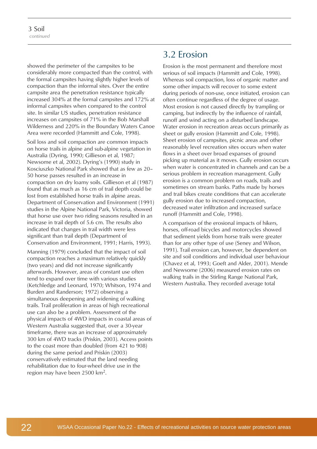showed the perimeter of the campsites to be considerably more compacted than the control, with the formal campsites having slightly higher levels of compaction than the informal sites. Over the entire campsite area the penetration resistance typically increased 304% at the formal campsites and 172% at informal campsites when compared to the control site. In similar US studies, penetration resistance increases on campsites of 71% in the Bob Marshall Wilderness and 220% in the Boundary Waters Canoe Area were recorded (Hammitt and Cole, 1998).

Soil loss and soil compaction are common impacts on horse trails in alpine and sub-alpine vegetation in Australia (Dyring, 1990; Gillieson et al, 1987; Newsome et al, 2002). Dyring's (1990) study in Kosciuszko National Park showed that as few as 20– 50 horse passes resulted in an increase in compaction on dry loamy soils. Gillieson et al (1987) found that as much as 16 cm of trail depth could be lost from established horse trails in alpine areas. Department of Conservation and Environment (1991) studies in the Alpine National Park, Victoria, showed that horse use over two riding seasons resulted in an increase in trail depth of 5.6 cm. The results also indicated that changes in trail width were less significant than trail depth (Department of Conservation and Environment, 1991; Harris, 1993).

Manning (1979) concluded that the impact of soil compaction reaches a maximum relatively quickly (two years) and did not increase significantly afterwards. However, areas of constant use often tend to expand over time with various studies (Ketchledge and Leonard, 1970; Whitson, 1974 and Burden and Randerson; 1972) observing a simultaneous deepening and widening of walking trails. Trail proliferation in areas of high recreational use can also be a problem. Assessment of the physical impacts of 4WD impacts in coastal areas of Western Australia suggested that, over a 30-year timeframe, there was an increase of approximately 300 km of 4WD tracks (Priskin, 2003). Access points to the coast more than doubled (from 421 to 908) during the same period and Priskin (2003) conservatively estimated that the land needing rehabilitation due to four-wheel drive use in the region may have been 2500 km2.

#### 3.2 Erosion

Erosion is the most permanent and therefore most serious of soil impacts (Hammitt and Cole, 1998). Whereas soil compaction, loss of organic matter and some other impacts will recover to some extent during periods of non-use, once initiated, erosion can often continue regardless of the degree of usage. Most erosion is not caused directly by trampling or camping, but indirectly by the influence of rainfall, runoff and wind acting on a disturbed landscape. Water erosion in recreation areas occurs primarily as sheet or gully erosion (Hammitt and Cole, 1998). Sheet erosion of campsites, picnic areas and other reasonably level recreation sites occurs when water flows in a sheet over broad expanses of ground picking up material as it moves. Gully erosion occurs when water is concentrated in channels and can be a serious problem in recreation management. Gully erosion is a common problem on roads, trails and sometimes on stream banks. Paths made by horses and trail bikes create conditions that can accelerate gully erosion due to increased compaction, decreased water infiltration and increased surface runoff (Hammitt and Cole, 1998).

A comparison of the erosional impacts of hikers, horses, off-road bicycles and motorcycles showed that sediment yields from horse trails were greater than for any other type of use (Seney and Wilson, 1991). Trail erosion can, however, be dependent on site and soil conditions and individual user behaviour (Chavez et al, 1993; Goeft and Alder, 2001). Mende and Newsome (2006) measured erosion rates on walking trails in the Stirling Range National Park, Western Australia. They recorded average total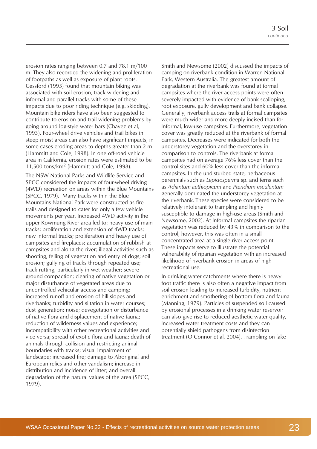erosion rates ranging between 0.7 and 78.1 m/100 m. They also recorded the widening and proliferation of footpaths as well as exposure of plant roots. Cessford (1995) found that mountain biking was associated with soil erosion, track widening and informal and parallel tracks with some of these impacts due to poor riding technique (e.g. skidding). Mountain bike riders have also been suggested to contribute to erosion and trail widening problems by going around log-style water bars (Chavez et al, 1993). Four-wheel drive vehicles and trail bikes in steep moist areas can also have significant impacts, in some cases eroding areas to depths greater than 2 m (Hammitt and Cole, 1998). In one off-road vehicle area in California, erosion rates were estimated to be 11,500 tons/ $km^2$  (Hammitt and Cole, 1998).

The NSW National Parks and Wildlife Service and SPCC considered the impacts of four-wheel driving (4WD) recreation on areas within the Blue Mountains (SPCC, 1979). Many tracks within the Blue Mountains National Park were constructed as fire trails and designed to cater for only a few vehicle movements per year. Increased 4WD activity in the upper Kowmung River area led to: heavy use of main tracks; proliferation and extension of 4WD tracks; new informal tracks; proliferation and heavy use of campsites and fireplaces; accumulation of rubbish at campsites and along the river; illegal activities such as shooting, felling of vegetation and entry of dogs; soil erosion; gullying of tracks through repeated use; track rutting, particularly in wet weather; severe ground compaction; clearing of native vegetation or major disturbance of vegetated areas due to uncontrolled vehicular access and camping; increased runoff and erosion of hill slopes and riverbanks; turbidity and siltation in water courses; dust generation; noise; devegetation or disturbance of native flora and displacement of native fauna; reduction of wilderness values and experience; incompatibility with other recreational activities and vice versa; spread of exotic flora and fauna; death of animals through collision and restricting animal boundaries with tracks; visual impairment of landscape; increased fire; damage to Aboriginal and European relics and other vandalism; increase in distribution and incidence of litter; and overall degradation of the natural values of the area (SPCC, 1979).

Smith and Newsome (2002) discussed the impacts of camping on riverbank condition in Warren National Park, Western Australia. The greatest amount of degradation at the riverbank was found at formal campsites where the river access points were often severely impacted with evidence of bank scalloping, root exposure, gully development and bank collapse. Generally, riverbank access trails at formal campsites were much wider and more deeply incised than for informal, low-use campsites. Furthermore, vegetation cover was greatly reduced at the riverbank of formal campsites. Decreases were indicated for both the understorey vegetation and the overstorey in comparison to controls. The riverbank at formal campsites had on average 76% less cover than the control sites and 60% less cover than the informal campsites. In the undisturbed state, herbaceous perennials such as *Lepidosperma* sp. and ferns such as *Adiantum aethiopicum* and *Pteridium esculentum* generally dominated the understorey vegetation at the riverbank. These species were considered to be relatively intolerant to trampling and highly susceptible to damage in high-use areas (Smith and Newsome, 2002). At informal campsites the riparian vegetation was reduced by 43% in comparison to the control, however, this was often in a small concentrated area at a single river access point. These impacts serve to illustrate the potential vulnerability of riparian vegetation with an increased likelihood of riverbank erosion in areas of high recreational use.

In drinking water catchments where there is heavy foot traffic there is also often a negative impact from soil erosion leading to increased turbidity, nutrient enrichment and smothering of bottom flora and fauna (Manning, 1979). Particles of suspended soil caused by erosional processes in a drinking water reservoir can also give rise to reduced aesthetic water quality, increased water treatment costs and they can potentially shield pathogens from disinfection treatment (O'Connor et al, 2004). Trampling on lake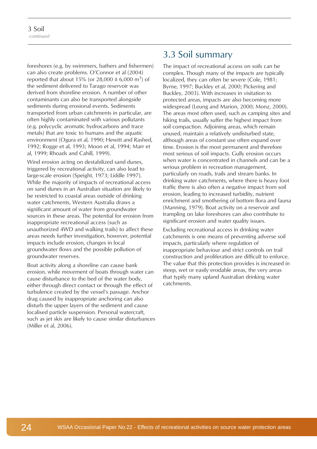<span id="page-25-0"></span>foreshores (e.g. by swimmers, bathers and fishermen) can also create problems. O'Connor et al (2004) reported that about 15% (or 28,000  $\pm$  6,000 m<sup>3</sup>) of the sediment delivered to Tarago reservoir was derived from shoreline erosion. A number of other contaminants can also be transported alongside sediments during erosional events. Sediments transported from urban catchments in particular, are often highly contaminated with various pollutants (e.g. polycyclic aromatic hydrocarbons and trace metals) that are toxic to humans and the aquatic environment (Ogura et al, 1990; Hewitt and Rashed, 1992; Rogge et al, 1993; Moon et al, 1994; Marr et al, 1999; Rhoads and Cahill, 1999).

Wind erosion acting on destabilized sand dunes, triggered by recreational activity, can also lead to large-scale erosion (Speight, 1973; Liddle 1997). While the majority of impacts of recreational access on sand dunes in an Australian situation are likely to be restricted to coastal areas outside of drinking water catchments, Western Australia draws a significant amount of water from groundwater sources in these areas. The potential for erosion from inappropriate recreational access (such as unauthorized 4WD and walking trails) to affect these areas needs further investigation, however, potential impacts include erosion, changes in local groundwater flows and the possible pollution of groundwater reserves.

Boat activity along a shoreline can cause bank erosion, while movement of boats through water can cause disturbance to the bed of the water body, either through direct contact or through the effect of turbulence created by the vessel's passage. Anchor drag caused by inappropriate anchoring can also disturb the upper layers of the sediment and cause localised particle suspension. Personal watercraft, such as jet skis are likely to cause similar disturbances (Miller et al, 2006).

#### 3.3 Soil summary

The impact of recreational access on soils can be complex. Though many of the impacts are typically localized, they can often be severe (Cole, 1981; Byrne, 1997; Buckley et al, 2000; Pickering and Buckley, 2003). With increases in visitation to protected areas, impacts are also becoming more widespread (Leung and Marion, 2000; Monz, 2000). The areas most often used, such as camping sites and hiking trails, usually suffer the highest impact from soil compaction. Adjoining areas, which remain unused, maintain a relatively undisturbed state, although areas of constant use often expand over time. Erosion is the most permanent and therefore most serious of soil impacts. Gully erosion occurs when water is concentrated in channels and can be a serious problem in recreation management, particularly on roads, trails and stream banks. In drinking water catchments, where there is heavy foot traffic there is also often a negative impact from soil erosion, leading to increased turbidity, nutrient enrichment and smothering of bottom flora and fauna (Manning, 1979). Boat activity on a reservoir and trampling on lake foreshores can also contribute to significant erosion and water quality issues.

Excluding recreational access in drinking water catchments is one means of preventing adverse soil impacts, particularly where regulation of inappropriate behaviour and strict controls on trail construction and proliferation are difficult to enforce. The value that this protection provides is increased in steep, wet or easily erodable areas, the very areas that typify many upland Australian drinking water catchments.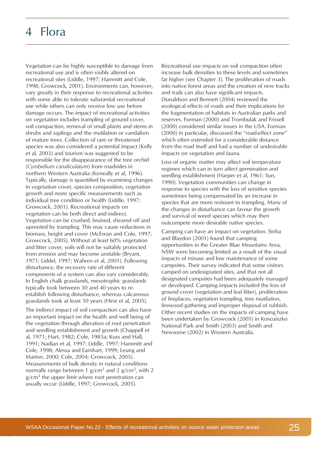# 4 Flora

Vegetation can be highly susceptible to damage from recreational use and is often visibly altered on recreational sites (Liddle, 1997; Hammitt and Cole, 1998; Growcock, 2001). Environments can, however, vary greatly in their response to recreational activities with some able to tolerate substantial recreational use while others can only receive low use before damage occurs. The impact of recreational activities on vegetation includes trampling of ground cover, soil compaction, removal of small plants and stems in shrubs and saplings and the mutilation or vandalism of mature trees. Collection of rare or threatened species was also considered a potential impact (Kelly et al, 2003) and tourism was suggested to be responsible for the disappearance of the tree orchid (*Cymbidium canaliculatum*) from roadsides in northern Western Australia (Keneally et al, 1996). Typically, damage is quantified by examining changes in vegetation cover, species composition, vegetation growth and more specific measurements such as individual tree condition or health (Liddle, 1997; Growcock, 2001). Recreational impacts on vegetation can be both direct and indirect. Vegetation can be crushed, bruised, sheared off and uprooted by trampling. This may cause reductions in biomass, height and cover (McEwan and Cole, 1997; Growcock, 2005). Without at least 60% vegetation and litter cover, soils will not be suitably protected from erosion and may become unstable (Bryant, 1971; Liddel, 1997; Wahren et al, 2001). Following disturbance, the recovery rate of different components of a system can also vary considerably. In English chalk grasslands, mesotrophic grasslands typically took between 30 and 40 years to reestablish following disturbance, whereas calcareous grasslands took at least 50 years (Hirst et al, 2005).

The indirect impact of soil compaction can also have an important impact on the health and well being of the vegetation through alteration of root penetration and seedling establishment and growth (Chappell et al, 1971; Hart, 1982; Cole, 1985a; Kuss and Hall, 1991; Nadian et al, 1997; Liddle, 1997; Hammitt and Cole, 1998; Alessa and Earnhart, 1999; Leung and Marion, 2000; Cole, 2004; Growcock, 2005). Measurements of bulk density in natural conditions normally range between 1  $g/cm<sup>3</sup>$  and 2  $g/cm<sup>3</sup>$ , with 2  $g/cm<sup>3</sup>$  the upper limit where root penetration can usually occur (Liddle, 1997; Growcock, 2005).

Recreational use impacts on soil compaction often increase bulk densities to these levels and sometimes far higher (see Chapter 3). The proliferation of roads into native forest areas and the creation of new tracks and trails can also have significant impacts. Donaldson and Bennett (2004) reviewed the ecological effects of roads and their implications for the fragmentation of habitats in Australian parks and reserves. Forman (2000) and Trombulak and Frissell (2000) considered similar issues in the USA. Forman (2000) in particular, discussed the "road-effect zone" which often extended for a considerable distance from the road itself and had a number of undesirable impacts on vegetation and fauna.

Loss of organic matter may affect soil temperature regimes which can in turn affect germination and seedling establishment (Harper et al, 1961; Sun, 1990). Vegetation communities can change in response to species with the loss of sensitive species sometimes being compensated by an increase in species that are more resistant to trampling. Many of the changes in disturbance can favour the growth and survival of weed species which may then outcompete more desirable native species.

Camping can have an impact on vegetation. Sinha and Blaydon (2001) found that camping opportunities in the Greater Blue Mountains Area, NSW were becoming limited as a result of the visual impacts of misuse and low maintenance of some campsites. Their survey indicated that some visitors camped on undesignated sites, and that not all designated campsites had been adequately managed or developed. Camping impacts included the loss of ground cover (vegetation and leaf litter), proliferation of fireplaces, vegetation trampling, tree mutilation, firewood gathering and improper disposal of rubbish. Other recent studies on the impacts of camping have been undertaken by Growcock (2005) in Koscuiszko National Park and Smith (2003) and Smith and Newsome (2002) in Western Australia.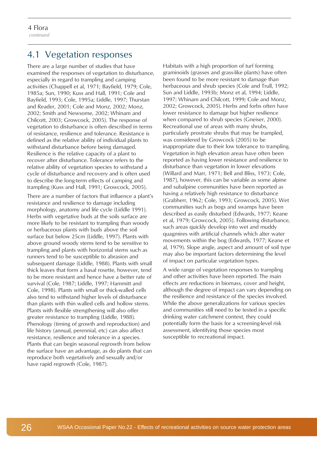#### 4.1 Vegetation responses

There are a large number of studies that have examined the responses of vegetation to disturbance, especially in regard to trampling and camping activities (Chappell et al, 1971; Bayfield, 1979; Cole, 1985a; Sun, 1990; Kuss and Hall, 1991; Cole and Bayfield, 1993; Cole, 1995a; Liddle, 1997; Thurstan and Reader, 2001; Cole and Monz, 2002; Monz, 2002; Smith and Newsome, 2002; Whinam and Chilcott, 2003; Growcock, 2005). The response of vegetation to disturbance is often described in terms of resistance, resilience and tolerance. Resistance is defined as the relative ability of individual plants to withstand disturbance before being damaged. Resilience is the relative capacity of a plant to recover after disturbance. Tolerance refers to the relative ability of vegetation species to withstand a cycle of disturbance and recovery and is often used to describe the long-term effects of camping and trampling (Kuss and Hall, 1991; Growcock, 2005).

There are a number of factors that influence a plant's resistance and resilience to damage including morphology, anatomy and life cycle (Liddle 1991). Herbs with vegetative buds at the soils surface are more likely to be resistant to trampling than woody or herbaceous plants with buds above the soil surface but below 25cm (Liddle, 1997). Plants with above ground woody stems tend to be sensitive to trampling and plants with horizontal stems such as runners tend to be susceptible to abrasion and subsequent damage (Liddle, 1988). Plants with small thick leaves that form a basal rosette, however, tend to be more resistant and hence have a better rate of survival (Cole, 1987; Liddle, 1997; Hammitt and Cole, 1998). Plants with small or thick-walled cells also tend to withstand higher levels of disturbance than plants with thin walled cells and hollow stems. Plants with flexible strengthening will also offer greater resistance to trampling (Liddle, 1988). Phenology (timing of growth and reproduction) and life history (annual, perennial, etc) can also affect resistance, resilience and tolerance in a species. Plants that can begin seasonal regrowth from below the surface have an advantage, as do plants that can reproduce both vegetatively and sexually and/or have rapid regrowth (Cole, 1987).

Habitats with a high proportion of turf forming graminoids (grasses and grass-like plants) have often been found to be more resistant to damage than herbaceous and shrub species (Cole and Trull, 1992; Sun and Liddle, 1993b; Monz et al, 1994; Liddle, 1997; Whinam and Chilcott, 1999; Cole and Monz, 2002; Growcock, 2005). Herbs and forbs often have lower resistance to damage but higher resilience when compared to shrub species (Gneiser, 2000). Recreational use of areas with many shrubs, particularly prostrate shrubs that may be trampled, was considered by Growcock (2005) to be inappropriate due to their low tolerance to trampling. Vegetation in high elevation areas have often been reported as having lower resistance and resilience to disturbance than vegetation in lower elevations (Willard and Marr, 1971; Bell and Bliss, 1973; Cole, 1987), however, this can be variable as some alpine and subalpine communities have been reported as having a relatively high resistance to disturbance (Grabherr, 1962; Cole, 1993; Growcock, 2005). Wet communities such as bogs and swamps have been described as easily disturbed (Edwards, 1977; Keane et al, 1979; Growcock, 2005). Following disturbance, such areas quickly develop into wet and muddy quagmires with artificial channels which alter water movements within the bog (Edwards, 1977; Keane et al, 1979). Slope angle, aspect and amount of soil type may also be important factors determining the level of impact on particular vegetation types.

A wide range of vegetation responses to trampling and other activities have been reported. The main effects are reductions in biomass, cover and height, although the degree of impact can vary depending on the resilience and resistance of the species involved. While the above generalizations for various species and communities still need to be tested in a specific drinking water catchment context, they could potentially form the basis for a screening-level risk assessment, identifying those species most susceptible to recreational impact.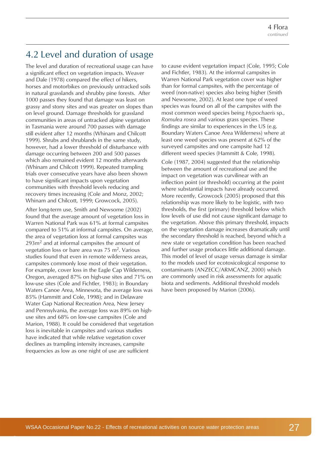#### 4.2 Level and duration of usage

The level and duration of recreational usage can have a significant effect on vegetation impacts. Weaver and Dale (1978) compared the effect of hikers, horses and motorbikes on previously untracked soils in natural grasslands and shrubby pine forests. After 1000 passes they found that damage was least on grassy and stony sites and was greater on slopes than on level ground. Damage thresholds for grassland communities in areas of untracked alpine vegetation in Tasmania were around 700 passes with damage still evident after 12 months (Whinam and Chilcott 1999). Shrubs and shrublands in the same study, however, had a lower threshold of disturbance with damage occurring between 200 and 500 passes which also remained evident 12 months afterwards (Whinam and Chilcott 1999). Repeated trampling trials over consecutive years have also been shown to have significant impacts upon vegetation communities with threshold levels reducing and recovery times increasing (Cole and Monz, 2002; Whinam and Chilcott, 1999; Growcock, 2005).

After long-term use, Smith and Newsome (2002) found that the average amount of vegetation loss in Warren National Park was 61% at formal campsites compared to 51% at informal campsites. On average, the area of vegetation loss at formal campsites was  $293m<sup>2</sup>$  and at informal campsites the amount of vegetation loss or bare area was  $75 \text{ m}^2$ . Various studies found that even in remote wilderness areas, campsites commonly lose most of their vegetation. For example, cover loss in the Eagle Cap Wilderness, Oregon, averaged 87% on high-use sites and 71% on low-use sites (Cole and Fichtler, 1983); in Boundary Waters Canoe Area, Minnesota, the average loss was 85% (Hammitt and Cole, 1998); and in Delaware Water Gap National Recreation Area, New Jersey and Pennsylvania, the average loss was 89% on highuse sites and 68% on low-use campsites (Cole and Marion, 1988). It could be considered that vegetation loss is inevitable in campsites and various studies have indicated that while relative vegetation cover declines as trampling intensity increases, campsite frequencies as low as one night of use are sufficient

to cause evident vegetation impact (Cole, 1995; Cole and Fichtler, 1983). At the informal campsites in Warren National Park vegetation cover was higher than for formal campsites, with the percentage of weed (non-native) species also being higher (Smith and Newsome, 2002). At least one type of weed species was found on all of the campsites with the most common weed species being *Hypochaeris* sp., *Romulea rosea* and various grass species. These findings are similar to experiences in the US (e.g. Boundary Waters Canoe Area Wilderness) where at least one weed species was present at 62% of the surveyed campsites and one campsite had 12 different weed species (Hammitt & Cole, 1998).

Cole (1987, 2004) suggested that the relationship between the amount of recreational use and the impact on vegetation was curvilinear with an inflection point (or threshold) occurring at the point where substantial impacts have already occurred. More recently, Growcock (2005) proposed that this relationship was more likely to be logistic, with two thresholds, the first (primary) threshold below which low levels of use did not cause significant damage to the vegetation. Above this primary threshold, impacts on the vegetation damage increases dramatically until the secondary threshold is reached, beyond which a new state or vegetation condition has been reached and further usage produces little additional damage. This model of level of usage versus damage is similar to the models used for ecotoxicological response to contaminants (ANZECC/ARMCANZ, 2000) which are commonly used in risk assessments for aquatic biota and sediments. Additional threshold models have been proposed by Marion (2006).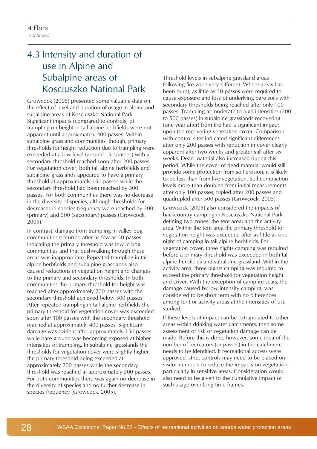## 4.3 Intensity and duration of use in Alpine and Subalpine areas of Kosciuszko National Park

Growcock (2005) presented some valuable data on the effect of level and duration of usage in alpine and subalpine areas of Kosciuszko National Park. Significant impacts (compared to controls) of trampling on height in tall alpine herbfields were not apparent until approximately 400 passes. Within subalpine grassland communities, though, primary thresholds for height reduction due to trampling were exceeded at a low level (around 150 passes) with a secondary threshold reached soon after 200 passes. For vegetation cover, both tall alpine herbfields and subalpine grasslands appeared to have a primary threshold at approximately 150 passes while the secondary threshold had been reached by 500 passes. For both communities there was no decrease in the diversity of species, although thresholds for decreases in species frequency were reached by 200 (primary) and 500 (secondary) passes (Growcock, 2005).

In contrast, damage from trampling in valley bog communities occurred after as few as 30 passes indicating the primary threshold was low in bog communities and that bushwalking through these areas was inappropriate. Repeated trampling in tall alpine herbfields and subalpine grasslands also caused reductions in vegetation height and changes to the primary and secondary thresholds. In both communities the primary threshold for height was reached after approximately 200 passes with the secondary threshold achieved below 500 passes. After repeated trampling in tall alpine herbfields the primary threshold for vegetation cover was exceeded soon after 100 passes with the secondary threshold reached at approximately 400 passes. Significant damage was evident after approximately 150 passes while bare ground was becoming exposed at higher intensities of trampling. In subalpine grasslands the thresholds for vegetation cover were slightly higher, the primary threshold being exceeded at approximately 200 passes while the secondary threshold was reached at approximately 500 passes. For both communities there was again no decrease in the diversity of species and no further decrease in species frequency (Growcock, 2005).

Threshold levels in subalpine grassland areas following fire were very different. Where areas had been burnt, as little as 30 passes were required to cause exposure and loss of underlying bare soils with secondary thresholds being reached after only 100 passes. Trampling at moderate to high intensities (200 to 500 passes) in subalpine grasslands recovering (one year after) from fire had a significant impact upon the recovering vegetation cover. Comparison with control sites indicated significant differences after only 200 passes with reduction in cover clearly apparent after two weeks and greater still after six weeks. Dead material also increased during this period. While the cover of dead material would still provide some protection from soil erosion, it is likely to be less than from live vegetation. Soil compaction levels more than doubled from initial measurements after only 100 passes, tripled after 200 passes and quadrupled after 500 passes (Growcock, 2005).

Growcock (2005) also considered the impacts of backcountry camping in Kosciuszko National Park, defining two zones: the tent area; and the activity area. Within the tent area the primary threshold for vegetation height was exceeded after as little as one night of camping in tall alpine herbfields. For vegetation cover, three nights camping was required before a primary threshold was exceeded in both tall alpine herbfields and subalpine grassland. Within the activity area, three nights camping was required to exceed the primary threshold for vegetation height and cover. With the exception of campfire scars, the damage caused by low intensity camping, was considered to be short term with no differences among tent or activity areas at the intensities of use studied.

If these levels of impact can be extrapolated to other areas within drinking water catchments, then some assessment of risk of vegetation damage can be made. Before this is done, however, some idea of the number of recreators (or passes) in the catchment needs to be identified. If recreational access were approved, strict controls may need to be placed on visitor numbers to reduce the impacts on vegetation, particularly in sensitive areas. Consideration would also need to be given to the cumulative impact of such usage over long time frames.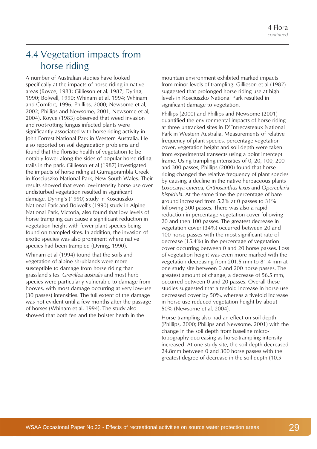## 4.4 Vegetation impacts from horse riding

A number of Australian studies have looked specifically at the impacts of horse riding in native areas (Royce, 1983; Gillieson et al*,* 1987; Dyring, 1990; Bolwell, 1990; Whinam et al, 1994; Whinam and Comfort, 1996; Phillips, 2000; Newsome et al, 2002; Phillips and Newsome, 2001; Newsome et al, 2004). Royce (1983) observed that weed invasion and root-rotting fungus infected plants were significantly associated with horse-riding activity in John Forrest National Park in Western Australia. He also reported on soil degradation problems and found that the floristic health of vegetation to be notably lower along the sides of popular horse riding trails in the park. Gillieson et al (1987) investigated the impacts of horse riding at Gurragorambla Creek in Kosciuszko National Park, New South Wales. Their results showed that even low-intensity horse use over undisturbed vegetation resulted in significant damage. Dyring's (1990) study in Kosciuszko National Park and Bolwell's (1990) study in Alpine National Park, Victoria, also found that low levels of horse trampling can cause a significant reduction in vegetation height with fewer plant species being found on trampled sites. In addition, the invasion of exotic species was also prominent where native species had been trampled (Dyring, 1990).

Whinam et al (1994) found that the soils and vegetation of alpine shrublands were more susceptible to damage from horse riding than grassland sites. *Grevillea australis* and most herb species were particularly vulnerable to damage from hooves, with most damage occurring at very low-use (30 passes) intensities. The full extent of the damage was not evident until a few months after the passage of horses (Whinam et al, 1994). The study also showed that both fen and the bolster heath in the

mountain environment exhibited marked impacts from minor levels of trampling. Gillieson et al (1987) suggested that prolonged horse riding use at high levels in Kosciuszko National Park resulted in significant damage to vegetation.

Phillips (2000) and Phillips and Newsome (2001) quantified the environmental impacts of horse riding at three untracked sites in D'Entrecasteaux National Park in Western Australia. Measurements of relative frequency of plant species, percentage vegetation cover, vegetation height and soil depth were taken from experimental transects using a point intercept frame. Using trampling intensities of 0, 20, 100, 200 and 300 passes, Phillips (2000) found that horse riding changed the relative frequency of plant species by causing a decline in the native herbaceous plants *Loxocarya cinerea*, *Orthosanthus laxus* and *Opercularia hispidula*. At the same time the percentage of bare ground increased from 5.2% at 0 passes to 31% following 300 passes. There was also a rapid reduction in percentage vegetation cover following 20 and then 100 passes. The greatest decrease in vegetation cover (34%) occurred between 20 and 100 horse passes with the most significant rate of decrease (15.4%) in the percentage of vegetation cover occurring between 0 and 20 horse passes. Loss of vegetation height was even more marked with the vegetation decreasing from 201.5 mm to 81.4 mm at one study site between 0 and 200 horse passes. The greatest amount of change, a decrease of 56.5 mm, occurred between 0 and 20 passes. Overall these studies suggested that a tenfold increase in horse use decreased cover by 50%, whereas a fivefold increase in horse use reduced vegetation height by about 50% (Newsome et al, 2004).

Horse trampling also had an effect on soil depth (Phillips, 2000; Phillips and Newsome, 2001) with the change in the soil depth from baseline microtopography decreasing as horse-trampling intensity increased. At one study site, the soil depth decreased 24.8mm between 0 and 300 horse passes with the greatest degree of decrease in the soil depth (10.5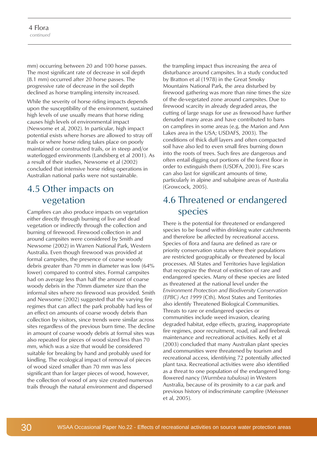mm) occurring between 20 and 100 horse passes. The most significant rate of decrease in soil depth (8.1 mm) occurred after 20 horse passes. The progressive rate of decrease in the soil depth declined as horse trampling intensity increased.

While the severity of horse riding impacts depends upon the susceptibility of the environment, sustained high levels of use usually means that horse riding causes high levels of environmental impact (Newsome et al, 2002). In particular, high impact potential exists where horses are allowed to stray off trails or where horse riding takes place on poorly maintained or constructed trails, or in steep and/or waterlogged environments (Landsberg et al 2001). As a result of their studies, Newsome et al (2002) concluded that intensive horse riding operations in Australian national parks were not sustainable.

#### 4.5 Other impacts on vegetation

Campfires can also produce impacts on vegetation either directly through burning of live and dead vegetation or indirectly through the collection and burning of firewood. Firewood collection in and around campsites were considered by Smith and Newsome (2002) in Warren National Park, Western Australia. Even though firewood was provided at formal campsites, the presence of coarse woody debris greater than 70 mm in diameter was low (64% lower) compared to control sites. Formal campsites had on average less than half the amount of coarse woody debris in the 70mm diameter size than the informal sites where no firewood was provided. Smith and Newsome (2002) suggested that the varying fire regimes that can affect the park probably had less of an effect on amounts of coarse woody debris than collection by visitors, since trends were similar across sites regardless of the previous burn time. The decline in amount of coarse woody debris at formal sites was also repeated for pieces of wood sized less than 70 mm, which was a size that would be considered suitable for breaking by hand and probably used for kindling. The ecological impact of removal of pieces of wood sized smaller than 70 mm was less significant than for larger pieces of wood, however, the collection of wood of any size created numerous trails through the natural environment and dispersed

the trampling impact thus increasing the area of disturbance around campsites. In a study conducted by Bratton et al (1978) in the Great Smoky Mountains National Park, the area disturbed by firewood gathering was more than nine times the size of the de-vegetated zone around campsites. Due to firewood scarcity in already degraded areas, the cutting of large snags for use as firewood have further denuded many areas and have contributed to bans on campfires in some areas (e.g. the Marion and Ann Lakes area in the USA; USDAFS, 2003). The conditions of thick duff layers and often compacted soil have also led to even small fires burning down into the roots of trees. Such fires are dangerous and often entail digging out portions of the forest floor in order to extinguish them (USDFA, 2003). Fire scars can also last for significant amounts of time, particularly in alpine and subalpine areas of Australia (Growcock, 2005).

## 4.6 Threatened or endangered species

There is the potential for threatened or endangered species to be found within drinking water catchments and therefore be affected by recreational access. Species of flora and fauna are defined as rare or priority conservation status where their populations are restricted geographically or threatened by local processes. All States and Territories have legislation that recognize the threat of extinction of rare and endangered species. Many of these species are listed as threatened at the national level under the *Environment Protection and Biodiversity Conservation (EPBC) Act 1999* (Cth). Most States and Territories also identify Threatened Biological Communities. Threats to rare or endangered species or communities include weed invasion, clearing degraded habitat, edge effects, grazing, inappropriate fire regimes, poor recruitment, road, rail and firebreak maintenance and recreational activities. Kelly et al (2003) concluded that many Australian plant species and communities were threatened by tourism and recreational access, identifying 72 potentially affected plant taxa. Recreational activities were also identified as a threat to one population of the endangered longflowered nancy (*Wurmbea tubulosa*) in Western Australia, because of its proximity to a car park and previous history of indiscriminate campfire (Meissner et al, 2005).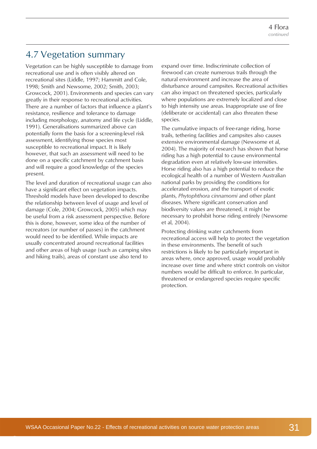#### <span id="page-32-0"></span>4.7 Vegetation summary

Vegetation can be highly susceptible to damage from recreational use and is often visibly altered on recreational sites (Liddle, 1997; Hammitt and Cole, 1998; Smith and Newsome, 2002; Smith, 2003; Growcock, 2001). Environments and species can vary greatly in their response to recreational activities. There are a number of factors that influence a plant's resistance, resilience and tolerance to damage including morphology, anatomy and life cycle (Liddle, 1991). Generalisations summarized above can potentially form the basis for a screening-level risk assessment, identifying those species most susceptible to recreational impact. It is likely however, that such an assessment will need to be done on a specific catchment by catchment basis and will require a good knowledge of the species present.

The level and duration of recreational usage can also have a significant effect on vegetation impacts. Threshold models have been developed to describe the relationship between level of usage and level of damage (Cole, 2004; Growcock, 2005) which may be useful from a risk assessment perspective. Before this is done, however, some idea of the number of recreators (or number of passes) in the catchment would need to be identified. While impacts are usually concentrated around recreational facilities and other areas of high usage (such as camping sites and hiking trails), areas of constant use also tend to

expand over time. Indiscriminate collection of firewood can create numerous trails through the natural environment and increase the area of disturbance around campsites. Recreational activities can also impact on threatened species, particularly where populations are extremely localized and close to high intensity use areas. Inappropriate use of fire (deliberate or accidental) can also threaten these species.

The cumulative impacts of free-range riding, horse trails, tethering facilities and campsites also causes extensive environmental damage (Newsome et al, 2004). The majority of research has shown that horse riding has a high potential to cause environmental degradation even at relatively low-use intensities. Horse riding also has a high potential to reduce the ecological health of a number of Western Australian national parks by providing the conditions for accelerated erosion, and the transport of exotic plants, *Phytophthora cinnamomi* and other plant diseases. Where significant conservation and biodiversity values are threatened, it might be necessary to prohibit horse riding entirely (Newsome et al, 2004).

Protecting drinking water catchments from recreational access will help to protect the vegetation in these environments. The benefit of such restrictions is likely to be particularly important in areas where, once approved, usage would probably increase over time and where strict controls on visitor numbers would be difficult to enforce. In particular, threatened or endangered species require specific protection.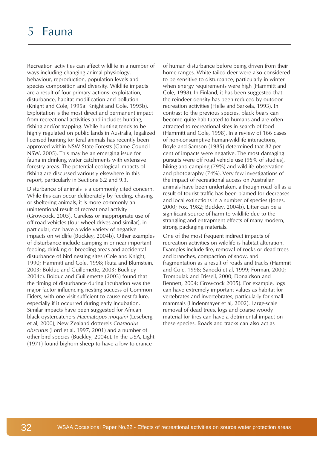Recreation activities can affect wildlife in a number of ways including changing animal physiology, behaviour, reproduction, population levels and species composition and diversity. Wildlife impacts are a result of four primary actions: exploitation, disturbance, habitat modification and pollution (Knight and Cole, 1995a: Knight and Cole, 1995b). Exploitation is the most direct and permanent impact from recreational activities and includes hunting, fishing and/or trapping. While hunting tends to be highly regulated on public lands in Australia, legalized licensed hunting for feral animals has recently been approved within NSW State Forests (Game Council NSW, 2005). This may be an emerging issue for fauna in drinking water catchments with extensive forestry areas. The potential ecological impacts of fishing are discussed variously elsewhere in this report, particularly in Sections 6.2 and 9.3.

Disturbance of animals is a commonly cited concern. While this can occur deliberately by feeding, chasing or sheltering animals, it is more commonly an unintentional result of recreational activity (Growcock, 2005). Careless or inappropriate use of off road vehicles (four wheel drives and similar), in particular, can have a wide variety of negative impacts on wildlife (Buckley, 2004b). Other examples of disturbance include camping in or near important feeding, drinking or breeding areas and accidental disturbance of bird nesting sites (Cole and Knight, 1990; Hammitt and Cole, 1998; Ikuta and Blumstein, 2003; Bolduc and Guillemette, 2003; Buckley 2004c). Bolduc and Guillemette (2003) found that the timing of disturbance during incubation was the major factor influencing nesting success of Common Eiders, with one visit sufficient to cause nest failure, especially if it occurred during early incubation. Similar impacts have been suggested for African black oystercatchers *Haematopus moquini* (Leseberg et al, 2000), New Zealand dotterels *Charadrius obscurus* (Lord et al, 1997, 2001) and a number of other bird species (Buckley, 2004c). In the USA, Light (1971) found bighorn sheep to have a low tolerance

of human disturbance before being driven from their home ranges. White tailed deer were also considered to be sensitive to disturbance, particularly in winter when energy requirements were high (Hammitt and Cole, 1998). In Finland, it has been suggested that the reindeer density has been reduced by outdoor recreation activities (Helle and Sarkela, 1993). In contrast to the previous species, black bears can become quite habituated to humans and are often attracted to recreational sites in search of food (Hammitt and Cole, 1998). In a review of 166 cases of non-consumptive human-wildlife interactions, Boyle and Samson (1985) determined that 82 per cent of impacts were negative. The most damaging pursuits were off road vehicle use (95% of studies), hiking and camping (79%) and wildlife observation and photography (74%). Very few investigations of the impact of recreational access on Australian animals have been undertaken, although road kill as a result of tourist traffic has been blamed for decreases and local extinctions in a number of species (Jones, 2000; Fox, 1982; Buckley, 2004b). Litter can be a significant source of harm to wildlife due to the strangling and entrapment effects of many modern, strong packaging materials.

One of the most frequent indirect impacts of recreation activities on wildlife is habitat alteration. Examples include fire, removal of rocks or dead trees and branches, compaction of snow, and fragmentation as a result of roads and tracks (Hammit and Cole, 1998; Sanecki et al, 1999; Forman, 2000; Trombulak and Frissell, 2000; Donaldson and Bennett, 2004; Growcock 2005). For example, logs can have extremely important values as habitat for vertebrates and invertebrates, particularly for small mammals (Lindenmayer et al, 2002). Large-scale removal of dead trees, logs and coarse woody material for fires can have a detrimental impact on these species. Roads and tracks can also act as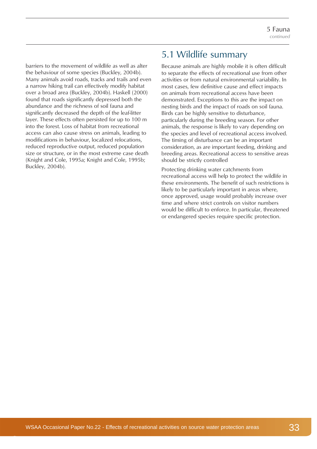<span id="page-34-0"></span>barriers to the movement of wildlife as well as alter the behaviour of some species (Buckley, 2004b). Many animals avoid roads, tracks and trails and even a narrow hiking trail can effectively modify habitat over a broad area (Buckley, 2004b). Haskell (2000) found that roads significantly depressed both the abundance and the richness of soil fauna and significantly decreased the depth of the leaf-litter layer. These effects often persisted for up to 100 m into the forest. Loss of habitat from recreational access can also cause stress on animals, leading to modifications in behaviour, localized relocations, reduced reproductive output, reduced population size or structure, or in the most extreme case death (Knight and Cole, 1995a; Knight and Cole, 1995b; Buckley, 2004b).

## 5.1 Wildlife summary

Because animals are highly mobile it is often difficult to separate the effects of recreational use from other activities or from natural environmental variability. In most cases, few definitive cause and effect impacts on animals from recreational access have been demonstrated. Exceptions to this are the impact on nesting birds and the impact of roads on soil fauna. Birds can be highly sensitive to disturbance, particularly during the breeding season. For other animals, the response is likely to vary depending on the species and level of recreational access involved. The timing of disturbance can be an important consideration, as are important feeding, drinking and breeding areas. Recreational access to sensitive areas should be strictly controlled

Protecting drinking water catchments from recreational access will help to protect the wildlife in these environments. The benefit of such restrictions is likely to be particularly important in areas where, once approved, usage would probably increase over time and where strict controls on visitor numbers would be difficult to enforce. In particular, threatened or endangered species require specific protection.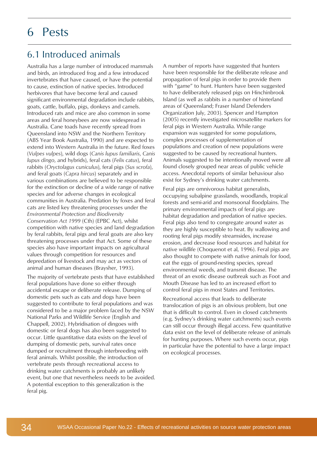# 6 Pests

#### 6.1 Introduced animals

Australia has a large number of introduced mammals and birds, an introduced frog and a few introduced invertebrates that have caused, or have the potential to cause, extinction of native species. Introduced herbivores that have become feral and caused significant environmental degradation include rabbits, goats, cattle, buffalo, pigs, donkeys and camels. Introduced rats and mice are also common in some areas and feral honeybees are now widespread in Australia. Cane toads have recently spread from Queensland into NSW and the Northern Territory (ABS Year Book Australia, 1990) and are expected to extend into Western Australia in the future. Red foxes (*Vulpes vulpes*), wild dogs (*Canis lupus familiaris*, *Canis lupus dingo*, and hybrids), feral cats (*Felix catus*), feral rabbits (*Oryctolagus cuniculus*), feral pigs (*Sus scrofa*), and feral goats (*Capra hircus*) separately and in various combinations are believed to be responsible for the extinction or decline of a wide range of native species and for adverse changes in ecological communities in Australia. Predation by foxes and feral cats are listed key threatening processes under the *Environmental Protection and Biodiversity Conservation Act 1999* (Cth) (EPBC Act), whilst competition with native species and land degradation by feral rabbits, feral pigs and feral goats are also key threatening processes under that Act. Some of these species also have important impacts on agricultural values through competition for resources and depredation of livestock and may act as vectors of animal and human diseases (Braysher, 1993).

The majority of vertebrate pests that have established feral populations have done so either through accidental escape or deliberate release. Dumping of domestic pets such as cats and dogs have been suggested to contribute to feral populations and was considered to be a major problem faced by the NSW National Parks and Wildlife Service (English and Chappell, 2002). Hybridisation of dingoes with domestic or feral dogs has also been suggested to occur. Little quantitative data exists on the level of dumping of domestic pets, survival rates once dumped or recruitment through interbreeding with feral animals. Whilst possible, the introduction of vertebrate pests through recreational access to drinking water catchments is probably an unlikely event, but one that nevertheless needs to be avoided. A potential exception to this generalization is the feral pig.

A number of reports have suggested that hunters have been responsible for the deliberate release and propagation of feral pigs in order to provide them with "game" to hunt. Hunters have been suggested to have deliberately released pigs on Hinchinbrook Island (as well as rabbits in a number of hinterland areas of Queensland; Fraser Island Defenders Organization July, 2003). Spencer and Hampton (2005) recently investigated microsatellite markers for feral pigs in Western Australia. While range expansion was suggested for some populations, complex processes of supplementation of populations and creation of new populations were suggested to be caused by recreational hunters. Animals suggested to be intentionally moved were all found closely grouped near areas of public vehicle access. Anecdotal reports of similar behaviour also exist for Sydney's drinking water catchments.

Feral pigs are omnivorous habitat generalists, occupying subalpine grasslands, woodlands, tropical forests and semi-arid and monsoonal floodplains. The primary environmental impacts of feral pigs are habitat degradation and predation of native species. Feral pigs also tend to congregate around water as they are highly susceptible to heat. By wallowing and rooting feral pigs modify streamsides, increase erosion, and decrease food resources and habitat for native wildlife (Choquenot et al, 1996). Feral pigs are also thought to compete with native animals for food, eat the eggs of ground-nesting species, spread environmental weeds, and transmit disease. The threat of an exotic disease outbreak such as Foot and Mouth Disease has led to an increased effort to control feral pigs in most States and Territories.

Recreational access that leads to deliberate translocation of pigs is an obvious problem, but one that is difficult to control. Even in closed catchments (e.g. Sydney's drinking water catchments) such events can still occur through illegal access. Few quantitative data exist on the level of deliberate release of animals for hunting purposes. Where such events occur, pigs in particular have the potential to have a large impact on ecological processes.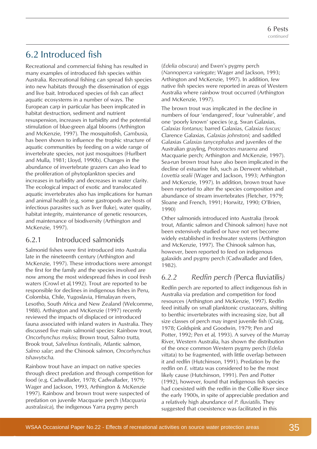# 6.2 Introduced fish

Recreational and commercial fishing has resulted in many examples of introduced fish species within Australia. Recreational fishing can spread fish species into new habitats through the dissemination of eggs and live bait. Introduced species of fish can affect aquatic ecosystems in a number of ways. The European carp in particular has been implicated in habitat destruction, sediment and nutrient resuspension, increases in turbidity and the potential stimulation of blue-green algal blooms (Arthington and McKenzie, 1997). The mosquitofish, *Gambusia*, has been shown to influence the trophic structure of aquatic communities by feeding on a wide range of invertebrate species, not just mosquitoes (Hurlbert and Mulla, 1981; Lloyd, 1990b). Changes in the abundance of invertebrate grazers can also lead to the proliferation of phytoplankton species and increases in turbidity and decreases in water clarity. The ecological impact of exotic and translocated aquatic invertebrates also has implications for human and animal health (e.g. some gastropods are hosts of infectious parasites such as liver fluke), water quality, habitat integrity, maintenance of genetic resources, and maintenance of biodiversity (Arthington and McKenzie, 1997).

### 6.2.1 Introduced salmonids

Salmonid fishes were first introduced into Australia late in the nineteenth century (Arthington and McKenzie, 1997). These introductions were amongst the first for the family and the species involved are now among the most widespread fishes in cool fresh waters (Crowl et al*,*1992). Trout are reported to be responsible for declines in indigenous fishes in Peru, Colombia, Chile, Yugoslavia, Himalayan rivers, Lesotho, South Africa and New Zealand (Welcomme, 1988). Arthington and McKenzie (1997) recently reviewed the impacts of displaced or introduced fauna associated with inland waters in Australia. They discussed five main salmonid species: Rainbow trout, *Oncorhynchus mykiss;* Brown trout, *Salmo trutta,* Brook trout, *Salvelinus fontinalis*, Atlantic salmon, *Salmo salar*; and the Chinook salmon, *Oncorhynchus tshawytscha.*

Rainbow trout have an impact on native species through direct predation and through competition for food (e.g. Cadwallader, 1978; Cadwallader, 1979; Wager and Jackson, 1993, Arthington & McKenzie 1997). Rainbow and brown trout were suspected of predation on juvenile Macquarie perch (*Macquaria australasica*)*,* the indigenous Yarra pygmy perch

(*Edelia obscura*) and Ewen's pygmy perch (*Nannoperca variegate*; Wager and Jackson, 1993; Arthington and McKenzie, 1997). In addition, few native fish species were reported in areas of Western Australia where rainbow trout occurred (Arthington and McKenzie, 1997).

The brown trout was implicated in the decline in numbers of four 'endangered', four 'vulnerable', and one 'poorly known' species (e.g. Swan Galaxias, *Galaxias fontanus;* barred Galaxias, *Galaxias fuscus;* Clarence Galaxias, *Galaxias johnstoni*; and saddled Galaxias *Galaxias tanycephalus* and juveniles of the Australian grayling, *Prototroctes maraena* and Macquarie perch; Arthington and McKenzie, 1997). Sea-run brown trout have also been implicated in the decline of estuarine fish, such as Derwent whitebait , *Lovettia sealii* (Wager and Jackson, 1993; Arthington and McKenzie, 1997). In addition, brown trout have been reported to alter the species composition and abundance of stream invertebrates (Fletcher, 1979; Sloane and French, 1991; Horwitz, 1990; O'Brien, 1990)

Other salmonids introduced into Australia (brook trout, Atlantic salmon and Chinook salmon) have not been extensively studied or have not yet become widely established in freshwater systems (Arthington and McKenzie, 1997). The Chinook salmon has, however, been reported to feed on indigenous galaxiids and pygmy perch (Cadwallader and Eden, 1982).

### *6.2.2 Redfin perch (*Perca fluviatilis*)*

Redfin perch are reported to affect indigenous fish in Australia via predation and competition for food resources (Arthington and McKenzie, 1997). Redfin feed initially on small planktonic crustaceans, shifting to benthic invertebrates with increasing size, but all size classes of perch may ingest juvenile fish (Craig, 1978; Goldspink and Goodwin, 1979; Pen and Potter, 1992; Pen et al*,* 1993). A survey of the Murray River, Western Australia, has shown the distribution of the once common Western pygmy perch (*Edelia vittata*) to be fragmented, with little overlap between it and redfin (Hutchinson, 1991). Predation by the redfin on *E. vittata* was considered to be the most likely cause (Hutchinson, 1991). Pen and Potter (1992), however, found that indigenous fish species had coexisted with the redfin in the Collie River since the early 1900s, in spite of appreciable predation and a relatively high abundance of *P. fluviatilis*. They suggested that coexistence was facilitated in this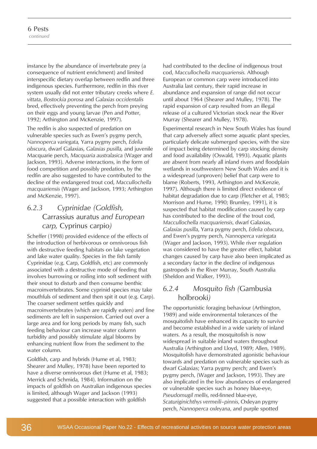instance by the abundance of invertebrate prey (a consequence of nutrient enrichment) and limited interspecific dietary overlap between redfin and three indigenous species. Furthermore, redfin in this river system usually did not enter tributary creeks where *E. vittata*, *Bostockia porosa* and *Galaxias occidentalis* bred, effectively preventing the perch from preying on their eggs and young larvae (Pen and Potter, 1992; Arthington and McKenzie, 1997).

The redfin is also suspected of predation on vulnerable species such as Ewen's pygmy perch, *Nannoperca variegata,* Yarra pygmy perch, *Edelia obscura*, dwarf Galaxias, *Galaxias pusilla,* and juvenile Macquarie perch, *Macquaria australasica* (Wager and Jackson, 1993). Adverse interactions, in the form of food competition and possibly predation, by the redfin are also suggested to have contributed to the decline of the endangered trout cod, *Maccullochella macquariensis* (Wager and Jackson, 1993; Arthington and McKenzie, 1997).

### *6.2.3 Cyprinidae (Goldfish,* Carrassius auratus *and European carp,* Cyprinus carpio*)*

Scheffer (1998) provided evidence of the effects of the introduction of herbivorous or omnivorous fish with destructive feeding habitats on lake vegetation and lake water quality. Species in the fish family Cyprinidae (e.g. Carp, Goldfish, etc) are commonly associated with a destructive mode of feeding that involves burrowing or roiling into soft sediment with their snout to disturb and then consume benthic macroinvertebrates. Some cyprinid species may take mouthfuls of sediment and then spit it out (e.g. Carp). The coarser sediment settles quickly and macroinvertebrates (which are rapidly eaten) and fine sediments are left in suspension. Carried out over a large area and for long periods by many fish, such feeding behaviour can increase water column turbidity and possibly stimulate algal blooms by enhancing nutrient flow from the sediment to the water column.

Goldfish, carp and hybrids (Hume et al, 1983; Shearer and Mulley, 1978) have been reported to have a diverse omnivorous diet (Hume et al, 1983; Merrick and Schmida, 1984). Information on the impacts of goldfish on Australian indigenous species is limited, although Wager and Jackson (1993) suggested that a possible interaction with goldfish

had contributed to the decline of indigenous trout cod, *Maccullochella macquariensis.* Although European or common carp were introduced into Australia last century, their rapid increase in abundance and expansion of range did not occur until about 1964 (Shearer and Mulley, 1978). The rapid expansion of carp resulted from an illegal release of a cultured Victorian stock near the River Murray (Shearer and Mulley, 1978).

Experimental research in New South Wales has found that carp adversely affect some aquatic plant species, particularly delicate submerged species, with the size of impact being determined by carp stocking density and food availability (Oswald, 1993). Aquatic plants are absent from nearly all inland rivers and floodplain wetlands in southwestern New South Wales and it is a widespread (unproven) belief that carp were to blame (Roberts, 1993, Arthington and McKenzie, 1997). Although there is limited direct evidence of habitat degradation due to carp (Fletcher et al, 1985; Morrison and Hume, 1990; Brumley, 1991), it is suspected that habitat modification caused by carp has contributed to the decline of the trout cod, *Maccullochella macquariensis*, dwarf Galaxias, *Galaxias pusilla*, Yarra pygmy perch, *Edelia obscura*, and Ewen's pygmy perch, *Nannoperca variegata* (Wager and Jackson, 1993). While river regulation was considered to have the greater effect, habitat changes caused by carp have also been implicated as a secondary factor in the decline of indigenous gastropods in the River Murray, South Australia (Sheldon and Walker, 1993).

### *6.2.4 Mosquito fish (*Gambusia holbrooki*)*

The opportunistic foraging behaviour (Arthington, 1989) and wide environmental tolerances of the mosquitofish have enhanced its capacity to survive and become established in a wide variety of inland waters. As a result, the mosquitofish is now widespread in suitable inland waters throughout Australia (Arthington and Lloyd, 1989; Allen, 1989). Mosquitofish have demonstrated agonistic behaviour towards and predation on vulnerable species such as dwarf Galaxias; Yarra pygmy perch; and Ewen's pygmy perch, (Wager and Jackson, 1993). They are also implicated in the low abundances of endangered or vulnerable species such as honey blue-eye, *Pseudomugil mellis*, red-finned blue-eye, *Scaturiginichthys vermeili–pinnis*, Oxleyan pygmy perch, *Nannoperca oxleyana*, and purple spotted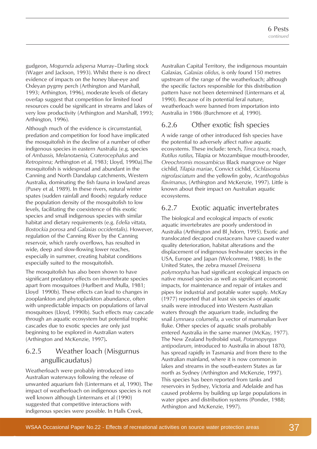gudgeon, *Mogurnda adspersa* Murray–Darling stock (Wager and Jackson, 1993). Whilst there is no direct evidence of impacts on the honey blue-eye and Oxleyan pygmy perch (Arthington and Marshall, 1993; Arthington, 1996), moderate levels of dietary overlap suggest that competition for limited food resources could be significant in streams and lakes of very low productivity (Arthington and Marshall, 1993; Arthington, 1996).

Although much of the evidence is circumstantial, predation and competition for food have implicated the mosquitofish in the decline of a number of other indigenous species in eastern Australia (e.g. species of *Ambassis, Melanotaenia, Craterocephalus* and *Retropinna*; Arthington et al, 1983; Lloyd, 1990a).The mosquitofish is widespread and abundant in the Canning and North Dandalup catchments, Western Australia, dominating the fish fauna in lowland areas (Pusey et al*,* 1989). In these rivers, natural winter spates (sudden rainfall and floods) regularly reduce the population density of the mosquitofish to low levels, facilitating the coexistence of this exotic species and small indigenous species with similar habitat and dietary requirements (e.g. *Edelia vittata*, *Bostockia porosa* and *Galaxias occidentalis)*. However, regulation of the Canning River by the Canning reservoir, which rarely overflows, has resulted in wide, deep and slow-flowing lower reaches, especially in summer, creating habitat conditions especially suited to the mosquitofish.

The mosquitofish has also been shown to have significant predatory effects on invertebrate species apart from mosquitoes (Hurlbert and Mulla, 1981; Lloyd 1990b). These effects can lead to changes in zooplankton and phytoplankton abundance, often with unpredictable impacts on populations of larval mosquitoes (Lloyd, 1990b). Such effects may cascade through an aquatic ecosystem but potential trophic cascades due to exotic species are only just beginning to be explored in Australian waters (Arthington and McKenzie, 1997)**.**

### 6.2.5 Weather loach (Misgurnus angullicaudatus)

Weatherloach were probably introduced into Australian waterways following the release of unwanted aquarium fish (Lintermans et al, 1990). The impact of weatherloach on indigenous species is not well known although Lintermans et al (1990) suggested that competitive interactions with indigenous species were possible. In Halls Creek,

Australian Capital Territory, the indigenous mountain Galaxias*, Galaxias olidus*, is only found 150 metres upstream of the range of the weatherloach; although the specific factors responsible for this distribution pattern have not been determined (Lintermans et al*,* 1990). Because of its potential feral nature, weatherloach were banned from importation into Australia in 1986 (Burchmore et al*,* 1990).

### 6.2.6 Other exotic fish species

A wide range of other introduced fish species have the potential to adversely affect native aquatic ecosystems. These include: tench, *Tinca tinca*, roach, *Rutilus rutilus*, Tilapia or Mozambique mouth-brooder, *Oreochromis mossambicus* Black mangrove or Niger cichlid, *Tilapia mariae*, Convict cichlid, *Cichlasoma nigrofasciatum* and the yellowfin goby, *Acanthogobius flavimanus*, (Arthington and McKenzie, 1997). Little is known about their impact on Australian aquatic ecosystems.

### 6.2.7 Exotic aquatic invertebrates

The biological and ecological impacts of exotic aquatic invertebrates are poorly understood in Australia (Arthington and Bl¸hdorn, 1995). Exotic and translocated decapod crustaceans have caused water quality deterioration, habitat alterations and the displacement of indigenous freshwater species in the USA, Europe and Japan (Welcomme, 1988). In the United States, the zebra mussel *Dreissena polymorpha* has had significant ecological impacts on native mussel species as well as significant economic impacts, for maintenance and repair of intakes and pipes for industrial and potable water supply. McKay (1977) reported that at least six species of aquatic snails were introduced into Western Australian waters through the aquarium trade, including the snail *Lymnaea columella,* a vector of mammalian liver fluke. Other species of aquatic snails probably entered Australia in the same manner (McKay, 1977). The New Zealand hydrobiid snail, *Potamopyrgus antipodarum*, introduced to Australia in about 1870, has spread rapidly in Tasmania and from there to the Australian mainland, where it is now common in lakes and streams in the south-eastern States as far north as Sydney (Arthington and McKenzie, 1997). This species has been reported from tanks and reservoirs in Sydney, Victoria and Adelaide and has caused problems by building up large populations in water pipes and distribution systems (Ponder, 1988; Arthington and McKenzie, 1997).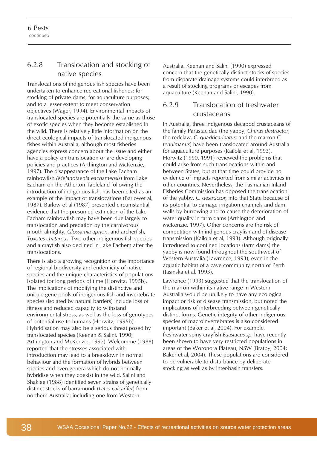### 6.2.8 Translocation and stocking of native species

Translocations of indigenous fish species have been undertaken to enhance recreational fisheries; for stocking of private dams; for aquaculture purposes; and to a lesser extent to meet conservation objectives (Wager, 1994). Environmental impacts of translocated species are potentially the same as those of exotic species when they become established in the wild. There is relatively little information on the direct ecological impacts of translocated indigenous fishes within Australia, although most fisheries agencies express concern about the issue and either have a policy on translocation or are developing policies and practices (Arthington and McKenzie, 1997). The disappearance of the Lake Eacham rainbowfish *(Melanotaenia eachamensis*) from Lake Eacham on the Atherton Tableland following the introduction of indigenous fish, has been cited as an example of the impact of translocations (Barlowet al*,* 1987). Barlow et al (1987) presented circumstantial evidence that the presumed extinction of the Lake Eacham rainbowfish may have been due largely to translocation and predation by the carnivorous mouth almighty, *Glossamia aprion*, and archerfish, *Toxotes chatareus*. Two other indigenous fish species and a crayfish also declined in Lake Eachem after the translocations.

There is also a growing recognition of the importance of regional biodiversity and endemicity of native species and the unique characteristics of populations isolated for long periods of time (Horwitz, 1995b). The implications of modifying the distinctive and unique gene pools of indigenous fish and invertebrate species (isolated by natural barriers) include loss of fitness and reduced capacity to withstand environmental stress, as well as the loss of genotypes of potential use to humans (Horwitz, 1995b). Hybridisation may also be a serious threat posed by translocated species (Keenan & Salini, 1990; Arthington and McKenzie, 1997). Welcomme (1988) reported that the stresses associated with introduction may lead to a breakdown in normal behaviour and the formation of hybrids between species and even genera which do not normally hybridise when they coexist in the wild. Salini and Shaklee (1988) identified seven strains of genetically distinct stocks of barramundi (*Lates calcarifer*) from northern Australia; including one from Western

Australia. Keenan and Salini (1990) expressed concern that the genetically distinct stocks of species from disparate drainage systems could interbreed as a result of stocking programs or escapes from aquaculture (Keenan and Salini, 1990).

### 6.2.9 Translocation of freshwater crustaceans

In Australia, three indigenous decapod crustaceans of the family Parastacidae (the yabby, *Cherax destructor*; the redclaw, *C. quadricarinatus;* and the marron *C. tenuimanus*) have been translocated around Australia for aquaculture purposes (Kailola et al, 1993). Horwitz (1990, 1991) reviewed the problems that could arise from such translocations within and between States, but at that time could provide no evidence of impacts reported from similar activities in other countries. Nevertheless, the Tasmanian Inland Fisheries Commission has opposed the translocation of the yabby, *C. destructor,* into that State because of its potential to damage irrigation channels and dam walls by burrowing and to cause the deterioration of water quality in farm dams (Arthington and McKenzie, 1997). Other concerns are the risk of competition with indigenous crayfish and of disease transmission (Kailola et al*,* 1993). Although originally introduced to confined locations (farm dams) the yabby is now found throughout the south-west of Western Australia (Lawrence, 1993), even in the aquatic habitat of a cave community north of Perth (Jasinska et al*,* 1993).

Lawrence (1993) suggested that the translocation of the marron within its native range in Western Australia would be unlikely to have any ecological impact or risk of disease transmission, but noted the implications of interbreeding between genetically distinct forms. Genetic integrity of other indigenous species of macroinvertebrates is also considered important (Baker et al, 2004). For example, freshwater spiny crayfish *Euastacus sp.* have recently been shown to have very restricted populations in areas of the Woronora Plateau, NSW (Bratby, 2004; Baker et al, 2004). These populations are considered to be vulnerable to disturbance by deliberate stocking as well as by inter-basin transfers.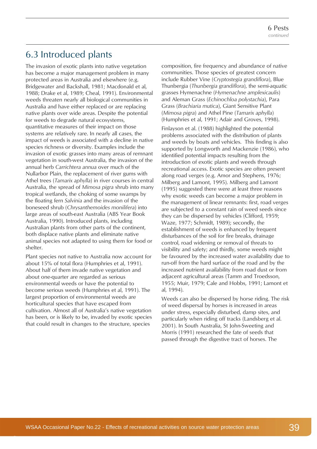# 6.3 Introduced plants

The invasion of exotic plants into native vegetation has become a major management problem in many protected areas in Australia and elsewhere (e.g. Bridgewater and Backshall, 1981; Macdonald et al, 1988; Drake et al, 1989; Cheal, 1991). Environmental weeds threaten nearly all biological communities in Australia and have either replaced or are replacing native plants over wide areas. Despite the potential for weeds to degrade natural ecosystems, quantitative measures of their impact on those systems are relatively rare. In nearly all cases, the impact of weeds is associated with a decline in native species richness or diversity. Examples include the invasion of exotic grasses into many areas of remnant vegetation in south-west Australia, the invasion of the annual herb *Carrichtera annua* over much of the Nullarbor Plain, the replacement of river gums with Athel trees (*Tamarix aphylla*) in river courses in central Australia, the spread of *Mimosa pigra* shrub into many tropical wetlands, the choking of some swamps by the floating fern *Salvinia* and the invasion of the boneseed shrub (*Chrysanthemoides monilifera*) into large areas of south-east Australia (ABS Year Book Australia, 1990). Introduced plants, including Australian plants from other parts of the continent, both displace native plants and eliminate native animal species not adapted to using them for food or shelter.

Plant species not native to Australia now account for about 15% of total flora (Humphries et al, 1991). About half of them invade native vegetation and about one-quarter are regarded as serious environmental weeds or have the potential to become serious weeds (Humphries et al, 1991). The largest proportion of environmental weeds are horticultural species that have escaped from cultivation. Almost all of Australia's native vegetation has been, or is likely to be, invaded by exotic species that could result in changes to the structure, species

composition, fire frequency and abundance of native communities. Those species of greatest concern include Rubber Vine (*Cryptostegia grandiflora*), Blue Thunbergia (*Thunbergia grandiflora*), the semi-aquatic grasses Hymenachne (*Hymenachne amplexicaulis*) and Aleman Grass (*Echinochloa polystachia*), Para Grass (*Brachiaria mutica*), Giant Sensitive Plant (*Mimosa pigra*) and Athel Pine (*Tamarix aphylla*) (Humphries et al, 1991; Adair and Groves, 1998).

Finlayson et al. (1988) highlighted the potential problems associated with the distribution of plants and weeds by boats and vehicles. This finding is also supported by Longworth and Mackenzie (1986), who identified potential impacts resulting from the introduction of exotic plants and weeds through recreational access. Exotic species are often present along road verges (e.g. Amor and Stephens, 1976; Milberg and Lamont, 1995). Milberg and Lamont (1995) suggested there were at least three reasons why exotic weeds can become a major problem in the management of linear remnants: first, road verges are subjected to a constant rain of weed seeds since they can be dispersed by vehicles (Clifford, 1959; Waze, 1977; Schmidt, 1989); secondly, the establishment of weeds is enhanced by frequent disturbances of the soil for fire breaks, drainage control, road widening or removal of threats to visibility and safety; and thirdly, some weeds might be favoured by the increased water availability due to run-off from the hard surface of the road and by the increased nutrient availability from road dust or from adjacent agricultural areas (Tamm and Troedsson, 1955; Muir, 1979; Cale and Hobbs, 1991; Lamont et al, 1994).

Weeds can also be dispersed by horse riding. The risk of weed dispersal by horses is increased in areas under stress, especially disturbed, damp sites, and particularly when riding off tracks (Landsberg et al. 2001). In South Australia, St John-Sweeting and Morris (1991) researched the fate of seeds that passed through the digestive tract of horses. The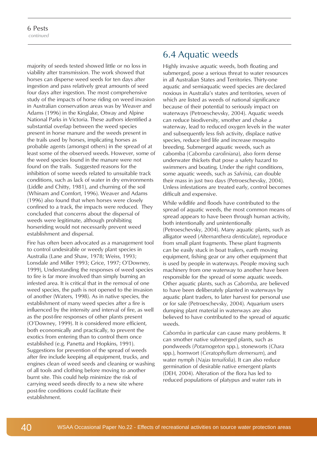majority of seeds tested showed little or no loss in viability after transmission. The work showed that horses can disperse weed seeds for ten days after ingestion and pass relatively great amounts of seed four days after ingestion. The most comprehensive study of the impacts of horse riding on weed invasion in Australian conservation areas was by Weaver and Adams (1996) in the Kinglake, Otway and Alpine National Parks in Victoria. These authors identified a substantial overlap between the weed species present in horse manure and the weeds present in the trails used by horses, implicating horses as probable agents (amongst others) in the spread of at least some of the observed weeds. However, some of the weed species found in the manure were not found on the trails. Suggested reasons for the inhibition of some weeds related to unsuitable track conditions, such as lack of water in dry environments (Liddle and Chitty, 1981), and churning of the soil (Whinam and Comfort, 1996). Weaver and Adams (1996) also found that when horses were closely confined to a track, the impacts were reduced. They concluded that concerns about the dispersal of weeds were legitimate, although prohibiting horseriding would not necessarily prevent weed establishment and dispersal.

Fire has often been advocated as a management tool to control undesirable or weedy plant species in Australia (Lane and Shaw, 1978; Weiss, 1993; Lonsdale and Miller 1993; Grice, 1997; O'Downey, 1999), Understanding the responses of weed species to fire is far more involved than simply burning an infested area. It is critical that in the removal of one weed species, the path is not opened to the invasion of another (Waters, 1998). As in native species, the establishment of many weed species after a fire is influenced by the intensity and interval of fire, as well as the post-fire responses of other plants present (O'Downey, 1999). It is considered more efficient, both economically and practically, to prevent the exotics from entering than to control them once established (e.g. Panetta and Hopkins, 1991). Suggestions for prevention of the spread of weeds after fire include keeping all equipment, trucks, and engines clean of weed seeds and cleaning or washing of all tools and clothing before moving to another burnt site. This could help minimize the risk of carrying weed seeds directly to a new site where post-fire conditions could facilitate their establishment.

# 6.4 Aquatic weeds

Highly invasive aquatic weeds, both floating and submerged, pose a serious threat to water resources in all Australian States and Territories. Thirty-one aquatic and semiaquatic weed species are declared noxious in Australia's states and territories, seven of which are listed as weeds of national significance because of their potential to seriously impact on waterways (Petroeschevsky, 2004). Aquatic weeds can reduce biodiversity, smother and choke a waterway, lead to reduced oxygen levels in the water and subsequently less fish activity, displace native species, reduce bird life and increase mosquito breeding. Submerged aquatic weeds, such as cabomba (*Cabomba caroliniana*), also form dense underwater thickets that pose a safety hazard to swimmers and boating. Under the right conditions, some aquatic weeds, such as *Salvinia*, can double their mass in just two days (Petroeschevsky, 2004). Unless infestations are treated early, control becomes difficult and expensive.

While wildlife and floods have contributed to the spread of aquatic weeds, the most common means of spread appears to have been through human activity, both intentionally and unintentionally (Petroeschevsky, 2004). Many aquatic plants, such as alligator weed (*Alternanthera denticulate*), reproduce from small plant fragments. These plant fragments can be easily stuck in boat trailers, earth moving equipment, fishing gear or any other equipment that is used by people in waterways. People moving such machinery from one waterway to another have been responsible for the spread of some aquatic weeds. Other aquatic plants, such as *Cabomba*, are believed to have been deliberately planted in waterways by aquatic plant traders, to later harvest for personal use or for sale (Petroeschevsky, 2004). Aquarium users dumping plant material in waterways are also believed to have contributed to the spread of aquatic weeds.

*Cabomba* in particular can cause many problems. It can smother native submerged plants, such as pondweeds (*Potamogeton* spp.), stoneworts (*Chara* spp.), hornwort (*Ceratophyllum demersum*), and water nymph (*Najas tenuifolia*). It can also reduce germination of desirable native emergent plants (DEH, 2004). Alteration of the flora has led to reduced populations of platypus and water rats in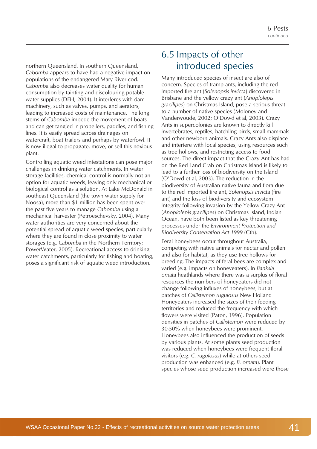northern Queensland. In southern Queensland, *Cabomba* appears to have had a negative impact on populations of the endangered Mary River cod. *Cabomba* also decreases water quality for human consumption by tainting and discolouring potable water supplies (DEH, 2004). It interferes with dam machinery, such as valves, pumps, and aerators, leading to increased costs of maintenance. The long stems of *Cabomba* impede the movement of boats and can get tangled in propellers, paddles, and fishing lines. It is easily spread across drainages on watercraft, boat trailers and perhaps by waterfowl. It is now illegal to propagate, move, or sell this noxious plant.

Controlling aquatic weed infestations can pose major challenges in drinking water catchments. In water storage facilities, chemical control is normally not an option for aquatic weeds, leaving only mechanical or biological control as a solution. At Lake McDonald in southeast Queensland (the town water supply for Noosa), more than \$1 million has been spent over the past five years to manage *Cabomba* using a mechanical harvester (Petroeschevsky, 2004). Many water authorities are very concerned about the potential spread of aquatic weed species, particularly where they are found in close proximity to water storages (e.g. *Cabomba* in the Northern Territory; PowerWater, 2005). Recreational access to drinking water catchments, particularly for fishing and boating, poses a significant risk of aquatic weed introduction.

# 6.5 Impacts of other introduced species

Many introduced species of insect are also of concern. Species of tramp ants, including the red imported fire ant (*Solenopsis invicta*) discovered in Brisbane and the yellow crazy ant (*Anoplolepis gracilipes*) on Christmas Island, pose a serious threat to a number of native species (Moloney and Vanderwoude, 2002; O'Dowd et al, 2003). Crazy Ants in supercolonies are known to directly kill invertebrates, reptiles, hatchling birds, small mammals and other newborn animals. Crazy Ants also displace and interfere with local species, using resources such as tree hollows, and restricting access to food sources. The direct impact that the Crazy Ant has had on the Red Land Crab on Christmas Island is likely to lead to a further loss of biodiversity on the Island (O'Dowd et al, 2003). The reduction in the biodiversity of Australian native fauna and flora due to the red imported fire ant, *Solenopsis invicta* (fire ant) and the loss of biodiversity and ecosystem integrity following invasion by the Yellow Crazy Ant (*Anoplolepis gracilipes*) on Christmas Island, Indian Ocean, have both been listed as key threatening processes under the *Environment Protection and Biodiversity Conservation Act 1999* (Cth)*.*

Feral honeybees occur throughout Australia, competing with native animals for nectar and pollen and also for habitat, as they use tree hollows for breeding. The impacts of feral bees are complex and varied (e.g. impacts on honeyeaters). In *Banksia ornata* heathlands where there was a surplus of floral resources the numbers of honeyeaters did not change following influxes of honeybees, but at patches of *Callistemon rugulosus* New Holland Honeyeaters increased the sizes of their feeding territories and reduced the frequency with which flowers were visited (Paton, 1996). Population densities in patches of *Callistemon* were reduced by 30-50% when honeybees were prominent. Honeybees also influenced the production of seeds by various plants. At some plants seed production was reduced when honeybees were frequent floral visitors (e.g. *C. rugulosus*) while at others seed production was enhanced (e.g. *B. ornata*). Plant species whose seed production increased were those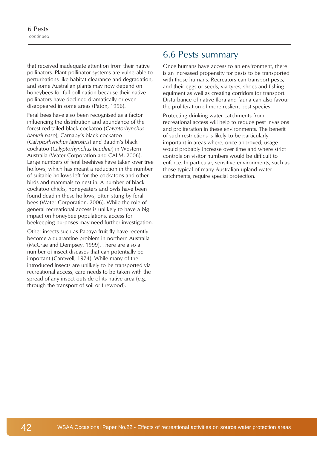that received inadequate attention from their native pollinators. Plant pollinator systems are vulnerable to perturbations like habitat clearance and degradation, and some Australian plants may now depend on honeybees for full pollination because their native pollinators have declined dramatically or even disappeared in some areas (Paton, 1996).

Feral bees have also been recognised as a factor influencing the distribution and abundance of the forest red-tailed black cockatoo (*Calyptorhynchus banksii naso*), Carnaby's black cockatoo (*Calyptorhynchus latirostris*) and Baudin's black cockatoo (*Calyptorhynchus baudinii*) in Western Australia (Water Corporation and CALM, 2006). Large numbers of feral beehives have taken over tree hollows, which has meant a reduction in the number of suitable hollows left for the cockatoos and other birds and mammals to nest in. A number of black cockatoo chicks, honeyeaters and owls have been found dead in these hollows, often stung by feral bees (Water Corporation, 2006). While the role of general recreational access is unlikely to have a big impact on honeybee populations, access for beekeeping purposes may need further investigation.

Other insects such as Papaya fruit fly have recently become a quarantine problem in northern Australia (McCrae and Dempsey, 1999). There are also a number of insect diseases that can potentially be important (Cantwell, 1974). While many of the introduced insects are unlikely to be transported via recreational access, care needs to be taken with the spread of any insect outside of its native area (e.g. through the transport of soil or firewood).

# 6.6 Pests summary

Once humans have access to an environment, there is an increased propensity for pests to be transported with those humans. Recreators can transport pests, and their eggs or seeds, via tyres, shoes and fishing equiment as well as creating corridors for transport. Disturbance of native flora and fauna can also favour the proliferation of more reslient pest species.

Protecting drinking water catchments from recreational access will help to reduce pest invasions and proliferation in these environments. The benefit of such restrictions is likely to be particularly important in areas where, once approved, usage would probably increase over time and where strict controls on visitor numbers would be difficult to enforce. In particular, sensitive environments, such as those typical of many Australian upland water catchments, require special protection.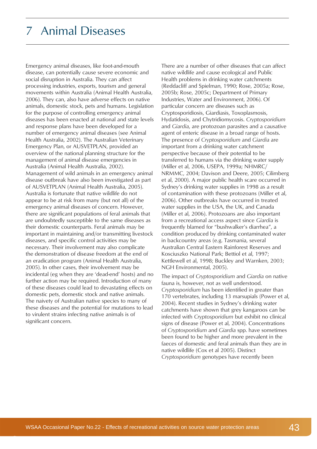# 7 Animal Diseases

Emergency animal diseases, like foot-and-mouth disease, can potentially cause severe economic and social disruption in Australia. They can affect processing industries, exports, tourism and general movements within Australia (Animal Health Australia, 2006). They can, also have adverse effects on native animals, domestic stock, pets and humans. Legislation for the purpose of controlling emergency animal diseases has been enacted at national and state levels and response plans have been developed for a number of emergency animal diseases (see Animal Health Australia, 2002). The Australian Veterinary Emergency Plan, or AUSVETPLAN, provided an overview of the national planning structure for the management of animal disease emergencies in Australia (Animal Health Australia, 2002). Management of wild animals in an emergency animal disease outbreak have also been investigated as part of AUSVETPLAN (Animal Health Australia, 2005). Australia is fortunate that native wildlife do not appear to be at risk from many (but not all) of the emergency animal diseases of concern. However, there are significant populations of feral animals that are undoubtedly susceptible to the same diseases as their domestic counterparts. Feral animals may be important in maintaining and/or transmitting livestock diseases, and specific control activities may be necessary. Their involvement may also complicate the demonstration of disease freedom at the end of an eradication program (Animal Health Australia, 2005). In other cases, their involvement may be incidental (eg when they are 'dead-end' hosts) and no further action may be required. Introduction of many of these diseases could lead to devastating effects on domestic pets, domestic stock and native animals. The naivety of Australian native species to many of these diseases and the potential for mutations to lead to virulent strains infecting native animals is of significant concern.

There are a number of other diseases that can affect native wildlife and cause ecological and Public Health problems in drinking water catchments (Reddacliff and Spielman, 1990; Rose, 2005a; Rose, 2005b; Rose, 2005c; Department of Primary Industries, Water and Environment, 2006). Of particular concern are diseases such as Cryptosporidiosis, Giardiasis, Toxoplasmosis, Hydatidosis, and Chytridiomycosis. *Cryptosporidium* and *Giardia*, are protozoan parasites and a causative agent of enteric disease in a broad range of hosts. The presence of *Cryptosporidium* and *Giardia* are important from a drinking water catchment perspective because of their potential to be transferred to humans via the drinking water supply (Miller et al, 2006, USEPA, 1999a; NHMRC/ NRMMC, 2004; Davison and Deere, 2005; Cilimberg et al, 2000). A major public health scare occurred in Sydney's drinking water supplies in 1998 as a result of contamination with these protozoans (Miller et al, 2006). Other outbreaks have occurred in treated water supplies in the USA, the UK, and Canada (Miller et al, 2006). Protozoans are also important from a recreational access aspect since *Giardia* is frequently blamed for "bushwalker's diarrhea", a condition produced by drinking contaminated water in backcountry areas (e.g. Tasmania, several Australian Central Eastern Rainforest Reserves and Kosciuszko National Park; Bettiol et al, 1997; Kettlewell et al, 1998; Buckley and Warnken, 2003; NGH Environmental, 2005).

The impact of *Cryptosporidium* and *Giardia* on native fauna is, however, not as well understood. *Cryptosporidium* has been identified in greater than 170 vertebrates, including 13 marsupials (Power et al, 2004). Recent studies in Sydney's drinking water catchments have shown that grey kangaroos can be infected with *Cryptosporidium* but exhibit no clinical signs of disease (Power et al, 2004). Concentrations of *Cryptosporidium* and *Giardia* spp. have sometimes been found to be higher and more prevalent in the faeces of domestic and feral animals than they are in native wildlife (Cox et al 2005). Distinct *Cryptosporidium* genotypes have recently been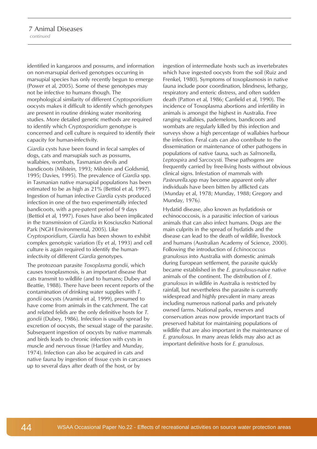identified in kangaroos and possums, and information on non-marsupial derived genotypes occurring in marsupial species has only recently begun to emerge (Power et al, 2005). Some of these genotypes may not be infective to humans though. The morphological similarity of different *Cryptosporidium* oocysts makes it difficult to identify which genotypes are present in routine drinking water monitoring studies. More detailed genetic methods are required to identify which *Cryptosporidium* genotype is concerned and cell culture is required to identify their capacity for human-infectivity*.*

*Giardia* cysts have been found in fecal samples of dogs, cats and marsupials such as possums, wallabies, wombats, Tasmanian devils and bandicoots (Milstein, 1993; Milstein and Goldsmid, 1995; Davies, 1995). The prevalence of *Giardia* spp. in Tasmanian native marsupial populations has been estimated to be as high as 21% (Bettiol et al, 1997). Ingestion of human infective *Giardia* cysts produced infection in one of the two experimentally infected bandicoots, with a pre-patent period of 9 days (Bettiol et al, 1997). Foxes have also been implicated in the transmission of *Giardia* in Kosciuszko National Park (NGH Environmental, 2005). Like *Cryptosporidium*, *Giardia* has been shown to exhibit complex genotypic variation (Ey et al, 1993) and cell culture is again required to identify the humaninfectivity of different *Giardia* genotypes*.*

The protozoan parasite *Toxoplasma gondii*, which causes toxoplasmosis, is an important disease that cats transmit to wildlife (and to humans; Dubey and Beattie, 1988). There have been recent reports of the contamination of drinking water supplies with *T*. *gondii* oocysts (Aramini et al, 1999), presumed to have come from animals in the catchment. The cat and related felids are the only definitive hosts for *T*. *gondii* (Dubey, 1986). Infection is usually spread by excretion of oocysts, the sexual stage of the parasite. Subsequent ingestion of oocysts by native mammals and birds leads to chronic infection with cysts in muscle and nervous tissue (Hartley and Munday, 1974). Infection can also be acquired in cats and native fauna by ingestion of tissue cysts in carcasses up to several days after death of the host, or by

ingestion of intermediate hosts such as invertebrates which have ingested oocysts from the soil (Ruiz and Frenkel, 1980). Symptoms of toxoplasmosis in native fauna include poor coordination, blindness, lethargy, respiratory and enteric distress, and often sudden death (Patton et al, 1986; Canfield et al, 1990). The incidence of Toxoplasma abortions and infertility in animals is amongst the highest in Australia. Free ranging wallabies, pademelons, bandicoots and wombats are regularly killed by this infection and surveys show a high percentage of wallabies harbour the infection. Feral cats can also contribute to the dissemination or maintenance of other pathogens in populations of native fauna, such as *Salmonella, Leptospira* and *Sarcocysti.* These pathogens are frequently carried by free-living hosts without obvious clinical signs. Infestation of mammals with *Pasteurella*.spp may become apparent only after individuals have been bitten by afflicted cats (Munday et al, 1978; Munday, 1988; Gregory and Munday, 1976*).*

Hydatid disease, also known as hydatidosis or echinococcosis, is a parasitic infection of various animals that can also infect humans. Dogs are the main culprits in the spread of hydatids and the disease can lead to the death of wildlife, livestock and humans (Australian Academy of Science, 2000). Following the introduction of *Echinococcus granulosus* into Australia with domestic animals during European settlement, the parasite quickly became established in the *E. granulosus*-naive native animals of the continent. The distribution of *E. granulosus* in wildlife in Australia is restricted by rainfall, but nevertheless the parasite is currently widespread and highly prevalent in many areas including numerous national parks and privately owned farms. National parks, reserves and conservation areas now provide important tracts of preserved habitat for maintaining populations of wildlife that are also important in the maintenance of *E. granulosus*. In many areas felids may also act as important definitive hosts for *E. granulosus*.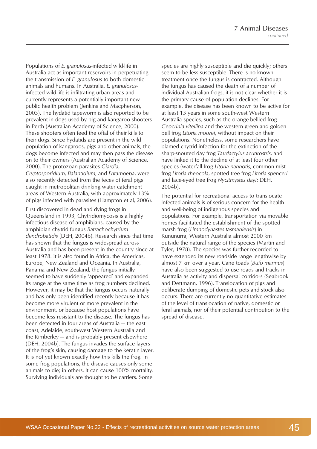Populations of *E. granulosus*-infected wild-life in Australia act as important reservoirs in perpetuating the transmission of *E. granulosus* to both domestic animals and humans. In Australia, *E. granulosus*infected wild-life is infiltrating urban areas and currently represents a potentially important new public health problem (Jenkins and Macpherson, 2003). The hydatid tapeworm is also reported to be prevalent in dogs used by pig and kangaroo shooters in Perth (Australian Academy of Science, 2000). These shooters often feed the offal of their kills to their dogs. Since hydatids are present in the wild population of kangaroos, pigs and other animals, the dogs become infected and may then pass the disease on to their owners (Australian Academy of Science, 2000). The protozoan parasites *Giardia*, *Cryptosporidium*, *Balantidium*, and *Entamoeba*, were also recently detected from the feces of feral pigs caught in metropolitan drinking water catchment areas of Western Australia, with approximately 13% of pigs infected with parasites (Hampton et al, 2006).

First discovered in dead and dying frogs in Queensland in 1993, Chytridiomycosis is a highly infectious disease of amphibians, caused by the amphibian chytrid fungus *Batrachochytrium dendrobatidis* (DEH, 2004b). Research since that time has shown that the fungus is widespread across Australia and has been present in the country since at least 1978. It is also found in Africa, the Americas, Europe, New Zealand and Oceania. In Australia, Panama and New Zealand, the fungus initially seemed to have suddenly 'appeared' and expanded its range at the same time as frog numbers declined. However, it may be that the fungus occurs naturally and has only been identified recently because it has become more virulent or more prevalent in the environment, or because host populations have become less resistant to the disease. The fungus has been detected in four areas of Australia — the east coast, Adelaide, south-west Western Australia and the Kimberley — and is probably present elsewhere (DEH, 2004b). The fungus invades the surface layers of the frog's skin, causing damage to the keratin layer. It is not yet known exactly how this kills the frog. In some frog populations, the disease causes only some animals to die; in others, it can cause 100% mortality. Surviving individuals are thought to be carriers. Some

species are highly susceptible and die quickly; others seem to be less susceptible. There is no known treatment once the fungus is contracted. Although the fungus has caused the death of a number of individual Australian frogs, it is not clear whether it is the primary cause of population declines. For example, the disease has been known to be active for at least 15 years in some south-west Western Australia species, such as the orange-bellied frog *Geocrinia vitellina* and the western green and golden bell frog *Litoria moorei*, without impact on their populations. Nonetheless, some researchers have blamed chytrid infection for the extinction of the sharp-snouted day frog *Taudactylus acutirostris*, and have linked it to the decline of at least four other species (waterfall frog *Litoria nannotis*, common mist frog *Litoria rheocola*, spotted tree frog *Litoria spenceri* and lace-eyed tree frog *Nycitmystes dayi*; DEH, 2004b).

The potential for recreational access to translocate infected animals is of serious concern for the health and well-being of indigenous species and populations. For example, transportation via movable homes facilitated the establishment of the spotted marsh frog (*Limnodynastes tasmaniensis*) in Kununurra, Western Australia almost 2000 km outside the natural range of the species (Martin and Tyler, 1978). The species was further recorded to have extended its new roadside range lengthwise by almost 7 km over a year. Cane toads (*Bufo marinus*) have also been suggested to use roads and tracks in Australia as activity and dispersal corridors (Seabrook and Dettmann, 1996). Translocation of pigs and deliberate dumping of domestic pets and stock also occurs. There are currently no quantitative estimates of the level of translocation of native, domestic or feral animals, nor of their potential contribution to the spread of disease.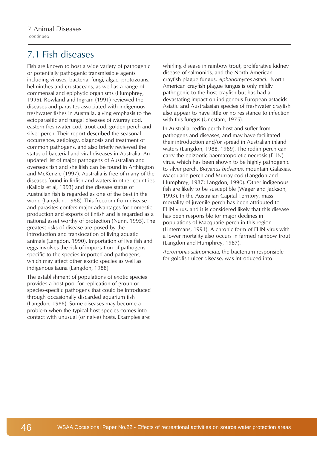# 7.1 Fish diseases

Fish are known to host a wide variety of pathogenic or potentially pathogenic transmissible agents including viruses, bacteria, fungi, algae, protozoans, helminthes and crustaceans, as well as a range of commensal and epiphytic organisms (Humphrey, 1995). Rowland and Ingram (1991) reviewed the diseases and parasites associated with indigenous freshwater fishes in Australia, giving emphasis to the ectoparasitic and fungal diseases of Murray cod, eastern freshwater cod, trout cod, golden perch and silver perch. Their report described the seasonal occurrence, aetiology, diagnosis and treatment of common pathogens, and also briefly reviewed the status of bacterial and viral diseases in Australia. An updated list of major pathogens of Australian and overseas fish and shellfish can be found in Arthington and McKenzie (1997). Australia is free of many of the diseases found in finfish and waters in other countries (Kailola et al, 1993) and the disease status of Australian fish is regarded as one of the best in the world (Langdon, 1988). This freedom from disease and parasites confers major advantages for domestic production and exports of finfish and is regarded as a national asset worthy of protection (Nunn, 1995). The greatest risks of disease are posed by the introduction and translocation of living aquatic animals (Langdon, 1990). Importation of live fish and eggs involves the risk of importation of pathogens specific to the species imported and pathogens, which may affect other exotic species as well as indigenous fauna (Langdon, 1988).

The establishment of populations of exotic species provides a host pool for replication of group or species-specific pathogens that could be introduced through occasionally discarded aquarium fish (Langdon, 1988). Some diseases may become a problem when the typical host species comes into contact with unusual (or naive) hosts. Examples are: whirling disease in rainbow trout, proliferative kidney disease of salmonids, and the North American crayfish plague fungus, *Aphanomyces astaci.* North American crayfish plague fungus is only mildly pathogenic to the host crayfish but has had a devastating impact on indigenous European astacids. Asiatic and Australasian species of freshwater crayfish also appear to have little or no resistance to infection with this fungus (Unestam, 1975).

In Australia, redfin perch host and suffer from pathogens and diseases, and may have facilitated their introduction and/or spread in Australian inland waters (Langdon, 1988, 1989). The redfin perch can carry the epizootic haematopoietic necrosis (EHN) virus, which has been shown to be highly pathogenic to silver perch, *Bidyanus bidyanus*, mountain Galaxias, Macquarie perch and Murray cod (Langdon and Humphrey, 1987; Langdon, 1990). Other indigenous fish are likely to be susceptible (Wager and Jackson, 1993). In the Australian Capital Territory, mass mortality of juvenile perch has been attributed to EHN virus, and it is considered likely that this disease has been responsible for major declines in populations of Macquarie perch in this region (Lintermans, 1991). A chronic form of EHN virus with a lower mortality also occurs in farmed rainbow trout (Langdon and Humphrey, 1987).

*Aeromonas salmonicida*, the bacterium responsible for goldfish ulcer disease, was introduced into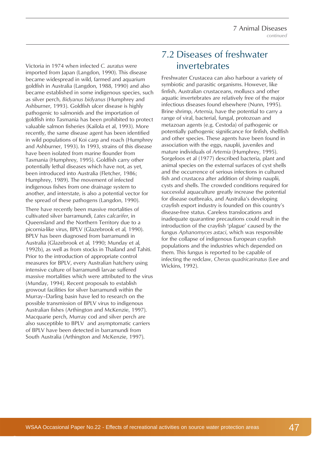Victoria in 1974 when infected *C. auratus* were imported from Japan (Langdon, 1990). This disease became widespread in wild, farmed and aquarium goldfish in Australia (Langdon, 1988, 1990) and also became established in some indigenous species, such as silver perch, *Bidyanus bidyanus* (Humphrey and Ashburner, 1993). Goldfish ulcer disease is highly pathogenic to salmonids and the importation of goldfish into Tasmania has been prohibited to protect valuable salmon fisheries (Kailola et al, 1993). More recently, the same disease agent has been identified in wild populations of Koi carp and roach (Humphrey and Ashburner, 1993). In 1993, strains of this disease have been isolated from marine flounder from Tasmania (Humphrey, 1995). Goldfish carry other potentially lethal diseases which have not, as yet, been introduced into Australia (Fletcher, 1986; Humphrey, 1989). The movement of infected indigenous fishes from one drainage system to another, and interstate, is also a potential vector for the spread of these pathogens (Langdon, 1990).

There have recently been massive mortalities of cultivated silver barramundi, *Lates calcarifer*, in Queensland and the Northern Territory due to a picornia-like virus, BPLV (Glazebrook et al*,* 1990). BPLV has been diagnosed from barramundi in Australia (Glazebrook et al*,* 1990; Munday et al*,* 1992b), as well as from stocks in Thailand and Tahiti. Prior to the introduction of appropriate control measures for BPLV, every Australian hatchery using intensive culture of barramundi larvae suffered massive mortalities which were attributed to the virus (Munday, 1994). Recent proposals to establish growout facilities for silver barramundi within the Murray–Darling basin have led to research on the possible transmission of BPLV virus to indigenous Australian fishes (Arthington and McKenzie, 1997). Macquarie perch, Murray cod and silver perch are also susceptible to BPLV and asymptomatic carriers of BPLV have been detected in barramundi from South Australia (Arthington and McKenzie, 1997).

# 7.2 Diseases of freshwater invertebrates

Freshwater Crustacea can also harbour a variety of symbiotic and parasitic organisms. However, like finfish, Australian crustaceans, molluscs and other aquatic invertebrates are relatively free of the major infectious diseases found elsewhere (Nunn, 1995). Brine shrimp, *Artemia,* have the potential to carry a range of viral, bacterial, fungal, protozoan and metazoan agents (e.g. Cestoda) of pathogenic or potentially pathogenic significance for finfish, shellfish and other species. These agents have been found in association with the eggs, nauplii, juveniles and mature individuals of *Artemia* (Humphrey, 1995). Sorgeloos et al (1977) described bacteria, plant and animal species on the external surfaces of cyst shells and the occurrence of serious infections in cultured fish and crustacea after addition of shrimp nauplii, cysts and shells. The crowded conditions required for successful aquaculture greatly increase the potential for disease outbreaks, and Australia's developing crayfish export industry is founded on this country's disease-free status. Careless translocations and inadequate quarantine precautions could result in the introduction of the crayfish 'plague' caused by the fungus *Aphanomyces astaci*, which was responsible for the collapse of indigenous European crayfish populations and the industries which depended on them. This fungus is reported to be capable of infecting the redclaw, *Cherax quadricarinatus* (Lee and Wickins, 1992).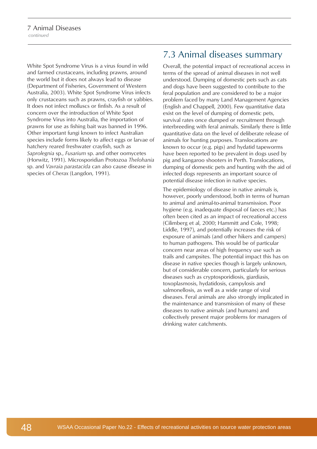White Spot Syndrome Virus is a virus found in wild and farmed crustaceans, including prawns, around the world but it does not always lead to disease (Department of Fisheries, Government of Western Australia, 2003). White Spot Syndrome Virus infects only crustaceans such as prawns, crayfish or yabbies. It does not infect molluscs or finfish. As a result of concern over the introduction of White Spot Syndrome Virus into Australia, the importation of prawns for use as fishing bait was banned in 1996. Other important fungi known to infect Australian species include forms likely to affect eggs or larvae of hatchery reared freshwater crayfish, such as *Saprolegnia* sp., *Fusarium* sp. and other oomycetes (Horwitz, 1991). Microsporidian Protozoa *Thelohania* sp. and *Vavraia parastacida* can also cause disease in species of *Cherax* (Langdon, 1991).

# 7.3 Animal diseases summary

Overall, the potential impact of recreational access in terms of the spread of animal diseases in not well understood. Dumping of domestic pets such as cats and dogs have been suggested to contribute to the feral population and are considered to be a major problem faced by many Land Management Agencies (English and Chappell, 2000). Few quantitative data exist on the level of dumping of domestic pets, survival rates once dumped or recruitment through interbreeding with feral animals. Similarly there is little quantitative data on the level of deliberate release of animals for hunting purposes. Translocations are known to occur (e.g. pigs) and hydatid tapeworms have been reported to be prevalent in dogs used by pig and kangaroo shooters in Perth. Translocations, dumping of domestic pets and hunting with the aid of infected dogs represents an important source of potential disease infection in native species.

The epidemiology of disease in native animals is, however, poorly understood, both in terms of human to animal and animal-to-animal transmission. Poor hygiene (e.g. inadequate disposal of faeces etc.) has often been cited as an impact of recreational access (Cilimberg et al, 2000; Hammitt and Cole, 1998; Liddle, 1997), and potentially increases the risk of exposure of animals (and other hikers and campers) to human pathogens. This would be of particular concern near areas of high frequency use such as trails and campsites. The potential impact this has on disease in native species though is largely unknown, but of considerable concern, particularly for serious diseases such as cryptosporidiosis, giardiasis, toxoplasmosis, hydatidosis, campylosis and salmonellosis, as well as a wide range of viral diseases. Feral animals are also strongly implicated in the maintenance and transmission of many of these diseases to native animals (and humans) and collectively present major problems for managers of drinking water catchments.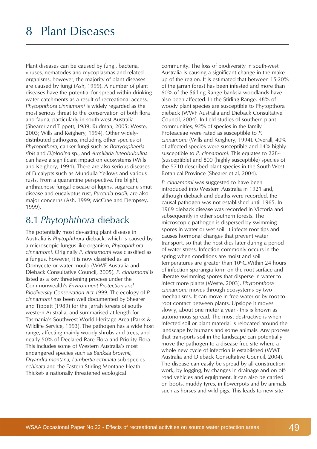Plant diseases can be caused by fungi, bacteria, viruses, nematodes and mycoplasmas and related organisms, however, the majority of plant diseases are caused by fungi (Ash, 1999). A number of plant diseases have the potential for spread within drinking water catchments as a result of recreational access. *Phytophthora cinnamomi* is widely regarded as the most serious threat to the conservation of both flora and fauna, particularly in south-west Australia (Shearer and Tippett, 1989; Rudman, 2005; Weste, 2003; Wills and Keighery, 1994). Other widelydistributed pathogens, including other species of *Phytophthora*, canker fungi such as *Botryosphaeria ribis* and *Diplodina* sp., and *Armillaria luteobubulina* can have a significant impact on ecosystems (Wills and Keighery, 1994). There are also serious diseases of Eucalypts such as Mundulla Yellows and various rusts. From a quarantine perspective, fire blight, anthracnose fungal disease of lupins, sugarcane smut disease and eucalyptus rust, *Puccinia psidii,* are also major concerns (Ash, 1999; McCrae and Dempsey, 1999).

# 8.1 *Phytophthora* dieback

The potentially most devasting plant disease in Australia is *Phytophthora* dieback, which is caused by a microscopic fungus-like organism, *Phytophthora cinnamomi.* Originally *P. cinnamomi* was classified as a fungus, however, it is now classified as an Oomycete or water mould (WWF Australia and Dieback Consultative Council, 2005)*. P. cinnamomi* is listed as a key threatening process under the Commonwealth's *Environment Protection and Biodiversity Conservation Act 1999.* The ecology of *P. cinnamomi* has been well documented by Shearer and Tippett (1989) for the Jarrah forests of southwestern Australia, and summarised at length for Tasmania's Southwest World Heritage Area (Parks & Wildlife Service, 1993). The pathogen has a wide host range, affecting mainly woody shrubs and trees, and nearly 50% of Declared Rare Flora and Priority Flora. This includes some of Western Australia's most endangered species such as *Banksia brownii, Dryandra montana, Lambertia echinata* sub species *echinata* and the Eastern Stirling Montane Heath Thicket- a nationally threatened ecological

community. The loss of biodiversity in south-west Australia is causing a significant change in the makeup of the region. It is estimated that between 15-20% of the jarrah forest has been infested and more than 60% of the Stirling Range banksia woodlands have also been affected. In the Stirling Range, 48% of woody plant species are susceptible to Phytopthora dieback (WWF Australia and Dieback Consultative Council, 2004). In field studies of southern plant communities, 92% of species in the family Proteaceae were rated as susceptible to *P. cinnamomi* (Wills and Keighery, 1994). Overall, 40% of affected species were susceptible and 14% highly susceptible to *P. cinnamomi.* This equates to 2284 (susceptible) and 800 (highly susceptible) species of the 5710 described plant species in the South-West Botanical Province (Shearer et al, 2004).

*P. cinnamomi* was suggested to have been introduced into Western Australia in 1921 and, although dieback and deaths were recorded, the causal pathogen was not established until 1965. In 1969 dieback disease was recorded in Victoria and subsequently in other southern forests. The microscopic pathogen is dispersed by swimming spores in water or wet soil. It infects root tips and causes hormonal changes that prevent water transport, so that the host dies later during a period of water stress. Infection commonly occurs in the spring when conditions are moist and soil temperatures are greater than  $10^{\circ}$ C. Within 24 hours of infection sporangia form on the root surface and liberate swimming spores that disperse in water to infect more plants (Weste, 2003). *Phytophthora cinnamomi* moves through ecosystems by two mechanisms. It can move in free water or by root-toroot contact between plants. Upslope it moves slowly, about one meter a year - this is known as autonomous spread. The most destructive is when infected soil or plant material is relocated around the landscape by humans and some animals. Any process that transports soil in the landscape can potentially move the pathogen to a disease free site where a whole new cycle of infection is established (WWF Australia and Dieback Consultative Council, 2004). The disease can easily be spread by all construction work, by logging, by changes in drainage and on offroad vehicles and equipment. It can also be carried on boots, muddy tyres, in flowerpots and by animals such as horses and wild pigs. This leads to new site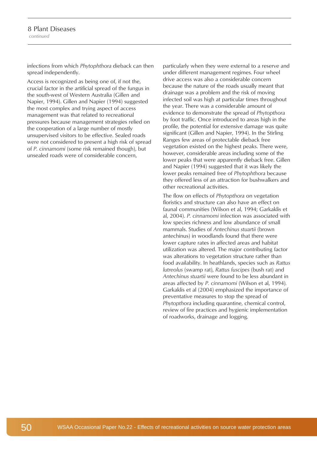infections from which *Phytophthora* dieback can then spread independently.

Access is recognized as being one of, if not the, crucial factor in the artificial spread of the fungus in the south-west of Western Australia (Gillen and Napier, 1994). Gillen and Napier (1994) suggested the most complex and trying aspect of access management was that related to recreational pressures because management strategies relied on the cooperation of a large number of mostly unsupervised visitors to be effective. Sealed roads were not considered to present a high risk of spread of *P. cinnamomi* (some risk remained though), but unsealed roads were of considerable concern,

particularly when they were external to a reserve and under different management regimes. Four wheel drive access was also a considerable concern because the nature of the roads usually meant that drainage was a problem and the risk of moving infected soil was high at particular times throughout the year. There was a considerable amount of evidence to demonstrate the spread of *Phytopthora* by foot traffic. Once introduced to areas high in the profile, the potential for extensive damage was quite significant (Gillen and Napier, 1994). In the Stirling Ranges few areas of protectable dieback free vegetation existed on the highest peaks. There were, however, considerable areas including some of the lower peaks that were apparently dieback free. Gillen and Napier (1994) suggested that it was likely the lower peaks remained free of *Phytophthora* because they offered less of an attraction for bushwalkers and other recreational activities.

The flow on effects of *Phytopthora* on vegetation floristics and structure can also have an effect on faunal communities (Wilson et al, 1994; Garkaklis et al, 2004). *P. cinnamomi* infection was associated with low species richness and low abundance of small mammals. Studies of *Antechinus stuartii* (brown antechinus) in woodlands found that there were lower capture rates in affected areas and habitat utilization was altered. The major contributing factor was alterations to vegetation structure rather than food availability. In heathlands, species such as *Rattus lutreolus* (swamp rat), *Rattus fuscipes* (bush rat) and *Antechinus stuartii* were found to be less abundant in areas affected by *P. cinnamomi* (Wilson et al, 1994)*.* Garkaklis et al (2004) emphasized the importance of preventative measures to stop the spread of *Phytopthora* including quarantine, chemical control, review of fire practices and hygienic implementation of roadworks, drainage and logging.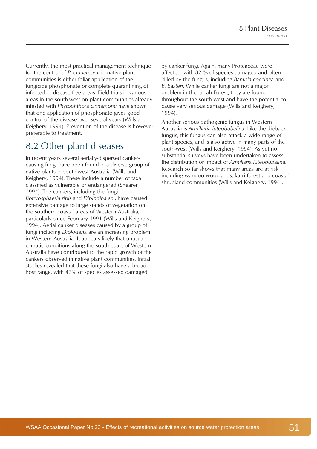Currently, the most practical management technique for the control of *P. cinnamomi* in native plant communities is either foliar application of the fungicide phosphonate or complete quarantining of infected or disease free areas. Field trials in various areas in the south-west on plant communities already infested with *Phytophthora cinnamomi* have shown that one application of phosphonate gives good control of the disease over several years (Wills and Keighery, 1994). Prevention of the disease is however preferable to treatment.

# 8.2 Other plant diseases

In recent years several aerially-dispersed cankercausing fungi have been found in a diverse group of native plants in south-west Australia (Wills and Keighery, 1994). These include a number of taxa classified as vulnerable or endangered (Shearer 1994). The cankers, including the fungi *Botryosphaeria ribis* and *Diplodina* sp., have caused extensive damage to large stands of vegetation on the southern coastal areas of Western Australia, particularly since February 1991 (Wills and Keighery, 1994). Aerial canker diseases caused by a group of fungi including *Diplodena* are an increasing problem in Western Australia. It appears likely that unusual climatic conditions along the south coast of Western Australia have contributed to the rapid growth of the cankers observed in native plant communities. Initial studies revealed that these fungi also have a broad host range, with 46% of species assessed damaged

by canker fungi. Again, many Proteaceae were affected, with 82 % of species damaged and often killed by the fungus, including *Banksia coccinea* and *B. baxteri*. While canker fungi are not a major problem in the Jarrah Forest, they are found throughout the south west and have the potential to cause very serious damage (Wills and Keighery, 1994).

Another serious pathogenic fungus in Western Australia is *Armillaria luteobubalina*. Like the dieback fungus, this fungus can also attack a wide range of plant species, and is also active in many parts of the south-west (Wills and Keighery, 1994). As yet no substantial surveys have been undertaken to assess the distribution or impact of *Armillaria luteobubalina*. Research so far shows that many areas are at risk including wandoo woodlands, karri forest and coastal shrubland communities (Wills and Keighery, 1994).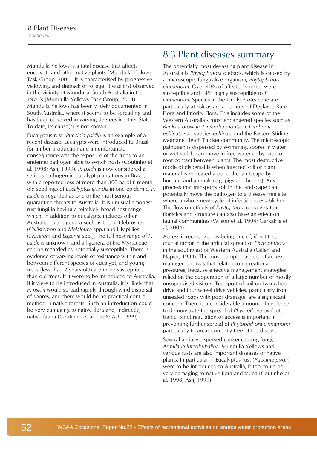Mundulla Yellows is a fatal disease that affects eucalypts and other native plants (Mundulla Yellows Task Group, 2004). It is characterised by progressive yellowing and dieback of foliage. It was first observed in the vicinity of Mundulla, South Australia in the 1970's (Mundulla Yellows Task Group, 2004). Mundulla Yellows has been widely documented in South Australia, where it seems to be spreading and has been observed in varying degrees in other States. To date, its cause(s) is not known.

Eucalyptus rust (*Puccinia psidii*) is an example of a recent disease. Eucalypts were introduced to Brazil for timber production and an unfortunate consequence was the exposure of the trees to an endemic pathogen able to switch hosts (Coutinho et al, 1998; Ash, 1999). *P. psidii* is now considered a serious pathogen in eucalypt plantations in Brazil, with a reported loss of more than 300 ha of 6-month old seedlings of *Eucalyptus grandis* in one epidemic. *P. psidii* is regarded as one of the most serious quarantine threats to Australia. It is unusual amongst rust fungi in having a relatively broad host range which, in addition to eucalypts, includes other Australian plant genera such as the bottlebrushes (*Callistemon* and *Melaleuca* spp.) and lilly-pillies (*Syzygium* and *Eugenia* spp.). The full host range of *P. psidii* is unknown, and all genera of the Myrtaceae can be regarded as potentially susceptible. There is evidence of varying levels of resistance within and between different species of eucalypt, and young trees (less than 2 years old) are more susceptible than old trees. If it were to be introduced to Australia, If it were to be introduced in Australia, it is likely that *P. psidii* would spread rapidly through wind dispersal of spores, and there would be no practical control method in native forests. Such an introduction could be very damaging to native flora and, indirectly, native fauna (Coutinho et al, 1998; Ash, 1999).

## 8.3 Plant diseases summary

The potentially most devasting plant disease in Australia is *Phytophthora* dieback, which is caused by a microscopic fungus-like organism, *Phytophthora cinnamomi.* Over 40% of affected species were susceptible and 14% highly susceptible to *P. cinnamomi.* Species in the family Proteaceae are particularly at risk as are a number of Declared Rare Flora and Priority Flora. This includes some of the Western Australia's most endangered species such as *Banksia brownii, Dryandra montana, Lambertia echinata* sub species *echinata* and the Eastern Stirling Montane Heath Thicket community. The microscopic pathogen is dispersed by swimming spores in water or wet soil. It can move in free water or by root-toroot contact between plants. The most destructive mode of dispersal is when infected soil or plant material is relocated around the landscape by humans and animals (e.g. pigs and horses). Any process that transports soil in the landscape can potentially move the pathogen to a disease free site where a whole new cycle of infection is established. The flow on effects of *Phytopthora* on vegetation floristics and structure can also have an effect on faunal communities (Wilson et al, 1994; Garkaklis et al, 2004).

Access is recognized as being one of, if not the, crucial factor in the artificial spread of *Phytophthora* in the southwest of Western Australia (Gillen and Napier, 1994). The most complex aspect of access management was that related to recreational pressures, because effective management strategies relied on the cooperation of a large number of mostly unsupervised visitors. Transport of soil on two wheel drive and four wheel drive vehicles, particularly from unsealed roads with poor drainage, are a significant concern. There is a considerable amount of evidence to demonstrate the spread of *Phytopthora* by foot traffic. Strict regulation of access is important in preventing further spread of *Phytophthora cinnamomi* particularly to areas currently free of the disease.

Several aerially-dispersed canker-causing fungi, *Armillaria luteobubalina*, Mundulla Yellows and various rusts are also important diseases of native plants. In particular, if Eucalyptus rust (*Puccinia psidii*) were to be introduced to Australia, it too could be very damaging to native flora and fauna (Coutinho et al, 1998; Ash, 1999).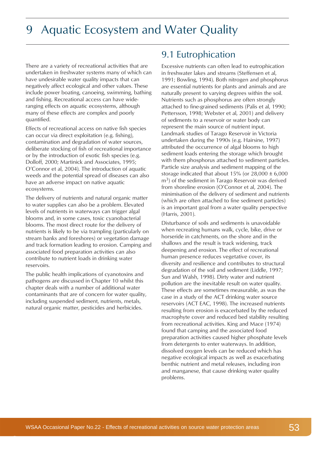There are a variety of recreational activities that are undertaken in freshwater systems many of which can have undesirable water quality impacts that can negatively affect ecological and other values. These include power boating, canoeing, swimming, bathing and fishing. Recreational access can have wideranging effects on aquatic ecosystems, although many of these effects are complex and poorly quantified.

Effects of recreational access on native fish species can occur via direct exploitation (e.g. fishing), contamination and degradation of water sources, deliberate stocking of fish of recreational importance or by the introduction of exotic fish species (e.g. Dolloff, 2000; Martinick and Associates, 1995; O'Connor et al, 2004). The introduction of aquatic weeds and the potential spread of diseases can also have an adverse impact on native aquatic ecosystems.

The delivery of nutrients and natural organic matter to water supplies can also be a problem. Elevated levels of nutrients in waterways can trigger algal blooms and, in some cases, toxic cyanobacterial blooms. The most direct route for the delivery of nutrients is likely to be via trampling (particularly on stream banks and foreshores) or vegetation damage and track formation leading to erosion. Camping and associated food preparation activities can also contribute to nutrient loads in drinking water reservoirs.

The public health implications of cyanotoxins and pathogens are discussed in Chapter 10 whilst this chapter deals with a number of additional water contaminants that are of concern for water quality, including suspended sediment, nutrients, metals, natural organic matter, pesticides and herbicides.

# 9.1 Eutrophication

Excessive nutrients can often lead to eutrophication in freshwater lakes and streams (Steffensen et al, 1991; Bowling, 1994). Both nitrogen and phosphorus are essential nutrients for plants and animals and are naturally present to varying degrees within the soil. Nutrients such as phosphorus are often strongly attached to fine-grained sediments (Palis et al, 1990; Pettersson, 1998; Webster et al, 2001) and delivery of sediments to a reservoir or water body can represent the main source of nutrient input. Landmark studies of Tarago Reservoir in Victoria undertaken during the 1990s (e.g. Hairsine, 1997) attributed the occurrence of algal blooms to high sediment loads entering the storage which brought with them phosphorus attached to sediment particles. Particle size analysis and sediment mapping of the storage indicated that about  $15\%$  (or  $28,000 \pm 6,000$  $\text{m}^3$ ) of the sediment in Tarago Reservoir was derived from shoreline erosion (O'Connor et al, 2004). The minimisation of the delivery of sediment and nutrients (which are often attached to fine sediment particles) is an important goal from a water quality perspective (Harris, 2001).

Disturbance of soils and sediments is unavoidable when recreating humans walk, cycle, bike, drive or horseride in catchments, on the shore and in the shallows and the result is track widening, track deepening and erosion. The effect of recreational human presence reduces vegetative cover, its diversity and resilience and contributes to structural degradation of the soil and sediment (Liddle, 1997; Sun and Walsh, 1998). Dirty water and nutrient pollution are the inevitable result on water quality. These effects are sometimes measurable, as was the case in a study of the ACT drinking water source reservoirs (ACT EAC, 1998). The increased nutrients resulting from erosion is exacerbated by the reduced macrophyte cover and reduced bed stability resulting from recreational activities. King and Mace (1974) found that camping and the associated food preparation activities caused higher phosphate levels from detergents to enter waterways. In addition, dissolved oxygen levels can be reduced which has negative ecological impacts as well as exacerbating benthic nutrient and metal releases, including iron and manganese, that cause drinking water quality problems.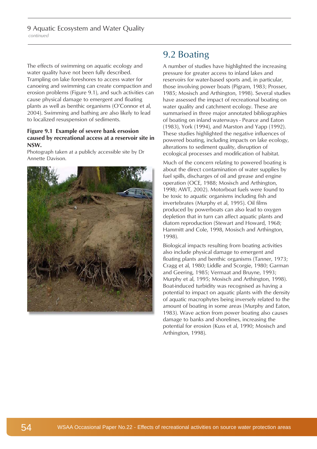The effects of swimming on aquatic ecology and water quality have not been fully described. Trampling on lake foreshores to access water for canoeing and swimming can create compaction and erosion problems (Figure 9.1), and such activities can cause physical damage to emergent and floating plants as well as benthic organisms (O'Connor et al, 2004). Swimming and bathing are also likely to lead to localized resuspension of sediments.

#### **Figure 9.1 Example of severe bank ersosion caused by recreational access at a reservoir site in NSW.**

Photograph taken at a publicly accessible site by Dr Annette Davison.



# 9.2 Boating

A number of studies have highlighted the increasing pressure for greater access to inland lakes and reservoirs for water-based sports and, in particular, those involving power boats (Pigram, 1983; Prosser, 1985; Mosisch and Arthington, 1998). Several studies have assessed the impact of recreational boating on water quality and catchment ecology. These are summarised in three major annotated bibliographies of boating on inland waterways - Pearce and Eaton (1983), York (1994), and Marston and Yapp (1992). These studies highlighted the negative influences of powered boating, including impacts on lake ecology, alterations to sediment quality, disruption of ecological processes and modification of habitat.

Much of the concern relating to powered boating is about the direct contamination of water supplies by fuel spills, discharges of oil and grease and engine operation (OCE, 1988; Mosisch and Arthington, 1998; AWT, 2002). Motorboat fuels were found to be toxic to aquatic organisms including fish and invertebrates (Murphy et al, 1995). Oil films produced by powerboats can also lead to oxygen depletion that in turn can affect aquatic plants and diatom reproduction (Stewart and Howard, 1968; Hammitt and Cole, 1998, Mosisch and Arthington, 1998).

Biological impacts resulting from boating activities also include physical damage to emergent and floating plants and benthic organisms (Tanner, 1973; Cragg et al, 1980; Liddle and Scorgie, 1980; Garman and Geering, 1985; Vermaat and Bruyne, 1993; Murphy et al, 1995; Mosisch and Arthington, 1998). Boat-induced turbidity was recognised as having a potential to impact on aquatic plants with the density of aquatic macrophytes being inversely related to the amount of boating in some areas (Murphy and Eaton, 1983). Wave action from power boating also causes damage to banks and shorelines, increasing the potential for erosion (Kuss et al, 1990; Mosisch and Arthington, 1998).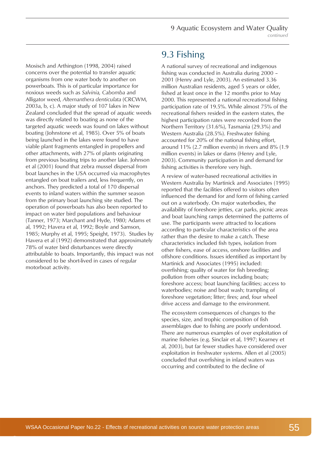Mosisch and Arthington (1998, 2004) raised concerns over the potential to transfer aquatic organisms from one water body to another on powerboats. This is of particular importance for noxious weeds such as *Salvinia, Cabomba* and Alligator weed, *Alternanthera denticulata* (CRCWM, 2003a, b, c). A major study of 107 lakes in New Zealand concluded that the spread of aquatic weeds was directly related to boating as none of the targeted aquatic weeds was found on lakes without boating (Johnstone et al, 1985). Over 5% of boats being launched in the lakes were found to have viable plant fragments entangled in propellers and other attachments, with 27% of plants originating from previous boating trips to another lake. Johnson et al (2001) found that zebra mussel dispersal from boat launches in the USA occurred via macrophytes entangled on boat trailers and, less frequently, on anchors. They predicted a total of 170 dispersal events to inland waters within the summer season from the primary boat launching site studied. The operation of powerboats has also been reported to impact on water bird populations and behaviour (Tanner, 1973; Marchant and Hyde, 1980; Adams et al, 1992; Havera et al, 1992; Boyle and Samson, 1985; Murphy et al, 1995; Speight, 1973). Studies by Havera et al (1992) demonstrated that approximately 78% of water bird disturbances were directly attributable to boats. Importantly, this impact was not considered to be short-lived in cases of regular motorboat activity.

# 9.3 Fishing

A national survey of recreational and indigenous fishing was conducted in Australia during 2000 – 2001 (Henry and Lyle, 2003). An estimated 3.36 million Australian residents, aged 5 years or older, fished at least once in the 12 months prior to May 2000. This represented a national recreational fishing participation rate of 19.5%. While almost 75% of the recreational fishers resided in the eastern states, the highest participation rates were recorded from the Northern Territory (31.6%), Tasmania (29.3%) and Western Australia (28.5%). Freshwater fishing accounted for 20% of the national fishing effort, around 11% (2.7 million events) in rivers and 8% (1.9 million events) in lakes or dams (Henry and Lyle, 2003). Community participation in and demand for fishing activities is therefore very high.

A review of water-based recreational activities in Western Australia by Martinick and Associates (1995) reported that the facilities offered to visitors often influenced the demand for and form of fishing carried out on a waterbody. On major waterbodies, the availability of foreshore jetties, car parks, picnic areas and boat launching ramps determined the patterns of use. The participants were attracted to locations according to particular characteristics of the area rather than the desire to make a catch. These characteristics included fish types, isolation from other fishers, ease of access, onshore facilities and offshore conditions. Issues identified as important by Martinick and Associates (1995) included: overfishing; quality of water for fish breeding; pollution from other sources including boats; foreshore access; boat launching facilities; access to waterbodies; noise and boat wash; trampling of foreshore vegetation; litter; fires; and, four wheel drive access and damage to the environment.

The ecosystem consequences of changes to the species, size, and trophic composition of fish assemblages due to fishing are poorly understood. There are numerous examples of over exploitation of marine fisheries (e.g. Sinclair et al, 1997; Kearney et al, 2003), but far fewer studies have considered over exploitation in freshwater systems. Allen et al (2005) concluded that overfishing in inland waters was occurring and contributed to the decline of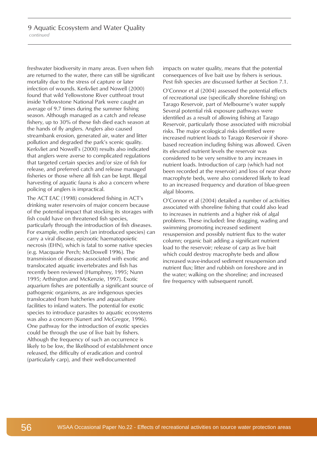freshwater biodiversity in many areas. Even when fish are returned to the water, there can still be significant mortality due to the stress of capture or later infection of wounds. Kerkvliet and Nowell (2000) found that wild Yellowstone River cutthroat trout inside Yellowstone National Park were caught an average of 9.7 times during the summer fishing season. Although managed as a catch and release fishery, up to 30% of these fish died each season at the hands of fly anglers. Anglers also caused streambank erosion, generated air, water and litter pollution and degraded the park's scenic quality. Kerkvliet and Nowell's (2000) results also indicated that anglers were averse to complicated regulations that targeted certain species and/or size of fish for release, and preferred catch and release managed fisheries or those where all fish can be kept. Illegal harvesting of aquatic fauna is also a concern where policing of anglers is impractical.

The ACT EAC (1998) considered fishing in ACT's drinking water reservoirs of major concern because of the potential impact that stocking its storages with fish could have on threatened fish species, particularly through the introduction of fish diseases. For example, redfin perch (an introduced species) can carry a viral disease, epizootic haematopoietic necrosis (EHN), which is fatal to some native species (e.g. Macquarie Perch; McDowell 1996). The transmission of diseases associated with exotic and translocated aquatic invertebrates and fish has recently been reviewed (Humphrey, 1995; Nunn 1995; Arthington and McKenzie, 1997). Exotic aquarium fishes are potentially a significant source of pathogenic organisms, as are indigenous species translocated from hatcheries and aquaculture facilities to inland waters. The potential for exotic species to introduce parasites to aquatic ecosystems was also a concern (Kunert and McGregor, 1996). One pathway for the introduction of exotic species could be through the use of live bait by fishers. Although the frequency of such an occurrence is likely to be low, the likelihood of establishment once released, the difficulty of eradication and control (particularly carp), and their well-documented

impacts on water quality, means that the potential consequences of live bait use by fishers is serious. Pest fish species are discussed further at Section 7.1.

O'Connor et al (2004) assessed the potential effects of recreational use (specifically shoreline fishing) on Tarago Reservoir, part of Melbourne's water supply Several potential risk exposure pathways were identified as a result of allowing fishing at Tarago Reservoir, particularly those associated with microbial risks. The major ecological risks identified were increased nutrient loads to Tarago Reservoir if shorebased recreation including fishing was allowed. Given its elevated nutrient levels the reservoir was considered to be very sensitive to any increases in nutrient loads. Introduction of carp (which had not been recorded at the reservoir) and loss of near shore macrophyte beds, were also considered likely to lead to an increased frequency and duration of blue-green algal blooms.

O'Connor et al (2004) detailed a number of activities associated with shoreline fishing that could also lead to increases in nutrients and a higher risk of algal problems. These included: line dragging, wading and swimming promoting increased sediment resuspension and possibly nutrient flux to the water column; organic bait adding a significant nutrient load to the reservoir; release of carp as live bait which could destroy macrophyte beds and allow increased wave-induced sediment resuspension and nutrient flux; litter and rubbish on foreshore and in the water; walking on the shoreline; and increased fire frequency with subsequent runoff.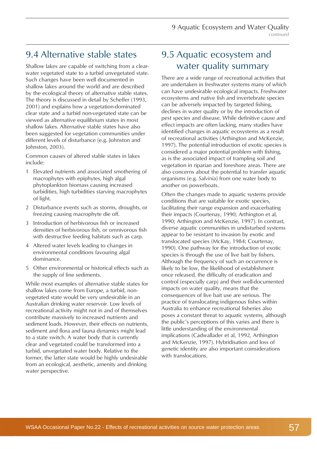# 9.4 Alternative stable states

Shallow lakes are capable of switching from a clearwater vegetated state to a turbid unvegetated state. Such changes have been well documented in shallow lakes around the world and are described by the ecological theory of alternative stable states. The theory is discussed in detail by Scheffer (1993, 2001) and explains how a vegetation-dominated clear state and a turbid non-vegetated state can be viewed as alternative equilibrium states in most shallow lakes. Alternative stable states have also been suggested for vegetation communities under different levels of disturbance (e.g. Johnston and Johnston, 2003).

Common causes of altered stable states in lakes include:

- 1 Elevated nutrients and associated smothering of macrophytes with epiphytes, high algal phytoplankton biomass causing increased turbidities, high turbidities starving macrophytes of light.
- 2 Disturbance events such as storms, droughts, or freezing causing macrophyte die off.
- 3 Introduction of herbivorous fish or increased densities of herbivorous fish, or omnivorous fish with destructive feeding habitats such as carp.
- 4 Altered water levels leading to changes in environmental conditions favouring algal dominance.
- 5 Other environmental or historical effects such as the supply of fine sediments.

While most examples of alternative stable states for shallow lakes come from Europe, a turbid, nonvegetated state would be very undesirable in an Australian drinking water reservoir. Low levels of recreational activity might not in and of themselves contribute massively to increased nutrients and sediment loads. However, their effects on nutrients, sediment and flora and fauna dynamics might lead to a state switch. A water body that is currently clear and vegetated could be transformed into a turbid, unvegetated water body. Relative to the former, the latter state would be highly undesirable from an ecological, aesthetic, amenity and drinking water perspective.

# 9.5 Aquatic ecosystem and water quality summary

There are a wide range of recreational activities that are undertaken in freshwater systems many of which can have undesirable ecological impacts. Freshwater ecosystems and native fish and invertebrate species can be adversely impacted by targeted fishing, declines in water quality or by the introduction of pest species and disease. While definitive cause and effect impacts are often lacking, many studies have identified changes in aquatic ecosystems as a result of recreational activities (Arthington and McKenzie, 1997). The potential introduction of exotic species is considered a major potential problem with fishing, as is the associated impact of trampling soil and vegetation in riparian and foreshore areas. There are also concerns about the potential to transfer aquatic organisms (e.g. *Salvinia*) from one water body to another on powerboats.

Often the changes made to aquatic systems provide conditions that are suitable for exotic species, facilitating their range expansion and exacerbating their impacts (Courtenay, 1990; Arthington et al, 1990; Arthington and McKenzie, 1997). In contrast, diverse aquatic communities in undisturbed systems appear to be resistant to invasion by exotic and translocated species (McKay, 1984; Courtenay, 1990). One pathway for the introduction of exotic species is through the use of live bait by fishers. Although the frequency of such an occurrence is likely to be low, the likelihood of establishment once released, the difficulty of eradication and control (especially carp) and their well-documented impacts on water quality, means that the consequences of live bait use are serious. The practice of translocating indigenous fishes within Australia to enhance recreational fisheries also poses a constant threat to aquatic systems, although the public's perceptions of this varies and there is little understanding of the environmental implications (Cadwallader et al, 1992, Arthington and McKenzie, 1997). Hybridisation and loss of genetic identity are also important coinsiderations with translocations.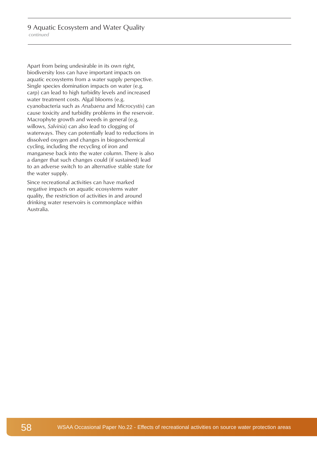Apart from being undesirable in its own right, biodiversity loss can have important impacts on aquatic ecosystems from a water supply perspective. Single species domination impacts on water (e.g. carp) can lead to high turbidity levels and increased water treatment costs. Algal blooms (e.g. cyanobacteria such as *Anabaena* and *Microcystis*) can cause toxicity and turbidity problems in the reservoir. Macrophyte growth and weeds in general (e.g. willows, *Salvinia*) can also lead to clogging of waterways. They can potentially lead to reductions in dissolved oxygen and changes in biogeochemical cycling, including the recycling of iron and manganese back into the water column. There is also a danger that such changes could (if sustained) lead to an adverse switch to an alternative stable state for the water supply.

Since recreational activities can have marked negative impacts on aquatic ecosystems water quality, the restriction of activities in and around drinking water reservoirs is commonplace within Australia.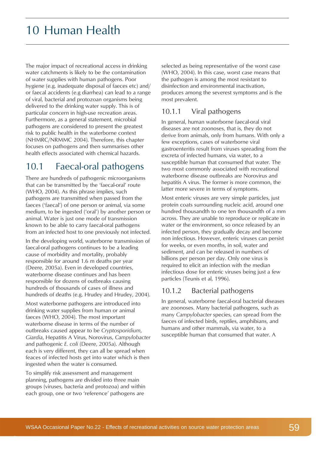# 10 Human Health

The major impact of recreational access in drinking water catchments is likely to be the contamination of water supplies with human pathogens. Poor hygiene (e.g. inadequate disposal of faeces etc) and/ or faecal accidents (e.g diarrhea) can lead to a range of viral, bacterial and protozoan organisms being delivered to the drinking water supply. This is of particular concern in high-use recreation areas. Furthermore, as a general statement, microbial pathogens are considered to present the greatest risk to public health in the waterborne context (NHMRC/NRMMC 2004). Therefore, this chapter focuses on pathogens and then summarises other health effects associated with chemical hazards.

# 10.1 Faecal-oral pathogens

There are hundreds of pathogenic microorganisms that can be transmitted by the 'faecal-oral' route (WHO, 2004). As this phrase implies, such pathogens are transmitted when passed from the faeces ('faecal') of one person or animal, via some medium, to be ingested ('oral') by another person or animal. Water is just one mode of transmission known to be able to carry faecal-oral pathogens from an infected host to one previously not infected.

In the developing world, waterborne transmission of faecal-oral pathogens continues to be a leading cause of morbidity and mortality, probably responsible for around 1.6 m deaths per year (Deere, 2005a). Even in developed countries, waterborne disease continues and has been responsible for dozens of outbreaks causing hundreds of thousands of cases of illness and hundreds of deaths (e.g. Hrudey and Hrudey, 2004).

Most waterborne pathogens are introduced into drinking water supplies from human or animal faeces (WHO, 2004). The most important waterborne disease in terms of the number of outbreaks caused appear to be *Cryptosporidium*, *Giardia*, Hepatitis A Virus, Norovirus, *Campylobacter* and pathogenic *E. coli* (Deere, 2005a). Although each is very different, they can all be spread when feaces of infected hosts get into water which is then ingested when the water is consumed.

To simplify risk assessment and management planning, pathogens are divided into three main groups (viruses, bacteria and protozoa) and within each group, one or two 'reference' pathogens are

selected as being representative of the worst case (WHO, 2004). In this case, worst case means that the pathogen is among the most resistant to disinfection and environmental inactivation, produces among the severest symptoms and is the most prevalent.

### 10.1.1 Viral pathogens

In general, human waterborne faecal-oral viral diseases are not zoonoses, that is, they do not derive from animals, only from humans. With only a few exceptions, cases of waterborne viral gastroenteritis result from viruses spreading from the excreta of infected humans, via water, to a susceptible human that consumed that water. The two most commonly associated with recreational waterborne disease outbreaks are Norovirus and hepatitis A virus. The former is more common, the latter more severe in terms of symptoms.

Most enteric viruses are very simple particles, just protein coats surrounding nucleic acid, around one hundred thousandth to one ten thousandth of a mm across. They are unable to reproduce or replicate in water or the environment, so once released by an infected person, they gradually decay and become non infectious. However, enteric viruses can persist for weeks, or even months, in soil, water and sediment, and can be released in numbers of billions per person per day. Only one virus is required to elicit an infection with the median infectious dose for enteric viruses being just a few particles (Teunis et al, 1996).

### 10.1.2 Bacterial pathogens

In general, waterborne faecal-oral bacterial diseases are zoonoses. Many bacterial pathogens, such as many *Campylobacter* species, can spread from the faeces of infected birds, reptiles, amphibians, and humans and other mammals, via water, to a susceptible human that consumed that water. A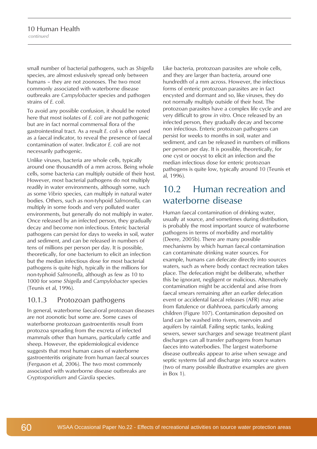small number of bacterial pathogens, such as *Shigella* species, are almost exlusively spread only between humans – they are not zoonoses. The two most commonly associated with waterborne disease outbreaks are *Campylobacter* species and pathogen strains of *E. coli*.

To avoid any possible confusion, it should be noted here that most isolates of *E. coli* are not pathogenic but are in fact normal commensal flora of the gastrointestinal tract. As a result *E. coli* is often used as a faecal indicator, to reveal the presence of faecal contamination of water. Indicator *E. coli* are not necessarily pathogenic.

Unlike viruses, bacteria are whole cells, typically around one thousandth of a mm across. Being whole cells, some bacteria can multiply outside of their host. However, most bacterial pathogens do not multiply readily in water environments, although some, such as some *Vibrio* species, can multiply in natural water bodies. Others, such as non-tyhpoid *Salmonella,* can multiply in some foods and very polluted water environments, but generally do not multiply in water. Once released by an infected person, they gradually decay and become non infectious. Enteric bacterial pathogens can persist for days to weeks in soil, water and sediment, and can be released in numbers of tens of millions per person per day. It is possible, theoretically, for one bacterium to elicit an infection but the median infectious dose for most bacterial pathogens is quite high, typically in the millions for non-typhoid *Salmonella*, although as few as 10 to 1000 for some *Shigella* and *Campylobacter* species (Teunis et al, 1996).

### 10.1.3 Protozoan pathogens

In general, waterborne faecal-oral protozoan diseases are not zoonotic but some are. Some cases of waterborne protozoan gastroenteritis result from protozoa spreading from the excreta of infected mammals other than humans, particularly cattle and sheep. However, the epidemiological evidence suggests that most human cases of waterborne gastroenteritis originate from human faecal sources (Ferguson et al, 2006). The two most commonly associated with waterborne disease outbreaks are *Cryptosporidium* and *Giardia* species.

Like bacteria, protozoan parasites are whole cells, and they are larger than bacteria, around one hundredth of a mm across. However, the infectious forms of enteric protozoan parasites are in fact encysted and dormant and so, like viruses, they do not normally multiply outside of their host. The protozoan parasites have a complex life cycle and are very difficult to grow *in vitro*. Once released by an infected person, they gradually decay and become non infectious. Enteric protozoan pathogens can persist for weeks to months in soil, water and sediment, and can be released in numbers of millions per person per day. It is possible, theoretically, for one cyst or oocyst to elicit an infection and the median infectious dose for enteric protozoan pathogens is quite low, typically around 10 (Teunis et al, 1996).

# 10.2 Human recreation and waterborne disease

Human faecal contamination of drinking water, usually at source, and sometimes during distribution, is probably the most important source of waterborne pathogens in terms of morbidity and mortalitiy (Deere, 2005b). There are many possible mechanisms by which human faecal contamination can contaminate drinking water sources. For example, humans can defecate directly into sources waters, such as where body contact recreation takes place. The defecation might be deliberate, whether this be ignorant, negligent or malicious. Alternatively contamination might be accidental and arise from faecal smears remaining after an earlier defecation event or accidental faecal releases (AFR) may arise from flatulence or diahhroea, particularly among children (Figure 107). Contamination deposited on land can be washed into rivers, reservoirs and aquifers by rainfall. Failing septic tanks, leaking sewers, sewer surcharges and sewage treatment plant discharges can all transfer pathogens from human faeces into waterbodies. The largest waterborne disease outbreaks appear to arise when sewage and septic systems fail and discharge into source waters (two of many possible illustrative examples are given in Box 1).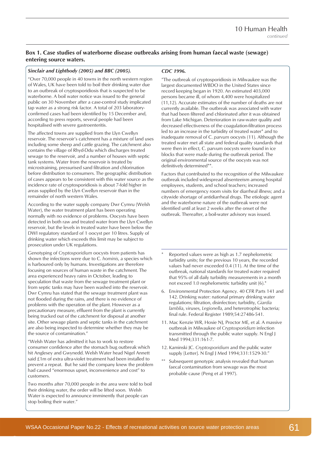#### **Box 1. Case studies of waterborne disease outbreaks arising from human faecal waste (sewage) entering source waters.**

#### *Sinclair and Lightbody (2005) and BBC (2005).*

"Over 70,000 people in 40 towns in the north western region of Wales, UK have been told to boil their drinking water due to an outbreak of cryptosporidiosis that is suspected to be waterborne. A boil water notice was issued to the general public on 30 November after a case-control study implicated tap water as a strong risk factor. A total of 203 laboratoryconfirmed cases had been identified by 15 December and, according to press reports, several people had been hospitalised with severe gastroenteritis.

The affected towns are supplied from the Llyn Cwellyn reservoir. The reservoir's catchment has a mixture of land uses including some sheep and cattle grazing. The catchment also contains the village of Rhyd-Ddu which discharges treated sewage to the reservoir, and a number of houses with septic tank systems. Water from the reservoir is treated by microstraining, pressurised sand filtration and chlorination before distribution to consumers. The geographic distribution of cases appears to be consistent with this water source as the incidence rate of cryptosporidiosis is about 7-fold higher in areas supplied by the Llyn Cwellyn reservoir than in the remainder of north western Wales.

According to the water supply company Dwr Cymru (Welsh Water), the water treatment plant has been operating normally with no evidence of problems. Oocysts have been detected in both raw and treated water from the Llyn Cwellyn reservoir, but the levels in treated water have been below the DWI regulatory standard of 1 oocyst per 10 litres. Supply of drinking water which exceeds this limit may be subject to prosecution under UK regulations.

Genotyping of *Cryptosporidium* oocysts from patients has shown the infections were due to C. *hominis*, a species which is harboured only by humans. Investigations are therefore focusing on sources of human waste in the catchment. The area experienced heavy rains in October, leading to speculation that waste from the sewage treatment plant or from septic tanks may have been washed into the reservoir. Dwr Cymru has stated that the sewage treatment plant was not flooded during the rains, and there is no evidence of problems with the operation of the plant. However as a precautionary measure, effluent from the plant is currently being trucked out of the catchment for disposal at another site. Other sewage plants and septic tanks in the catchment are also being inspected to determine whether they may be the source of contamination."

"Welsh Water has admitted it has to work to restore consumer confidence after the stomach bug outbreak which hit Anglesey and Gwynedd. Welsh Water head Nigel Annett said £1m of extra ultra-violet treatment had been installed to prevent a repeat. But he said the company knew the problem had caused "enormous upset, inconvenience and cost" to customers.

Two months after 70,000 people in the area were told to boil their drinking water, the order will be lifted soon. Welsh Water is expected to announce imminently that people can stop boiling their water."

#### *CDC 1996.*

"The outbreak of cryptosporidiosis in Milwaukee was the largest documented WBDO in the United States since record keeping began in 1920. An estimated 403,000 persons became ill, of whom 4,400 were hospitalized (11,12). Accurate estimates of the number of deaths are not currently available. The outbreak was associated with water that had been filtered and chlorinated after it was obtained from Lake Michigan. Deterioration in raw-water quality and decreased effectiveness of the coagulation-filtration process led to an increase in the turbidity of treated water\* and to inadequate removal of C. *parvum* oocysts (11). Although the treated water met all state and federal quality standards that were then in effect, C. parvum oocysts were found in ice blocks that were made during the outbreak period. The original environmental source of the oocysts was not definitively determined\*\*.

Factors that contributed to the recognition of the Milwaukee outbreak included widespread absenteeism among hospital employees, students, and school teachers; increased numbers of emergency room visits for diarrheal illness; and a citywide shortage of antidiarrheal drugs. The etiologic agent and the waterborne nature of the outbreak were not identified until at least 2 weeks after the onset of the outbreak. Thereafter, a boil-water advisory was issued.

- Reported values were as high as 1.7 nephelometric turbidity units; for the previous 10 years, the recorded values had never exceeded 0.4 (11). At the time of the outbreak, national standards for treated water required that 95% of all daily turbidity measurements in a month not exceed 1.0 nephelometric turbidity unit (6).\*
- 6. Environmental Protection Agency. 40 CFR Parts 141 and 142. Drinking water: national primary drinking water regulations; filtration, disinfection; turbidity, *Giardia lamblia*, viruses, *Legionella*, and heterotrophic bacteria; final rule. Federal Register 1989;54:27486-541.
- 11. Mac Kenzie WR, Hoxie NJ, Proctor ME, et al. A massive outbreak in Milwaukee of *Cryptosporidium* infection transmitted through the public water supply. N Engl J Med 1994;331:161-7.
- 12. Kaminski JC. *Cryptosporidium* and the public water supply {Letter}. N Engl J Med 1994;331:1529-30."
- \*\* Subsequent genotypic analysis revealed that human faecal contamination from sewage was the most probable cause (Peng et al 1997).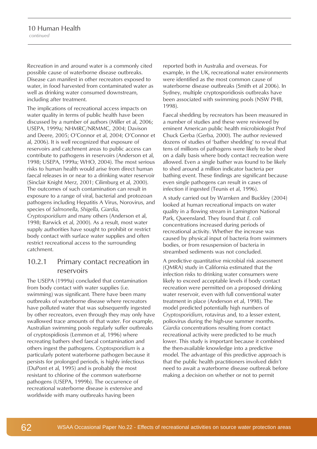Recreation in and around water is a commonly cited possible cause of waterborne disease outbreaks. Disease can manifest in other recreators exposed to water, in food harvested from contaminated water as well as drinking water consumed downstream, including after treatment.

The implications of recreational access impacts on water quality in terms of public health have been discussed by a number of authors (Miller et al, 2006; USEPA, 1999a; NHMRC/NRMMC, 2004; Davison and Deere, 2005; O'Connor et al, 2004; O'Connor et al, 2006). It is well recognized that exposure of reservoirs and catchment areas to public access can contribute to pathogens in reservoirs (Anderson et al, 1998; USEPA, 1999a; WHO, 2004). The most serious risks to human health would arise from direct human faecal releases in or near to a drinking water reservoir (Sinclair Knight Merz, 2001; Cilimburg et al, 2000). The outcomes of such contamination can result in exposure to a range of viral, bacterial and protozoan pathogens including Hepatitis A Virus, Norovirus, and species of *Salmonella*, *Shigella*, *Giardia*, *Cryptosporidium* and many others (Anderson et al,

1998; Barwick et al, 2000). As a result, most water supply authorities have sought to prohibit or restrict body contact with surface water supplies and often restrict recreational access to the surrounding catchment.

### 10.2.1 Primary contact recreation in reservoirs

The USEPA (1999a) concluded that contamination from body contact with water supplies (i.e. swimming) was significant. There have been many outbreaks of waterborne disease where recreators have polluted water that was subsequently ingested by other recreators, even through they may only have swallowed trace amounts of that water. For example, Australian swimming pools regularly suffer outbreaks of cryptospidiosis (Lemmon et al, 1996) where recreating bathers shed faecal contamination and others ingest the pathogens. *Cryptosporidium* is a particularly potent waterborne pathogen because it persists for prolonged periods, is highly infectious (DuPont et al, 1995) and is probably the most resistant to chlorine of the common waterborne pathogens (USEPA, 1999b). The occurrence of recreational waterborne disease is extensive and worldwide with many outbreaks having been

reported both in Australia and overseas. For example, in the UK, recreational water environments were identified as the most common cause of waterborne disease outbreaks (Smith et al 2006). In Sydney, multiple cryptosporidiosis outbreaks have been associated with swimming pools (NSW PHB, 1998).

Faecal shedding by recreators has been measured in a number of studies and these were reviewed by eminent American public health microbiologist Prof Chuck Gerba (Gerba, 2000). The author reviewed dozens of studies of 'bather shedding' to reveal that tens of millions of pathogens were likely to be shed on a daily basis where body contact recreation were allowed. Even a single bather was found to be likely to shed around a million indicator bacteria per bathing event. These findings are significant because even single pathogens can result in cases of infection if ingested (Teunis et al, 1996).

A study carried out by Warnken and Buckley (2004) looked at human recreational impacts on water quality in a flowing stream in Lamington National Park, Queensland. They found that *E. coli* concentrations increased during periods of recreational activity. Whether the increase was caused by physical input of bacteria from swimmers bodies, or from resuspension of bacteria in streambed sediments was not concluded.

A predictive quantitative microbial risk assessment (QMRA) study in California estimated that the infection risks to drinking water consumers were likely to exceed acceptable levels if body contact recreation were permitted on a proposed drinking water reservoir, even with full conventional water treatment in place (Anderson et al, 1998). The model predicted potentially high numbers of *Cryptosporidium*, rotavirus and, to a lesser extent, poliovirus during the high-use summer months. *Giardia* concentrations resulting from contact recreational activity were predicted to be much lower. This study is important because it combined the then-available knowledge into a predictive model. The advantage of this predictive approach is that the public health practitioners involved didn't need to await a waterborne disease outbreak before making a decision on whether or not to permit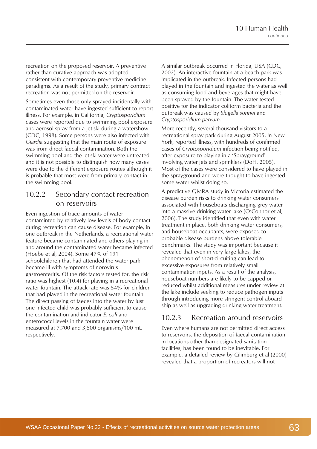recreation on the proposed reservoir. A preventive rather than curative approach was adopted, consistent with contemporary preventive medicine paradigms. As a result of the study, primary contract recreation was not permitted on the reservoir.

Sometimes even those only sprayed incidentally with contaminated water have ingested sufficient to report illness. For example, in California, *Cryptosporidium* cases were reported due to swimming pool exposure and aerosol spray from a jet-ski during a watershow (CDC, 1998). Some persons were also infected with *Giardia* suggesting that the main route of exposure was from direct faecal contamination. Both the swimming pool and the jet-ski water were untreated and it is not possible to distinguish how many cases were due to the different exposure routes although it is probable that most were from primary contact in the swimming pool.

### 10.2.2 Secondary contact recreation on reservoirs

Even ingestion of trace amounts of water contaminted by relatively low levels of body contact during recreation can cause disease. For example, in one outbreak in the Netherlands, a recreational water feature became contaminated and others playing in and around the contaminated water became infected (Hoebe et al, 2004). Some 47% of 191 schoolchildren that had attended the water park became ill with symptoms of norovirus gastroenteritis. Of the risk factors tested for, the risk ratio was highest (10.4) for playing in a recreational water fountain. The attack rate was 54% for children that had played in the recreational water fountain. The direct passing of faeces into the water by just one infected child was probably sufficient to cause the contamination and indicator *E. coli* and enterococci levels in the fountain water were measured at 7,700 and 3,500 organisms/100 mL respectively.

A similar outbreak occurred in Florida, USA (CDC, 2002). An interactive fountain at a beach park was implicated in the outbreak. Infected persons had played in the fountain and ingested the water as well as consuming food and beverages that might have been sprayed by the fountain. The water tested positive for the indicator coliform bacteria and the outbreak was caused by *Shigella sonnei* and *Cryptosporidium parvum*.

More recently, several thousand visitors to a recreational spray park during August 2005, in New York, reported illness, with hundreds of confirmed cases of *Cryptosporidium* infection being notified, after exposure to playing in a 'Sprayground' involving water jets and sprinklers (DoH, 2005). Most of the cases were considered to have played in the sprayground and were thought to have ingested some water whilst doing so.

A predictive QMRA study in Victoria estimated the disease burden risks to drinking water consumers associated with houseboats discharging grey water into a massive drinking water lake (O'Connor et al, 2006). The study identified that even with water treatment in place, both drinking water consumers, and houseboat occupants, were exposed to probable disease burdens above tolerable benchmarks. The study was important because it revealed that even in very large lakes, the phenomenon of short-circuiting can lead to excessive exposures from relatively small contamination inputs. As a result of the analysis, houseboat numbers are likely to be capped or reduced whilst additional measures under review at the lake include seeking to reduce pathogen inputs through introducing more stringent control aboard ship as well as upgrading drinking water treatment.

### 10.2.3 Recreation around reservoirs

Even where humans are not permitted direct access to reservoirs, the deposition of faecal contamination in locations other than designated sanitation facilities, has been found to be inevitable. For example, a detailed review by Cilimburg et al (2000) revealed that a proportion of recreators will not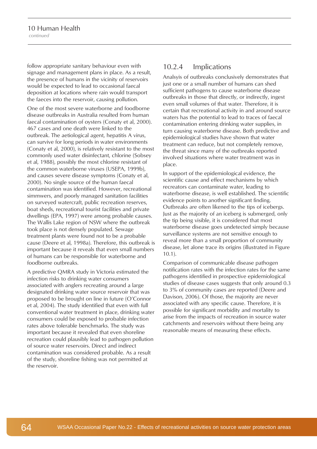follow appropriate sanitary behaviour even with signage and management plans in place. As a result, the presence of humans in the vicinity of reservoirs would be expected to lead to occasional faecal deposition at locations where rain would transport the faeces into the reservoir, causing pollution.

One of the most severe waterborne and foodborne disease outbreaks in Australia resulted from human faecal contamination of oysters (Conaty et al, 2000). 467 cases and one death were linked to the outbreak. The aetiological agent, hepatitis A virus, can survive for long periods in water environments (Conaty et al, 2000), is relatively resistant to the most commonly used water disinfectant, chlorine (Sobsey et al, 1988), possibly the most chlorine resistant of the common waterborne viruses (USEPA, 1999b), and causes severe disease symptoms (Conaty et al, 2000). No single source of the human faecal contamination was identified. However, recreational simmwers, and poorly managed sanitation facilities on surveyed watercraft, public recreation reserves, boat sheds, recreational tourist facilities and private dwellings (EPA, 1997) were among probable causes. The Wallis Lake region of NSW where the outbreak took place is not densely populated. Sewage treatment plants were found not to be a probable cause (Deere et al, 1998a). Therefore, this outbreak is important because it reveals that even small numbers of humans can be responsible for waterborne and foodborne outbreaks.

A predictive QMRA study in Victoria estimated the infection risks to drinking water consumers associated with anglers recreating around a large designated drinking water source reservoir that was proposed to be brought on line in future (O'Connor et al, 2004). The study identified that even with full conventional water treatment in place, drinking water consumers could be exposed to probable infection rates above tolerable benchmarks. The study was important because it revealed that even shoreline recreation could plausibly lead to pathogen pollution of source water reservoirs. Direct and indirect contamination was considered probable. As a result of the study, shoreline fishing was not permitted at the reservoir.

### 10.2.4 Implications

Analsyis of outbreaks conclusively demonstrates that just one or a small number of humans can shed sufficient pathogens to cause waterborne disease outbreaks in those that directly, or indirectly, ingest even small volumes of that water. Therefore, it is certain that recreational activity in and around source waters has the potential to lead to traces of faecal contamination entering drinking water supplies, in turn causing waterborne disease. Both predictive and epidemiological studies have shown that water treatment can reduce, but not completely remove, the threat since many of the outbreaks reported involved situations where water treatment was in place.

In support of the epidemiological evidence, the scientific cause and effect mechanisms by which recreators can contaminate water, leading to waterborne disease, is well established. The scientific evidence points to another significant finding. Outbreaks are often likened to the tips of icebergs. Just as the majority of an iceberg is submerged, only the tip being visible, it is considered that most waterborne disease goes undetected simply because surveillance systems are not sensitive enough to reveal more than a small proportion of community disease, let alone trace its origins (illustrated in Figure 10.1).

Comparison of communicable disease pathogen notification rates with the infection rates for the same pathogens identified in prospective epidemiological studies of disease cases suggests that only around 0.3 to 3% of community cases are reported (Deere and Davison, 2006). Of those, the majority are never associated with any specific cause. Therefore, it is possible for significant morbidity and mortality to arise from the impacts of recreation in source water catchments and reservoirs without there being any reasonable means of measuring these effects.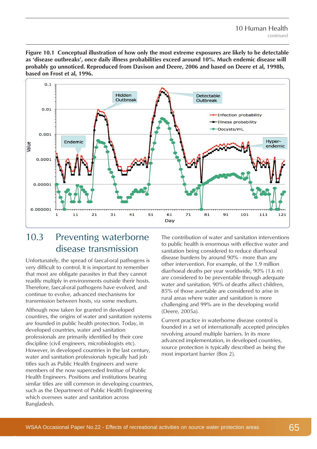10 Human Health  *continued*

**Figure 10.1 Conceptual illustration of how only the most extreme exposures are likely to be detectable as 'disease outbreaks', once daily illness probabilities exceed around 10%. Much endemic disease will probably go unnoticed. Reproduced from Davison and Deere, 2006 and based on Deere et al, 1998b, based on Frost et al, 1996.**



# 10.3 Preventing waterborne disease transmission

Unfortunately, the spread of faecal-oral pathogens is very difficult to control. It is important to remember that most are obligate parasites in that they cannot readily multiply in environments outside therir hosts. Therefore, faecal-oral pathogens have evolved, and continue to evolve, advanced mechanisms for transmission between hosts, *via* some medium.

Although now taken for granted in developed countires, the origins of water and sanitation systems are founded in public health protection. Today, in developed countries, water and sanitation professionals are primarily identified by their core discipline (civil engineers, microbiologists etc). However, in developed countries in the last century, water and sanitation professionals typically had job titles such as Public Health Engineers and were members of the now superceded Institue of Public Health Engineers. Positions and institutions bearing similar titles are still common in developing countries, such as the Department of Public Health Engineering which oversees water and sanitation across Bangladesh.

The contribution of water and sanitation interventions to public health is enormous with effective water and sanitation being considered to reduce diarrhoeal disease burdens by around 90% - more than any other intervention. For example, of the 1.9 million diarrhoeal deaths per year worldwide, 90% (1.6 m) are considered to be preventable through adequate water and sanitation, 90% of deaths affect children, 85% of those avertable are considered to arise in rural areas where water and sanitation is more challenging and 99% are in the developing world (Deere, 2005a).

Current practice in waterborne disease control is founded in a set of internationally accepted principles revolving around multiple barriers. In its more advanced implementation, in developed countries, source protection is typically described as being the most important barrier (Box 2).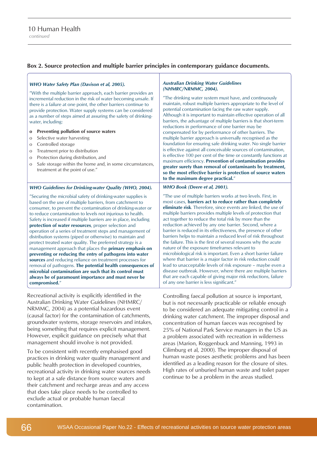*continued*

#### **Box 2. Source protection and multiple barrier principles in contemporary guidance documents.**

| WHO Water Safety Plan (Davison et al, 2005).<br>"With the multiple barrier approach, each barrier provides an<br>incremental reduction in the risk of water becoming unsafe. If<br>there is a failure at one point, the other barriers continue to<br>provide protection. Water supply systems can be considered<br>as a number of steps aimed at assuring the safety of drinking-<br>water, including:<br>Preventing pollution of source waters<br>$\bf o$<br>Selective water harvesting<br>$\mathsf O$<br>Controlled storage<br>O<br>Treatment prior to distribution<br>$\mathsf O$<br>Protection during distribution, and<br>$\circ$<br>Safe storage within the home and, in some circumstances,<br>$\mathsf O$<br>treatment at the point of use." | <b>Australian Drinking Water Guidelines</b><br>(NHMRC/NRMMC, 2004).<br>"The drinking water system must have, and continuously<br>maintain, robust multiple barriers appropriate to the level of<br>potential contamination facing the raw water supply.<br>Although it is important to maintain effective operation of all<br>barriers, the advantage of multiple barriers is that short-term<br>reductions in performance of one barrier may be<br>compensated for by performance of other barriers. The<br>multiple barrier approach is universally recognised as the<br>foundation for ensuring safe drinking water. No single barrier<br>is effective against all conceivable sources of contamination,<br>is effective 100 per cent of the time or constantly functions at<br>maximum efficiency. Prevention of contamination provides<br>greater surety than removal of contaminants by treatment,<br>so the most effective barrier is protection of source waters<br>to the maximum degree practical." |
|-------------------------------------------------------------------------------------------------------------------------------------------------------------------------------------------------------------------------------------------------------------------------------------------------------------------------------------------------------------------------------------------------------------------------------------------------------------------------------------------------------------------------------------------------------------------------------------------------------------------------------------------------------------------------------------------------------------------------------------------------------|---------------------------------------------------------------------------------------------------------------------------------------------------------------------------------------------------------------------------------------------------------------------------------------------------------------------------------------------------------------------------------------------------------------------------------------------------------------------------------------------------------------------------------------------------------------------------------------------------------------------------------------------------------------------------------------------------------------------------------------------------------------------------------------------------------------------------------------------------------------------------------------------------------------------------------------------------------------------------------------------------------------|
| WHO Guidelines for Drinking-water Quality (WHO, 2004).                                                                                                                                                                                                                                                                                                                                                                                                                                                                                                                                                                                                                                                                                                | WHO Book (Deere et al, 2001).                                                                                                                                                                                                                                                                                                                                                                                                                                                                                                                                                                                                                                                                                                                                                                                                                                                                                                                                                                                 |
| "Securing the microbial safety of drinking-water supplies is                                                                                                                                                                                                                                                                                                                                                                                                                                                                                                                                                                                                                                                                                          | "The use of multiple barriers works at two levels. First, in                                                                                                                                                                                                                                                                                                                                                                                                                                                                                                                                                                                                                                                                                                                                                                                                                                                                                                                                                  |
| based on the use of multiple barriers, from catchment to                                                                                                                                                                                                                                                                                                                                                                                                                                                                                                                                                                                                                                                                                              | most cases, barriers act to reduce rather than completely                                                                                                                                                                                                                                                                                                                                                                                                                                                                                                                                                                                                                                                                                                                                                                                                                                                                                                                                                     |
| consumer, to prevent the contamination of drinking-water or                                                                                                                                                                                                                                                                                                                                                                                                                                                                                                                                                                                                                                                                                           | eliminate risk. Therefore, since events are linked, the use of                                                                                                                                                                                                                                                                                                                                                                                                                                                                                                                                                                                                                                                                                                                                                                                                                                                                                                                                                |
| to reduce contamination to levels not injurious to health.                                                                                                                                                                                                                                                                                                                                                                                                                                                                                                                                                                                                                                                                                            | multiple barriers provides multiple levels of protection that                                                                                                                                                                                                                                                                                                                                                                                                                                                                                                                                                                                                                                                                                                                                                                                                                                                                                                                                                 |
| Safety is increased if multiple barriers are in place, including                                                                                                                                                                                                                                                                                                                                                                                                                                                                                                                                                                                                                                                                                      | act together to reduce the total risk by more than the                                                                                                                                                                                                                                                                                                                                                                                                                                                                                                                                                                                                                                                                                                                                                                                                                                                                                                                                                        |
| protection of water resources, proper selection and                                                                                                                                                                                                                                                                                                                                                                                                                                                                                                                                                                                                                                                                                                   | reduction achieved by any one barrier. Second, where a                                                                                                                                                                                                                                                                                                                                                                                                                                                                                                                                                                                                                                                                                                                                                                                                                                                                                                                                                        |
| operation of a series of treatment steps and management of                                                                                                                                                                                                                                                                                                                                                                                                                                                                                                                                                                                                                                                                                            | barrier is reduced in its effectiveness, the presence of other                                                                                                                                                                                                                                                                                                                                                                                                                                                                                                                                                                                                                                                                                                                                                                                                                                                                                                                                                |
| distribution systems (piped or otherwise) to maintain and                                                                                                                                                                                                                                                                                                                                                                                                                                                                                                                                                                                                                                                                                             | barriers helps to maintain a reduced level of risk throughout                                                                                                                                                                                                                                                                                                                                                                                                                                                                                                                                                                                                                                                                                                                                                                                                                                                                                                                                                 |
| protect treated water quality. The preferred strategy is a                                                                                                                                                                                                                                                                                                                                                                                                                                                                                                                                                                                                                                                                                            | the failure. This is the first of several reasons why the acute                                                                                                                                                                                                                                                                                                                                                                                                                                                                                                                                                                                                                                                                                                                                                                                                                                                                                                                                               |
| management approach that places the primary emphasis on                                                                                                                                                                                                                                                                                                                                                                                                                                                                                                                                                                                                                                                                                               | nature of the exposure timeframes relevant to                                                                                                                                                                                                                                                                                                                                                                                                                                                                                                                                                                                                                                                                                                                                                                                                                                                                                                                                                                 |
| preventing or reducing the entry of pathogens into water                                                                                                                                                                                                                                                                                                                                                                                                                                                                                                                                                                                                                                                                                              | microbiological risk is important. Even a short barrier failure                                                                                                                                                                                                                                                                                                                                                                                                                                                                                                                                                                                                                                                                                                                                                                                                                                                                                                                                               |
| sources and reducing reliance on treatment processes for                                                                                                                                                                                                                                                                                                                                                                                                                                                                                                                                                                                                                                                                                              | where that barrier is a major factor in risk reduction could                                                                                                                                                                                                                                                                                                                                                                                                                                                                                                                                                                                                                                                                                                                                                                                                                                                                                                                                                  |
| removal of pathogens. The potential health consequences of                                                                                                                                                                                                                                                                                                                                                                                                                                                                                                                                                                                                                                                                                            | lead to unacceptable levels of risk exposure - maybe even a                                                                                                                                                                                                                                                                                                                                                                                                                                                                                                                                                                                                                                                                                                                                                                                                                                                                                                                                                   |
| microbial contamination are such that its control must                                                                                                                                                                                                                                                                                                                                                                                                                                                                                                                                                                                                                                                                                                | disease outbreak. However, where there are multiple barriers                                                                                                                                                                                                                                                                                                                                                                                                                                                                                                                                                                                                                                                                                                                                                                                                                                                                                                                                                  |
| always be of paramount importance and must never be                                                                                                                                                                                                                                                                                                                                                                                                                                                                                                                                                                                                                                                                                                   | that are each capable of giving major risk reductions, failure                                                                                                                                                                                                                                                                                                                                                                                                                                                                                                                                                                                                                                                                                                                                                                                                                                                                                                                                                |
| compromised."                                                                                                                                                                                                                                                                                                                                                                                                                                                                                                                                                                                                                                                                                                                                         | of any one barrier is less significant."                                                                                                                                                                                                                                                                                                                                                                                                                                                                                                                                                                                                                                                                                                                                                                                                                                                                                                                                                                      |
| Recreational activity is explicitly identified in the                                                                                                                                                                                                                                                                                                                                                                                                                                                                                                                                                                                                                                                                                                 | Controlling faecal pollution at source is important,                                                                                                                                                                                                                                                                                                                                                                                                                                                                                                                                                                                                                                                                                                                                                                                                                                                                                                                                                          |
| Australian Drinking Water Guidelines (NHMRC/                                                                                                                                                                                                                                                                                                                                                                                                                                                                                                                                                                                                                                                                                                          | but is not necessarily practicable or reliable enough                                                                                                                                                                                                                                                                                                                                                                                                                                                                                                                                                                                                                                                                                                                                                                                                                                                                                                                                                         |

NRMMC, 2004) as a potential hazardous event (causal factor) for the contamination of catchments, groundwater systems, storage reservoirs and intakes, being something that requires explicit management. However, explicit guidance on precisely what that management should involve is not provided.

To be consistent with recently emphasised good practices in drinking water quality management and public health protection in developed countries, recreational activity in drinking water sources needs to kept at a safe distance from source waters and their catchment and recharge areas and any access that does take place needs to be controlled to exclude actual or probable human faecal contamination.

to be considered an adequate mitigating control in a drinking water catchment. The improper disposal and concentration of human faeces was recognised by 25% of National Park Service managers in the US as a problem associated with recreation in wilderness areas (Marion, Roggenbuck and Manning, 1993 in Cilimburg et al, 2000). The improper disposal of human waste poses aesthetic problems and has been identified as a leading reason for the closure of sites. High rates of unburied human waste and toilet paper continue to be a problem in the areas studied.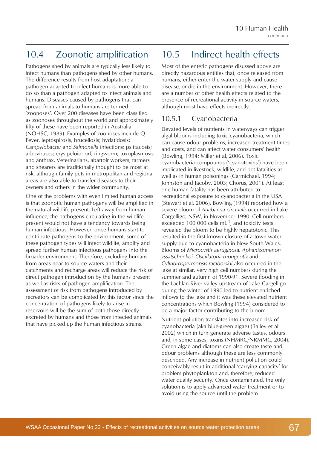# 10.4 Zoonotic amplification

Pathogens shed by animals are typically less likely to infect humans than pathogens shed by other humans. The difference results from host adaptation: a pathogen adapted to infect humans is more able to do so than a pathogen adapted to infect animals and humans. Diseases caused by pathogens that can spread from animals to humans are termed 'zoonoses'. Over 200 diseases have been classified as zoonoses throughout the world and approximately fifty of these have been reported in Australia (NOHSC, 1989). Examples of zoonoses include Q-Fever, leptospirosis, brucellosis; hydatidosis; *Campylobacter* and *Salmonella* infections; psittacosis; arboviruses; erysipeloid; orf; ringworm; toxoplasmosis and anthrax. Veterinarians, abattoir workers, farmers and shearers are traditionally thought to be most at risk, although family pets in metropolitan and regional areas are also able to transfer diseases to their owners and others in the wider community.

One of the problems with even limited human access is that zoonotic human pathogens will be amplified in the natural wildlife present. Left away from human influence, the pathogens circulating in the wildlife present would not have a tendancy towards being human infectious. However, once humans start to contribute pathogens to the environment, some of these pathogen types will infect wildlife, amplify and spread further human infectious pathogens into the broader environment. Therefore, excluding humans from areas near to source waters and their catchments and recharge areas will reduce the risk of direct pathogen introduction by the humans present as well as risks of pathogen amplification. The assessment of risk from pathogens introduced by recreators can be complicated by this factor since the concentration of pathogens likely to arise in reservoirs will be the sum of both those directly excreted by humans and those from infected animals that have picked up the human infectious strains.

# 10.5 Indirect health effects

Most of the enteric pathogens disussed above are directly hazardous entities that, once released from humans, either enter the water supply and cause disease, or die in the environment. However, there are a number of other health effects related to the presence of recreational activity in source waters, although most have effects indirectly.

### 10.5.1 Cyanobacteria

Elevated levels of nutrients in waterways can trigger algal blooms including toxic cyanobacteria, which can cause odour problems, increased treatment times and costs, and can affect water consumers' health (Bowling, 1994; Miller et al, 2006). Toxic cyanobacteria compounds ('cyanotoxins') have been implicated in livestock, wildlife, and pet fatalities as well as in human poisonings (Carmichael, 1994; Johnston and Jacoby, 2003; Chorus, 2001). At least one human fatality has been attributed to recreational exposure to cyanobacteria in the USA (Stewart et al, 2006). Bowling (1994) reported how a severe bloom of *Anabaena circinalis* occurred in Lake Cargelligo, NSW, in November 1990. Cell numbers exceeded 100 000 cells  $mL^{-1}$ , and toxicity tests revealed the bloom to be highly hepatotoxic. This resulted in the first known closure of a town water supply due to cyanobacteria in New South Wales. Blooms of *Microcystis aeruginosa, Aphanizomenon zssatschenkoi, Oscillatoria rnougeotiz* and *Cylindrospermopsis raciborskii* also occurred in the lake at similar, very high cell numbers during the summer and autumn of 1990-91. Severe flooding in the Lachlan River valley upstream of Lake Cargelligo during the winter of 1990 led to nutrient enrlched inflows to the lake and it was these elevated nutrient concentrations which Bowling (1994) considered to be a major factor contributing to the bloom.

Nutrient pollution translates into increased risk of cyanobacteria (aka blue-green algae) (Bailey et al 2002) which in turn generate adverse tastes, odours and, in some cases, toxins (NHMRC/NRMMC, 2004). Green algae and diatoms can also create taste and odour problems although these are less commonly described. Any increase in nutrient pollution could conceivably result in additional 'carrying capacity' for problem phytoplankton and, therefore, reduced water quality security. Once contaminated, the only solution is to apply advanced water treatment or to avoid using the source until the problem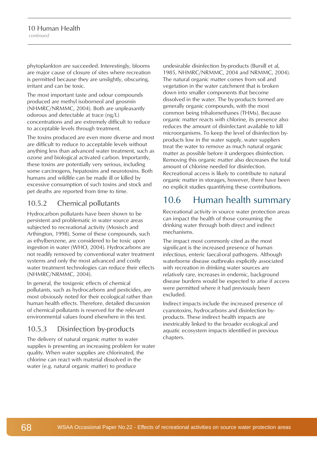phytoplankton are succeeded. Interestingly, blooms are major cause of closure of sites where recreation is permitted because they are unslightly, obscuring, irritant and can be toxic.

The most important taste and odour compounds produced are methyl isoborneol and geosmin (NHMRC/NRMMC, 2004). Both are unpleasantly odorous and detectable at trace (ng/L) concentrations and are extremely difficult to reduce to acceptable levels through treatment.

The toxins produced are even more diverse and most are difficult to reduce to acceptable levels without anything less than advanced water treatment, such as ozone and biological activated carbon. Importantly, these toxins are potentially very serious, including some carcinogens, hepatoxins and neurotoxins. Both humans and wildlife can be made ill or killed by excessive consumption of such toxins and stock and pet deaths are reported from time to time.

### 10.5.2 Chemical pollutants

Hydrocarbon pollutants have been shown to be persistent and problematic in water source areas subjected to recreational activity (Mosisch and Arthington, 1998). Some of these compounds, such as ethylbenzene, are considered to be toxic upon ingestion in water (WHO, 2004). Hydrocarbons are not readily removed by conventional water treatment systems and only the most advanced and costly water treatment technologies can reduce their effects (NHMRC/NRMMC, 2004).

In general, the toxigenic effects of chemical pollutants, such as hydrocarbons and pesticides, are most obviously noted for their ecological rather than human health effects. Therefore, detailed discussion of chemical pollutants is reserved for the relevant environmental values found elsewhere in this text.

### 10.5.3 Disinfection by-products

The delivery of natural organic matter to water supplies is presenting an increasing problem for water quality. When water supplies are chlorinated, the chlorine can react with material dissolved in the water (e.g. natural organic matter) to produce

undesirable disinfection by-products (Bursill et al, 1985, NHMRC/NRMMC, 2004 and NRMMC, 2004). The natural organic matter comes from soil and vegetation in the water catchment that is broken down into smaller components that become dissolved in the water. The by-products formed are generally organic compounds, with the most common being trihalomethanes (THMs). Because organic matter reacts with chlorine, its presence also reduces the amount of disinfectant available to kill microorganisms. To keep the level of disinfection byproducts low in the water supply, water suppliers treat the water to remove as much natural organic matter as possible before it undergoes disinfection. Removing this organic matter also decreases the total amount of chlorine needed for disinfection. Recreational access is likely to contribute to natural organic matter in storages, however, there have been no explicit studies quantifying these contributions.

# 10.6 Human health summary

Recreational activity in source water protection areas can impact the health of those consuming the drinking water through both direct and indirect mechanisms.

The impact most commonly cited as the most significant is the increased presence of human infectious, enteric faecal-oral pathogens. Although waterborne disease outbreaks explicitly associated with recreation in drinking water sources are relatively rare, increases in endemic, background disease burdens would be expected to arise if access were permitted where it had previously been excluded.

Indirect impacts include the increased presence of cyanotoxins, hydrocarbons and disinfection byproducts. These indirect health impacts are inextricably linked to the broader ecological and aquatic ecosystem impacts identified in previous chapters.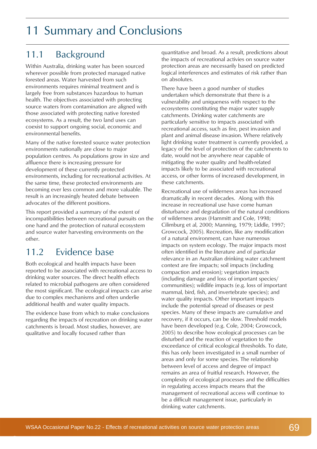# 11 Summary and Conclusions

# 11.1 Background

Within Australia, drinking water has been sourced wherever possible from protected managed native forested areas. Water harvested from such environments requires minimal treatment and is largely free from substances hazardous to human health. The objectives associated with protecting source waters from contamination are aligned with those associated with protecting native forested ecosystems. As a result, the two land uses can coexist to support ongoing social, economic and environmental benefits.

Many of the native forested source water protection environments nationally are close to major population centres. As populations grow in size and affluence there is increasing pressure for development of these currently protected environments, including for recreational activities. At the same time, these protected environments are becoming ever less common and more valuable. The result is an increasingly heated debate between advocates of the different positions.

This report provided a summary of the extent of incompatibilities between recreational pursuits on the one hand and the protection of natural ecosystem and source water harvesting environments on the other.

# 11.2 Evidence base

Both ecological and health impacts have been reported to be associated with recreational access to drinking water sources. The direct health effects related to microbial pathogens are often considered the most significant. The ecological impacts can arise due to complex mechanisms and often underlie additional health and water quality impacts.

The evidence base from which to make conclusions regarding the impacts of recreation on drinking water catchments is broad. Most studies, however, are qualitative and locally focused rather than

quantitative and broad. As a result, predictions about the impacts of recreational activies on source water protection areas are necessarily based on predicted logical interferences and estimates of risk rather than on absolutes.

There have been a good number of studies undertaken which demonstrate that there is a vulnerability and uniqueness with respect to the ecosystems constituting the major water supply catchments. Drinking water catchments are particularly sensitive to impacts associated with recreational access, such as fire, pest invasion and plant and animal disease invasion. Where relatively light drinking water treatment is currently provided, a legacy of the level of protection of the catchments to date, would not be anywhere near capable of mitigating the water quality and health-related impacts likely to be associated with recreational access, or other forms of increased development, in these catchments.

Recreational use of wilderness areas has increased dramatically in recent decades. Along with this increase in recreational use have come human disturbance and degradation of the natural conditions of wilderness areas (Hammitt and Cole, 1998; Cilimburg et al, 2000; Manning, 1979; Liddle, 1997; Growcock, 2005). Recreation, like any modification of a natural environment, can have numerous impacts on system ecology. The major impacts most often identified in the literature and of particular relevance in an Australian drinking water catchment context are fire impacts; soil impacts (including compaction and erosion); vegetation impacts (including damage and loss of important species/ communities); wildlife impacts (e.g. loss of important mammal, bird, fish, and invertebrate species); and water quality impacts. Other important impacts include the potential spread of diseases or pest species. Many of these impacts are cumulative and recovery, if it occurs, can be slow. Threshold models have been developed (e.g. Cole, 2004; Growcock, 2005) to describe how ecological processes can be disturbed and the reaction of vegetation to the exceedance of critical ecological thresholds. To date, this has only been investigated in a small number of areas and only for some species. The relationship between level of access and degree of impact remains an area of fruitful research. However, the complexity of ecological processes and the difficulties in regulating access impacts means that the management of recreational access will continue to be a difficult management issue, particularly in drinking water catchments.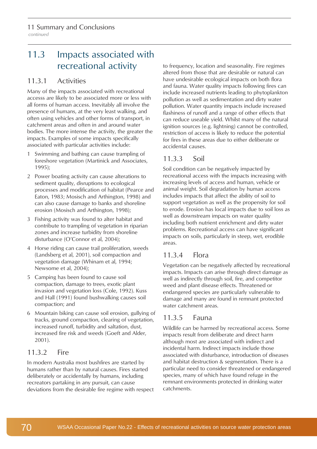# 11.3 Impacts associated with recreational activity

### 11.3.1 Activities

Many of the impacts associated with recreational accesss are likely to be associated more or less with all forms of human access. Inevitably all involve the presence of humans, at the very least walking, and often using vehicles and other forms of transport, in catchment areas and often in and around water bodies. The more intense the activity, the greater the impacts. Examples of some impacts specifically associated with particular activities include:

- Swimming and bathing can cause trampling of foreshore vegetation (Martinick and Associates, 1995);
- 2 Power boating activity can cause alterations to sediment quality, disruptions to ecological processes and modification of habitat (Pearce and Eaton, 1983; Mosisch and Arthington, 1998) and can also cause damage to banks and shoreline erosion (Mosisch and Arthington, 1998);
- 3 Fishing activity was found to alter habitat and contribute to trampling of vegetation in riparian zones and increase turbidity from shoreline disturbance (O'Connor et al, 2004);
- 4 Horse riding can cause trail proliferation, weeds (Landsberg et al, 2001), soil compaction and vegetation damage (Whinam et al, 1994; Newsome et al, 2004);
- 5 Camping has been found to cause soil compaction, damage to trees, exotic plant invasion and vegetation loss (Cole, 1992). Kuss and Hall (1991) found bushwalking causes soil compaction; and
- 6 Mountain biking can cause soil erosion, gullying of tracks, ground compaction, clearing of vegetation, increased runoff, turbidity and saltation, dust, increased fire risk and weeds (Goeft and Alder, 2001).

### 11.3.2 Fire

In modern Australia most bushfires are started by humans rather than by natural causes. Fires started deliberately or accidentally by humans, including recreators partaking in any pursuit, can cause deviations from the desirable fire regime with respect to frequency, location and seasonality. Fire regimes altered from those that are desirable or natural can have undesirable ecological impacts on both flora and fauna. Water quality impacts following fires can include increased nutrients leading to phytoplankton pollution as well as sedimentation and dirty water pollution. Water quantity impacts include increased flashiness of runoff and a range of other effects that can reduce useable yield. Whilst many of the natural ignition sources (e.g. lightning) cannot be controlled, restriction of access is likely to reduce the potential for fires in these areas due to either deliberate or accidental causes.

### 11.3.3 Soil

Soil condition can be negatively impacted by recreational access with the impacts increasing with increasing levels of access and human, vehicle or animal weight. Soil degradation by human access includes impacts that affect the ability of soil to support vegetation as well as the propensity for soil to erode. Erosion has local impacts due to soil loss as well as downstream impacts on water quality including both nutrient enrichment and dirty water problems. Recreational access can have significant impacts on soils, particularly in steep, wet, erodible areas.

### 11.3.4 Flora

Vegetation can be negatively affected by recreational impacts. Impacts can arise through direct damage as well as indirectly through soil, fire, and competitor weed and plant disease effects. Threatened or endangered species are particularly vulnerable to damage and many are found in remnant protected water catchment areas.

### 11.3.5 Fauna

Wildlife can be harmed by recreational access. Some impacts result from deliberate and direct harm although most are associated with indirect and incidental harm. Indirect impacts include those associated with disturbance, introduction of diseases and habitat destruction & segmentation. There is a particular need to consider threatened or endangered species, many of which have found refuge in the remnant environments protected in drinking water catchments.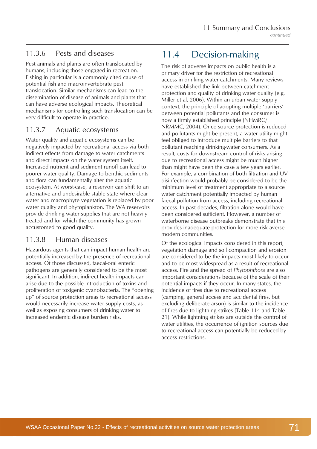## 11.3.6 Pests and diseases

Pest animals and plants are often translocated by humans, including those engaged in recreation. Fishing in particular is a commonly cited cause of potential fish and macroinvertebrate pest translocation. Similar mechanisms can lead to the dissemination of disease of animals and plants that can have adverse ecological impacts. Theoretical mechanisms for controlling such translocation can be very difficult to operate in practice.

## 11.3.7 Aquatic ecosystems

Water quality and aquatic ecosystems can be negatively impacted by recreational access via both indirect effects from damage to water catchments and direct impacts on the water system itself. Increased nutrient and sediment runoff can lead to poorer water quality. Damage to benthic sediments and flora can fundamentally alter the aquatic ecosystem. At worst-case, a reservoir can shift to an alternative and undesirable stable state where clear water and macrophyte vegetation is replaced by poor water quality and phytoplankton. The WA reservoirs provide drinking water supplies that are not heavily treated and for which the community has grown accustomed to good quality.

## 11.3.8 Human diseases

Hazardous agents that can impact human health are potentially increased by the presence of recreational access. Of those discussed, faecal-oral enteric pathogens are generally considered to be the most significant. In addition, indirect health impacts can arise due to the possible introduction of toxins and proliferation of toxigenic cyanobacteria. The "opening up" of source protection areas to recreational access would necessarily increase water supply costs, as well as exposing consumers of drinking water to increased endemic disease burden risks.

## 11.4 Decision-making

The risk of adverse impacts on public health is a primary driver for the restriction of recreational access in drinking water catchments. Many reviews have established the link between catchment protection and quality of drinking water quality (e.g. Miller et al, 2006). Within an urban water supply context, the principle of adopting multiple 'barriers' between potential pollutants and the consumer is now a firmly established principle (NHMRC/ NRMMC, 2004). Once source protection is reduced and pollutants might be present, a water utility might feel obliged to introduce multiple barriers to that pollutant reaching drinking-water consumers. As a result, costs for downstream control of risks arising due to recreational access might be much higher than might have been the case a few years earlier. For example, a combination of both filtration and UV disinfection would probably be considered to be the minimum level of treatment appropriate to a source water catchment potentially impacted by human faecal pollution from access, including recreational access. In past decades, filtration alone would have been considered sufficient. However, a number of waterborne disease outbreaks demonstrate that this provides inadequate protection for more risk averse modern communities.

Of the ecological impacts considered in this report, vegetation damage and soil compaction and erosion are considered to be the impacts most likely to occur and to be most widespread as a result of recreational access. Fire and the spread of *Phytophthora* are also important considerations because of the scale of their potential impacts if they occur. In many states, the incidence of fires due to recreational access (camping, general access and accidental fires, but excluding deliberate arson) is similar to the incidence of fires due to lightning strikes (Table 114 and Table 21). While lightning strikes are outside the control of water utilities, the occurrence of ignition sources due to recreational access can potentially be reduced by access restrictions.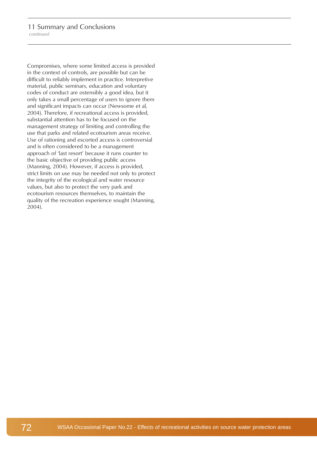Compromises, where some limited access is provided in the context of controls, are possible but can be difficult to reliably implement in practice. Interpretive material, public seminars, education and voluntary codes of conduct are ostensibly a good idea, but it only takes a small percentage of users to ignore them and significant impacts can occur (Newsome et al, 2004). Therefore, if recreational access is provided, substantial attention has to be focused on the management strategy of limiting and controlling the use that parks and related ecotourism areas receive. Use of rationing and escorted access is controversial and is often considered to be a management approach of 'last resort' because it runs counter to the basic objective of providing public access (Manning, 2004). However, if access is provided, strict limits on use may be needed not only to protect the integrity of the ecological and water resource values, but also to protect the very park and ecotourism resources themselves, to maintain the quality of the recreation experience sought (Manning, 2004).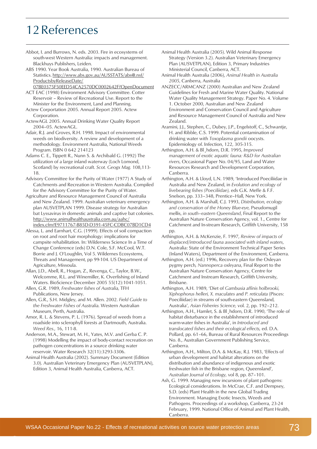Abbot, I. and Burrows, N. eds. 2003. Fire in ecosystems of south-west Western Australia: impacts and management. Blackhuys Publishers, Leiden.

ABS 1990. Year Book Australia, 1990. Australian Bureau of Statistics. http://www.abs.gov.au/AUSSTATS/abs@.nsf/ ProductsbyReleaseDate/

07BE0375F50EED54CA2570DC0002642F?OpenDocument

ACT EAC (1998) Environment Advisory Committee. Cotter Reservoir – Review of Recreational Use. Report to the Minister for the Environment, Land and Planning.

Actew Corportation 2005. Annual Report 2005. Actew Corporation

ActewAGL 2005. Annual Drinking Water Quality Report 2004–05. ActewAGL.

Adair, R.J. and Groves, R.H. 1998. Impact of environmental weeds on biodiversity. A review and development of a methodology. Environment Australia, National Weeds Program. ISBN 0 642 214123

Adams C. E., Tippett R., Nunn S. & Archibald G. (1992) The utilization of a large inland waterway (Loch Lomond, Scotland) by recreational craft. *Scot. Geogx Mag.* 108,113- 18.

Advisory Committee for the Purity of Water (1977) A Study of Catchments and Recreation in Western Australia. Compiled for the Advisory Committee for the Purity of Water.

Agriculture and Resource Management Council of Australia and New Zealand. 1999. Australian veterinary emergency plan AUSVETPLAN 1999. Disease strategy for Australian bat Lyssavirus in domestic animals and captive bat colonies. http://www.animalhealthaustralia.com.au/aahc/ index.cfm?E9711767-B85D-D391-45FC-CDBC07BD1CD4

Alessa, L. and Earnhart, C.G. (1999). Effects of soil compaction on root and root hair morphology: implications for campsite rehabilitation. In: Wilderness Science In a Time of Change Conference (eds) D.N. Cole, S.F. McCool, W.T. Borrie and J. O'Loughlin, Vol 5. Wildernes Ecosystems, Threats and Management, pp 99-104. US Department of Agriculture, Missoula.

Allan, J.D., Abell, R., Hogan, Z., Revenga, C., Taylor, B.W., Welcomme, R.L. and Winemiller, K. Overfishing of Inland Waters. BioScience December 2005 55(12):1041-1051.

Allen, G.R. 1989, *Freshwater fishes of Australia,* TFH Publications, New Jersey.

Allen, G.R., S.H. Midgley, and M. Allen. 2002. *Field Guide to the Freshwater Fishes of Australia*. Western Australian Museum, Perth, Australia.

Amor, R. L. & Stevens, P. L. (1976). Spread of weeds from a roadside into sclerophyll forests at Dartmouth, Australia. *Weed Res.,* 16, 111-8.

Anderson, M.A., Stewart, M. H., Yates, M.V. and Gerba C. P. (1998) Modelling the impact of body-contact recreation on pathogen concentrations in a source drinking water reservoir. Water Research 32(11):3293-3306.

Animal Health Australia (2002). Summary Document (Edition 3.0). Australian Veterinary Emergency Plan (AUSVETPLAN), Edition 3, Animal Health Australia, Canberra, ACT.

- Animal Health Australia (2005). Wild Animal Response Strategy (Version 3.2). Australian Veterinary Emergency Plan (AUSVETPLAN), Edition 3, Primary Industries Ministerial Council, Canberra, ACT.
- Animal Health Australia (2006), *Animal Health in Australia 2005*, Canberra, Australia

ANZECC/ARMCANZ (2000) Australian and New Zealand Guidelines for Fresh and Marine Water Quality. National Water Quality Management Strategy. Paper No. 4. Volume 1. October 2000, Australian and New Zealand Environment and Conservation Council and Agriculture and Resource Management Council of Australia and New Zealand.

Aramini, J.J., Stephen, C., Dubey, J.P., Engelstoff, C., Schwantje, H. and Ribble, C.S. 1999. Potential contamination of drinking water with *Toxoplasma gondii* oocysts. Epidemiology of. Infection, 122, 305-315.

Arthington, A.H. & Bl¸hdorn, D.R. 1995, *Improved management of exotic aquatic fauna: R&D for Australian rivers*, Occasional Paper No. 04/95, Land and Water Resources Research and Development Corporation, Canberra.

Arthington, A.H. & Lloyd, L.N. 1989, 'Introduced Poeciliidae in Australia and New Zealand, in *Evolution and ecology of livebearing fishes (Poeciliidae),* eds G.K. Meffe & F.F. Snelson, pp. 333–348, Prentice–Hall, New York.

Arthington, A.H. & Marshall, C.J. 1993, *Distribution, ecology and conservation of the Honey Blue-eye,* Pseudomugil mellis, *in south–eastern Queensland*, Final Report to the Australian Nature Conservation Agency, vol. 1., Centre for Catchment and In-stream Research, Griffith University, 158 pp.

Arthington, A.H. & McKenzie, F. 1997, *Review of impacts of displaced/introduced fauna associated with inland waters*, Australia: State of the Environment Technical Paper Series (Inland Waters), Department of the Environment, Canberra.

Arthington, A.H. (ed.) 1996, Recovery plan for the Oxleyan pygmy perch*, Nannoperca oxleyana*, Final Report to the Australian Nature Conservation Agency, Centre for Catchment and Instream Research, Griffith University, Brisbane.

Arthington, A.H. 1989, 'Diet of *Gambusia affinis holbrooki, Xiphophorus helleri, X. maculates* and *P. reticulata* (Pisces: Poeciliidae) in streams of south-eastern Queensland, Australia', *Asian Fisheries Science,* vol. 2, pp. 192–212.

Arthington, A.H., Hamlet, S. & Bl¸hdorn, D.R. 1990, 'The role of habitat disturbance in the establishment of introduced warm-water fishes in Australia', in *Introduced and translocated fishes and their ecological effects,* ed. D.A. Pollard, pp. 61–66, Bureau of Rural Resources Proceedings No. 8., Australian Government Publishing Service, Canberra.

Arthington, A.H., Milton, D.A. & McKay, R.J. 1983, 'Effects of urban development and habitat alterations on the distribution and abundance of indigenous and exotic freshwater fish in the Brisbane region, Queensland', *Australian Journal of Ecology,* vol 8, pp. 87–101.

Ash, G. 1999. Managing new incursions of plant pathogens: Ecological considerations. In McCrae, C.F. and Dempsey, S.D. (eds) Plant Health in the new Global Trading Environment. Managing Exotic Insects, Weeds and Pathogens. Proceedings of a workshop, Canberra, 23-24 February, 1999. National Office of Animal and Plant Health, Canberra.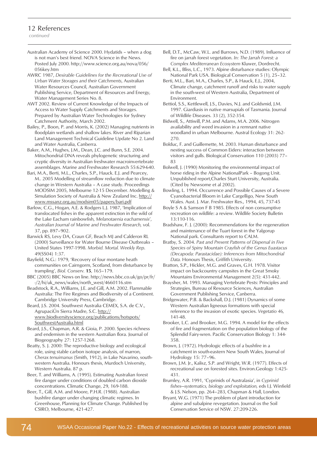*continued*

- Australian Academy of Science 2000. Hydatids when a dog is not man's best friend. NOVA Science in the News. Posted July 2000. http://www.science.org.au/nova/056/ 056key.htm
- AWRC 1987, *Desirable Guidelines for the Recreational Use of Urban Water Storages and their Catchments*, Australian Water Resources Council, Australian Government Publishing Service, Department of Resources and Energy, Water Management Series No. 8.
- AWT 2002. Review of Current Knowledge of the Impacts of Access to Water Supply Catchments and Storages. Prepared by Australian Water Technologies for Sydney Catchment Authority, March 2002.
- Bailey, P., Boon, P. and Morris, K. (2002) Managing nutrients in floodplain wetlands and shallow lakes. River and Riparian Land Management Technical Guideline Update No 2. Land and Water Australia, Canberra.
- Baker, A.M., Hughes, J.M., Dean, J.C. and Bunn, S.E. 2004. Mitochondrial DNA reveals phylogenetic structuring and cryptic diversity in Australian freshwater macroinvertebrate assemblages. Marine and Freshwater Research 55:629-640.
- Bari, M.A., Berti, M.L., Charles, S.P., Hauck. E.J. and Pearcey, M.. 2005 Modelling of streamflow reduction due to climate change in Western Australia – A case study. Proceedings MODSIM 2005, Melbourne 12-15 December. Modelling & Simulation Society of Australia & New Zealand Inc. http:// www.mssanz.org.au/modsim05/papers/bari.pdf
- Barlow, C.G., Hogan, A.E. & Rodgers L.J. 1987, 'Implication of translocated fishes in the apparent extinction in the wild of the Lake Eacham rainbowfish, *Melanotaenia eachamensis*', *Australian Journal of Marine and Freshwater Research,* vol. 37, pp. 897–902.
- Barwick RS, Levy DA, Craun GF, Beach MJ and Calderon RL (2000) Surveillance for Water Bourne Disease Outbreaks – United States 1997-1998. *Morbid. Mortal. Weekly Rep*. 49(SS04) 1:37.
- Bayfield, N.G.: 1979, 'Recovery of four montane heath communities on Cairngorm, Scotland, from disturbance by trampling', *Biol. Conserv.* **15**, 165–179.
- BBC (2005) BBC News on line. http://news.bbc.co.uk/go/pr/fr/ -/2/hi/uk\_news/wales/north\_west/4660116.stm
- Beadstock, R.A., Williams, J.E. and Gill, A.M. 2002. Flammable Australia: The Fire Regimes and Biodiversity of a Continent. Cambridge University Press, Cambridge.
- Beard, J.S. 2004. Southwest Australia CEMEX, S.A. de C.V., AgrupaciÛn Sierra Madre, S.C. http:// www.biodiversityscience.org/publications/hotspots/ SouthwestAustralia.html
- Beard, J.S., Chapman, A.R. & Gioia, P. 2000. Species richness and endemism in the western Australian flora. Journal of Biogeography 27: 1257-1268.
- Beatty, S. J. 2000: The reproductive biology and ecological role, using stable carbon isotope analysis, of marron, *Cherax tenuimanus* (Smith, 1912), in Lake Navarino, southwestern Australia. Honours thesis, Murdoch University, Western Australia. 87 p.
- Beer, T. and Williams, A. (1995). Estimating Australian forest fire danger under conditions of doubled carbon dioxide concentrations. Climatic Change, 29, 169-188.
- Beer, T., Gill, A.M. and Moore, P.H.R. (1988). Australian bushfire danger under changing climatic regimes. In Greenhouse, Planning for Climate Change. Published by CSIRO, Melbourne, 421-427.
- Bell, D.T., McCaw, W.L. and Burrows, N.D. (1989). Influence of fire on jarrah forest vegetation. *In: The Jarrah Forest: a Complex Mediterranean Ecosystem* Kluwer, Dordrecht.
- Bell, K.L., Bliss, L.C., 1973. Alpine disturbance studies: Olympic National Park USA. Biological Conservation 5 (1), 25–32.
- Berti, M.L., Bari, M.A., Charles, S.P., & Hauck, E.J., 2004, Climate change, catchment runoff and risks to water supply in the south-west of Western Australia, Department of Environment.
- Bettiol, S.S., Kettlewell, J.S., Davies, N.J. and Goldsmid, J.M. 1997. Giardiasis in native marsupials of Tasmania. Journal of Wildlife Diseases. 33 (2), 352-354.
- Bidwell, S., Attiwill, P.M. and Adams, M.A. 2006. Nitrogen availability and weed invasion in a remnant native woodland in urban Melbourne. Austral Ecology 31: 262- 270.
- Bolduc, F. and Guillemette, M. 2003. Human disturbance and nesting success of Common Eiders: interaction between visitors and gulls. Biological Conservation 110 (2003) 77– 83
- Bolwell, J. (1990) Monitoring the environmental impact of horse riding in the Alpine NationalPark – Bogong Unit. Unpublished report,Charles Sturt University, Australia. (Cited by Newsome et al 2002).
- Bowling, L. 1994. Occurrence and Possible Causes of a Severe Cyanobacterial Bloom in Lake Cargelligo, New South Wales. Aust. J. Mar. Freshwater Res., 1994, 45, 737-45
- Boyle S A & Samson F B 1985. Effects of non consumptive recreation on wildlife: a review. Wildlife Society Bulletin 13:110-116.
- Bradshaw, F. J. (2000): Recommendations for the regeneration and maintenance of the Tuart forest in the Yalgorup National park. Consultants report to CALM.
- Bratby, S. 2004. *Past and Present Patterns of Dispersal in Five Species of Spiny Mountain Crayfish of the Genus Euastacus (Decapoda: Parastacidae): Inferences from Mitochondrial Data.* Honours Thesis, Griffith University.
- Bratton, S.P., Hickler, M.G. and Graves, G.H. 1978. Visitor impact on backcountry campsites in the Great Smoky Mountains Environmental Management 2(5): 431-442.
- Braysher, M. 1993. Managing Vertebrate Pests: Principles and Strategies, Bureau of Resource Sciences, Australian Government Publishing Service, Canberra.
- Bridgewater, P.B. & Backshall, D.J. (1981) Dynamics of some Western Australian ligneous formations with special reference to the invasion of exotic species. *Vegetatio 46,* 141-48.
- Brooker, L.C. and Brooker, M.G. 1994. A model for the effects of fire and fragmentation on the population biology of the Splendid Fairy-wren. Pacific Conservation Biology 1: 344- 358.
- Brown, J. (1972). Hydrologic effects of a bushfire in a catchment in south-eastern New South Wales, Journal of Hydrology 15: 77–96.
- Brown, J.M. Jr., Kalisz, S.P. and Wright, W.R. (1977). Effects of recreational use on forested sites. Environ.Geology 1:425- 431.
- Brumley, A.R. 1991, 'Cyprinids of Australasia', in *Cyprinid fishes—systematics, biology and exploitation,* eds I.J. Winfield & J.S. Nelson, pp. 264–283, Chapman & Hall, London.
- Bryant, W.G. (1971) The problem of plant introduction for alpine and subalpine revegetation. Journal os the Soil Conservation Service of NSW. 27:209-226.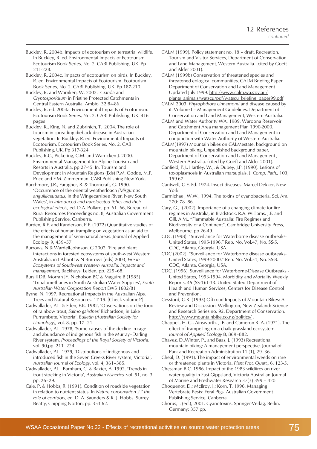12 References  *continued*

- Buckley, R. 2004b. Impacts of ecotourism on terrestrial wildlife. In Buckley, R. ed. Environmental Impacts of Ecotourism. Ecotourism Book Series, No. 2. CABI Publishing, UK. Pp 211-228.
- Buckley, R. 2004c. Impacts of ecotourism on birds. In Buckley, R. ed. Environmental Impacts of Ecotourism. Ecotourism Book Series, No. 2. CABI Publishing, UK. Pp 187-210.

Buckley, R. and Warnken, W. 2002. *Giardia* and *Cryptosporidium* in Pristine Protected Catchments in Central Eastern Australia. Ambio 32:84-86.

Buckley, R. ed. 2004a. Environmental Impacts of Ecotourism. Ecotourism Book Series, No. 2. CABI Publishing, UK. 416 pages

Buckley, R., King, N. and Zubrinich, T. 2004. The role of tourism in spreading dieback disease in Australian vegetation. In Buckley, R. ed. Environmental Impacts of Ecotourism. Ecotourism Book Series, No. 2. CABI Publishing, UK. Pp 317-324.

Buckley, R.C., Pickering, C.M. and Warncken J. 2000. Environmental Management for Alpine Tourism and Resorts in Australia. pp 27-45 In. Tourism and Development in Mountain Regions (Eds) P.M. Godde, M.F. Price and F.M. Zimmerman. CABI Publishing New York.

Burchmore, J.R., Faragher, R. & Thorncraft, G. 1990, 'Occurrence of the oriental weatherloach *(Misgurnus anguillicaudatus)* in the Wingecarribee River, New South Wales', in *Introduced and translocated fishes and their ecological effects,* ed. D.A. Pollard, pp. 61–66, Bureau of Rural Resources Proceedings no. 8, Australian Government Publishing Service, Canberra.

Burden, R.F. and Randerson, P.F. (1972) Quantitative studies of the effects of human trampling on vegetation as an aid to the management of semi-natural areas. Journal of Applied Ecology 9, 439–57

Burrows, N & Wardell-Johnson, G 2002, 'Fire and plant interactions in forested ecosystems of south-west Western Australia, in I Abbott & N Burrows (eds) 2003, *Fire in Ecosystems of Southwest Western Australia: impacts and management*, Backhuys, Leiden, pp. 225–68.

Bursill DB, Morran JY, Nicholson BC & Maguire B (1985) 'Trihalomethanes in South Australian Water Supplies', *South Australian Water Corporation Report* EWS 1602/81

Byrne, N. 1997. Recreational impacts in the Australian Alps. Trees and Natural Resources. 17-19. [Check volume??]

Cadwallader, P.L. & Eden, E.K. 1982, 'Observations on the food of rainbow trout, *Salmo gairdneri* Richardson, in Lake Purrumbete, Victoria', *Bulletin (Australian Society for Limnology),* vol. 8, pp. 17–21.

Cadwallader, P.L. 1978, 'Some causes of the decline in rage and abundance of indigenous fish in the Murray–Darling River system, *Proceedings of the Royal Society of Victoria,* vol. 90,pp. 211–224.

Cadwallader, P.L. 1979, 'Distributions of indigenous and introduced fish in the Seven Creeks River system, Victoria', *Australian Journal of Ecology,* vol. 4, 361–385.

Cadwallader, P.L., Barnham, C. & Baxter, A. 1992, 'Trends in trout stocking in Victoria', *Australian Fisheries,* vol. 51, no. 3, pp. 26–29.

Cale, P. & Hobbs, R. (1991). Condition of roadside vegetation in relation to nutrient status. In *Nature conservation 2." the role of corridors,* ed. D. A. Saunders & R. J. Hobbs. Surrey Beatty, Chipping Norton, pp. 353 62.

CALM (1999). Policy statement no. 18 – draft. Recreation, Tourism and Visitor Services, Department of Conservation and Land Management, Western Australia. (cited by Goeft and Alder 2001).

CALM (1999b) Conservation of threatened species and threatened eological communities, CALM Briefing Paper. Department of Conservation and Land Management Updated July 1999. http://www.calm.wa.gov.au/ plants\_animals/watscu/pdf/watscu\_briefing\_paper99.pdf

CALM 2003. *Phytophthora cinnamomi* and disease caused by it. Volume I – Management Guidelines. Department of Conservation and Land Management, Western Australia.

CALM and Water Authority WA. 1989. Waroona Reservoir and Catchment Area management Plan 1990-2000. Department of Conservation and Land Management in conjunction with Water Authority of Western Australia.

CALM(1997) Mountain bikes on CALMestate, background on mountain biking. Unpublished background paper, Department of Conservation and Land Management , Western Australia. (cited by Goeft and Alder 2001).

Canfield, P.J., Hartley, W.J. & Dubey, J.P. (1990). Lesions of toxoplasmosis in Australian marsupials. J. *Comp. Path.,* 103, 159-67.

- Cantwell, G.E. Ed. 1974. Insect diseases. Marcel Dekker, New York.
- Carmichael, W.W., 1994. The toxins of cyanobacteria. Sci. Am. 270: 78–86.

Cary, G.J. (2002). Importance of a changing climate for fire regimes in Australia, in Bradstock, R.A. Williams, J.E. and Gill, A.M., "Flammable Australia: Fire Regimes and Biodiversity of a Continent", Cambridge University Press, Melbourne, pp 26-49.

CDC (1998). "Surveillance for Waterborne disease outbreaks-United States, 1995-1996," Rep. No. Vol.47, No. SS-5. CDC, Atlanta, Georgia, USA.

CDC (2002). "Surveillance for Waterborne disease outbreaks-United States, 1999-2000," Rep. No. Vol.51, No. SS-8. CDC, Atlanta, Georgia, USA.

CDC. (1996). Surveillance for Waterborne-Disease Outbreaks - United States, 1993-1994. Morbidity and Mortality Weekly Reports, 45 (SS-1):1-33. United Stated Department of Health and Human Services, Centers for Disease Control and Prevention.

Cessford, G.R. (1995) Off-road Impacts of Mountain Bikes: A Review and Discussion. Wellington, New Zealand: Science and Research Series no. 92, Department of Conservation. http://www.mountainbike.co.nz/politics/ .

Chappell, H. G., Ainsworth, J. F. and Cameron R. A. (1971). The effect of trampelling on a chalk grassland ecosystem. *Journal of Applied Ecology* **8**, 869–882.

Chavez, D.,Winter, P., and Baas, J. (1993) Recreational mountain biking: A management perspective. Journal of Park and Recreation Administration 11 (1), 29–36.

Chessman B.C. 1986. Impact of the 1983 wildfires on river water quality in East Gippsland, Victoria Australian Journal of Marine and Freshwater Research 37(3) 399 – 420

Choquenot, D.; McIlroy, J.; Korn, T. 1996. Managing Vertebrate Pests: Feral Pigs. Australian Government Publishing Service, Canberra.

Cheal, D. (1991). The impact of environmental weeds on rare or threatened plants in Victoria. *Plant Prot. Quart.,* 6, 123-5.

Chorus, I. (ed.), 2001. Cyanotoxins. Springer-Verlag, Berlin, Germany: 357 pp.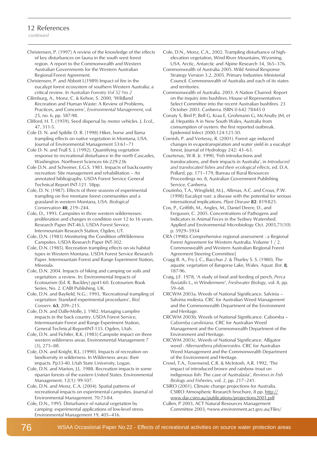*continued*

Christensen, P. (1997) A review of the knowledge of the effects of key disturbances on fauna in the south west forest region. A report to the Commonwealth and Western Australian Governments for the Western Australian Regional Forest Agreement.

Christensen, P. and Abbott I.(1989) Impact of fire in the eucalypt forest ecosystem of southern Western Australia: a critical review. *In Australian Forestry Vol 52 No 2*

Cilimburg, A., Monz, C. & Kehoe, S. 2000, 'Wildland Recreation and Human Waste: A Review of Problems, Practices, and Concerns', *Environmental Management*, vol. 25, no. 6, pp. 587-98.

Clifford, H. T. (1959). Seed dispersal by motor vehicles. J. *Ecol.,* 47, 311-5.

Cole D. N. and Spildie D. R. (1998) Hiker, horse and llama trampling effects on native vegetation in Montana, USA. Journal of Environmental Management 53:61–71

Cole D. N. and Trull S. J. (1992). Quantifying vegetation response to recreational disturbance in the north Cascades, Washington. Northwest Sciences 66:229-236

Cole D.N. and Schreiner, E.G.S. 1981. Impacts of backcountry recreation: Site management and rehabilitation – An annotated bibliography. USDA Forest Service General Technical Report INT-121. 58pp.

Cole, D. N. (1987). Effects of three seasons of experimental trampling on five montane forest communities and a grassland in western Montana, USA. *Biological Conservation* **40**, 219–244.

Cole, D., 1993. Campsites in three western wildernesses: proliferation and changes in condition over 12 to 16 years. Research Paper INT-463, USDA Forest Service, Intermountain Research Station, Ogden, UT.

Cole, D.N. (1983) Monitoring the Condition ofWilderness Campsites. USDA Research Paper INT-302.

Cole, D.N. (1985). Recreation trampling effects on six habitat types in Western Montana. USDA Forest Service Research Paper. Intermountain Forest and Range Experiment Station, Missoula.

Cole, D.N. 2004. Impacts of hiking and camping on soils and vegetation: a review. In: Environmental Impacts of Ecotourism (Ed. R. Buckley) pp41-60. Ecotourism Book Series, No. 2. CABI Publishing, UK.

Cole, D.N. and Bayfield, N.G.: 1993, 'Recreational trampling of vegetation: Standard experimental procedures', *Biol. Conserv.* **63**, 209–215.

Cole, D.N. and Dalle-Molle, J. 1982. Managing campfire impacts in the back country. USDA Forest Service, Intermountain Forest and Range Experiment Station, General Technical ReportINT-135. Ogden, Utah.

Cole, D.N. and Fichtler, R.K. (1983) Campsite impact on three western wilderness areas. Environmental Management 7 (3), 275–88.

Cole, D.N. and Knight, R.L. (1990). Impacts of recreation on biodiversity in wilderness. In Wilderness areas: their impacts. Pp33-40. Utah State University, Logan.

Cole, D.N. and Marion, J.L. 1988. Recreation impacts in some riparian forests of the eastern United States. Environmental Management. 12(1): 99-107.

Cole, D.N. and Monz, C.A. (2004). Spatial patterns of recreational impacts on experimental campsites. Journal of Environmental Management. 70:73-84.

Cole, D.N., 1995. Disturbance of natural vegetation by camping: experimental applications of low-level stress. Environmental Management 19, 405–416.

Cole, D.N., Monz, C.A., 2002. Trampling disturbance of highelevation vegetation, Wind River Mountains, Wyoming, USA. Arctic, Antarctic and Alpine Research 34, 365–376.

Commonwealth of Australia 2005. Wild Animal Response Strategy Version 3.2, 2005. Primary Industries Ministerial Council. Commonwealth of Australia and each of its states and territories.

Commonwealth of Australia. 2003. A Nation Charred: Report on the inquiry into bushfires. House of Representatives Select Committee into the recent Australian bushfires. 23 October 2003. Canberra. ISBN 0 642 78445 0

Conaty S, Bird P, Bell G, Kraa E, Grohmann G, McAnulty JM, et al. Hepatitis A in New South Wales, Australia from consumption of oysters: the first reported outbreak. Epidemiol Infect 2000;124:121-30.

Cornish, P. and Vertessy, R. (2001). Forest age induced changes in evapotranspiration and water yield in a eucalypt forest, Journal of Hydrology 242: 43–63.

Courtenay, W.R. Jr. 1990, 'Fish introductions and translocations, and their impacts in Australia', in *Introduced and translocated fishes and their ecological effects*, ed. D.A. Pollard, pp. 171–179, Bureau of Rural Resources Proceedings no. 8, Australian Government Publishing Service, Canberra.

Coutinho, T.A., Wingfield, M.J., Alfenas, A.C. and Crous, P.W. (1998) Eucalypt rust: a disease with the potential for serious international implications. *Plant Disease* **82**: 819-825.

Cox, P., Griffith, M., Angles, M., Daniel Deere, D., and Ferguson, C. 2005. Concentrations of Pathogens and Indicators in Animal Feces in the Sydney Watershed. Applied and Environmental Microbiology Oct. 2005,71(10) p. 5929–5934

CRA (1998)**:** Comprehensive regional assessment : a Regional Forest Agreement for Western Australia. Volume 1 / 2. Commonwealth and Western Australian Regional Forest Agreement Steering Committee]

Cragg B. A., Fry J. C., Bacchus *2.* & Thurley S. S. (1980). The aquatic vegetation of Ilangorse Lake, Wales. *Aquat. Bot. 8,* 187-96.

Craig, J.F. 1978, 'A study of food and feeding of perch, *Perca fluviatilis* L., in Windermere', *Freshwater Biology,* vol. 8, pp. 59–68.

CRCWM 2003a. Weeds of National Significance. Salvinia – Salvinia molesta. CRC for Australian Weed Management and the Commonwealth Department of the Environment and Heritage.

CRCWM 2003b. Weeds of National Significance. Cabomba – *Cabomba caroliniana*. CRC for Australian Weed Management and the Commonwealth Department of the Environment and Heritage.

CRCWM 2003c. Weeds of National Significance. Alligator weed - *Alternanthera philoxeroides*. CRC for Australian Weed Management and the Commonwealth Department of the Environment and Heritage.

Crowl, T.A., Townsend, C.R. & McIntosh, A.R. 1992, 'The impact of introduced brown and rainbow trout on indigenous fish: The case of Australasia', *Reviews in Fish Biology and Fisheries,* vol. 2, pp. 217–241.

CSIRO (2001). Climate change projections for Australia. CSIRO Atmospheric Research brochure, 8 pp. http:// www.dar.csiro.au/publications/projections2001.pdf

Cullen, P 2003, ACT Natural Resources Management Committee 2003, <www.environment.act.gov.au/Files/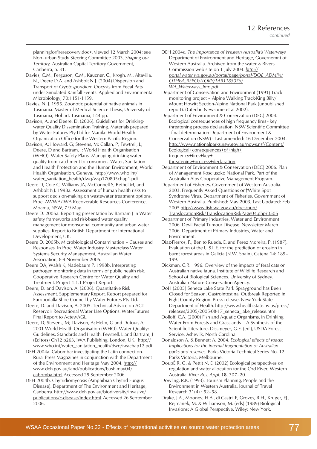planningforfirerecovery.doc>, viewed 12 March 2004; see Non–urban Study Steering Committee 2003, *Shaping our Territory,* Australian Capital Territory Government, Canberra, p. 31.

- Davies, C.M., Ferguson, C.M., Kaucner, C., Krogh, M., Altavilla, N., Deere D.A. and Ashbolt N.J. (2004) Dispersion and Transport of *Cryptosporidium* Oocysts from Fecal Pats under Simulated Rainfall Events. Applied and Environmental Microbiology, 70:1151-1159.
- Davies, N. J. 1995. Zoonotic potential of native animals in Tasmania. Master of Medical Science Thesis, University of Tasmania, Hobart, Tasmania, 144 pp.

Davison, A. and Deere. D. (2006). Guidelines for Drinkingwater Quality Dissemination Training. Materials prepared by Water Futures Pty Ltd for Manila: World Health Organization Office for the Western Pacific Region.

- Davison, A; Howard, G; Stevens, M; Callan, P; Fewtrell, L; Deere, D and Bartram, J; World Health Organisation (WHO). Water Safety Plans Managing drinking-water quality from catchment to consumer. Water, Sanitation and Health Protection and the Human Environment, World Health Organisation, Geneva. http://www.who.int/ water\_sanitation\_health/dwq/wsp170805chap1.pdf
- Deere D, Cole C, Williams JA, McConnell S, Bethel M, and Ashbolt NJ. 1998a. Assessment of human health risks to support decision-making on wastewater treatment options, Proc. AWWA/IWA Recoverable Resources Conference, Moama, NSW, 7-9 May.
- Deere D. 2005a. Reporting presentation by Bartram J in Water safety frameworks and risk-based water quality management for monsoonal community and urban water supplies. Report to British Department for International Development, UK.
- Deere D. 2005b. Microbiological Contamination Causes and Responses. In Proc. Water Industry Masterclass Water Systems Security Management, Australian Water Association, 8-9 November 2005.
- Deere DA, Walsh K, Nadebaum P. 1998b. Interpreting pathogen monitoring data in terms of public health risk. Cooperative Research Centre for Water Quality and Treatment. Project 1.1.1 Project Report.
- Deere, D. and Davison, A. (2006). Quantitative Risk Assessment. Supplementary Report. Report prepared for Eurobodalla Shire Council by Water Futures Pty Ltd.
- Deere, D. and Davison, A. 2005. Technical Advice on ACT Reservoir Recreational Water Use Options. WaterFutures Final Report to ActewAGL.
- Deere, D; Stevens, M; Davison, A; Helm, G and Dufour, A; 2001 World Health Organisation (WHO). Water Quality: Guidelines, Standards and Health. Fewtrell, L and Bartram, J (Editors) Ch12 p263, IWA Publishing, London, UK. http:// www.who.int/water\_sanitation\_health/dwq/iwachap12.pdf

DEH 2004a. Cabomba: investigating the Latin connection. Rural Press Magazines in conjunction with the Department of the Environment and Heritage May 2004. http:// www.deh.gov.au/land/publications/bush-may04/ cabomba.html Accessed 29 September 2006.

DEH 2004b. Chytridiomycosis (Amphibian Chytrid Fungus Disease). Department of The Environment and Heritage, Canberra. http://www.deh.gov.au/biodiversity/invasive/ publications/c-disease/index.html. Accessed 26 September 2006.

- DEH 2004c. *The Importance of Western Australia's Waterways* Department of Environment and Heritage, Governemnt of Western Australia. Archived from the water & Rivers Commission web site on 1 July 2004. *http:// portal.water.wa.gov.au/portal/page/portal/DOE\_ADMIN/ OTHER\_REPOSITORY/TAB1185076/ WA\_Waterways\_Imp.pdf*
- Department of Conservation and Environment (1991) Track monitoring project – Alpine Walking Track-King Billy/ Mount Howitt Section-Alpine National Park (unpublished report). (Cited in Newsome et al 2002).

Department of Environment & Conservation (DEC) 2004. Ecological consequences of high frequency fires - key threatening process declaration. NSW Scientific Committee - final determination Department of Environment & Conservation (NSW) - Last amended: 16 December 2004. http://www.nationalparks.nsw.gov.au/npws.nsf/Content/ Ecological+consequences+of+high+ frequency+fires+key+

threatening+process+declaration

- Department of Environment & Conservation (DEC) 2006. Plan of Management Kosciuszko National Park. Part of the Australian Alps Cooperative Management Program.
- Department of Fisheries, Government of Western Australia. 2003. Frequently Asked Questions on†White Spot Syndrome Virus. Department of Fisheries, Government of Western Australia. Published: May 2003; Last Updated: Feb 2005 http://www.fish.wa.gov.au/docs/pub/ TranslocationRisk/TranslocationRiskPage04.php?0505
- Department of Primary Industries, Water and Environment 2006. Devil Facial Tumour Disease. Newsletter March 2006. Department of Primary Industries, Water and Environment.
- Diaz-Fierros, F., Benito Rueda, E. and Perez Moreira, P. (1987). Evaluation of the U.S.L.E. for the prediction of erosion in burnt forest areas in Galicia (N.W. Spain), Catena 14: 189– 199.
- Dickman, C.R. 1996. Overview of the impacts of feral cats on Australian native fauna. Institute of Wildlife Research and School of Biological Sciences. University of Sydney. Australian Nature Conservation Agency.
- DoH (2005) Seneca Lake State Park Sprayground has Been Closed for Season, Gastrointestinal Outbreak Reported in Eight-County Region. Press release. New York State Department of Health. http://www.health.state.ny.us/press/ releases/2005/2005-08-17\_seneca\_lake\_release.htm
- Dolloff, C.A. (2000) Fish and Aquatic Organisms, in Drinking Water From Forests and Grasslands – A Synthesis of the Scientific Literature, Dissmeyer, G.E. (ed.), USDA Forest Service, Ashevilk, North Carolina.
- Donaldson A. & Bennett A. 2004. *Ecological effects of roads: Implications for the internal fragmentation of Australian parks and reserves.* Parks Victoria Technical Series No. 12. Parks Victoria, Melbourne.
- DoupÈ R. G. & Pettit N. E. (2002) Ecological perspectives on regulation and water allocation for the Ord River, Western Australia. *River Res. Appl.* **18**, 307–20.
- Dowling, R.K. (1993). Tourism Planning, People and the Environment in Western Australia. Journal of Travel Research 31(4) : 52–58.
- Drake, J.A., Mooney, H.A., di Castri, F, Groves, R.H., Kruger, EJ., Rejmanek, M. & Williamson, M. (eds) (1989) Biological Invasions: A Global Perspective. Wiley: New York.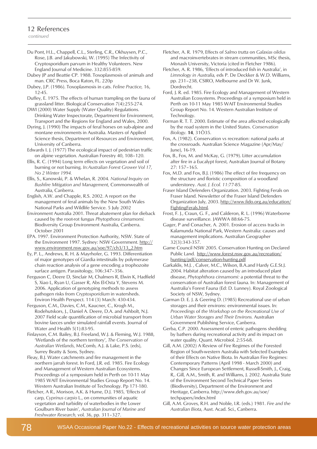*continued*

- Du Pont, H.L., Chappell, C.L., Sterling, C.R., Okhuysen, P.C., Rose, J.B. and Jakubowski, W. (1995) The Infectivity of Cryptosporidium parvum in Healthy Volunteers. New England Journal of Medicine. 332:855-859.
- Dubey JP and Beattie CP. 1988. Toxoplasmosis of animals and man. CRC Press, Boca Raton, FL. 220p
- Dubey, J.P. (1986). Toxoplasmosis in cats. *Feline Practice,* 16, 12-45.
- Duffey, E. 1975. The effects of human trampling on the fauna of grassland litter. Biological Conservation 7(4):255-274.
- DWI (2000) Water Supply (Water Quality) Regulations. Drinking Water Inspectorate, Department for Environment, Transport and the Regions for England and Wales, 2000.
- Dyring, J. (1990) The impacts of feral horses on sub-alpine and montane environments in Australia. Masters of Applied Science thesis, Department of Resources and Environment, University of Canberra.
- Edwards I. J. (1977) The ecological impact of pedestrian traffic on alpine vegetation. Australian Forestry 40, 108–120.
- Ellis, R. C. (1994) Long term effects on vegetation and soil of burning or not burning. *In:Australian Forest Grower Vol 17, No 2 Winter 1994.*
- Ellis, S., Kanowski, P. & Whelan, R. 2004. *National Inquiry on Bushfire Mitigation and Management*, Commonwealth of Australia, Canberra.
- English, A.W. and Chapple, R.S. 2002. A report on the management of feral animals by the New South Wales National Parks and Wildlife Service. 5 July 2002
- Environment Australia 2001. Threat abatement plan for dieback caused by the root-rot fungus *Phytopthora cinnamomi.* Biodiversity Group Environment Australia, Canberra. October 2001
- EPA. 1997. Environment Protection Authority, NSW. State of the Environment 1997. Sydney: NSW Government. http:// www.environment.nsw.gov.au/soe/97/ch3/13\_2.htm
- Ey, P. L., Andrews, R. H. & Mayrhofer, G. 1993. Differentiation of major genotypes of Giardia intestinalis by polymerase chain reaction analysis of a gene encoding a trophozoite surface antigen. Parasitology, 106:347–356.
- Ferguson C, Deere D, Sinclair M, Chalmers R, Elwin K, Hadfield S, Xiao L, Ryan U, Gasser R, Abs El-Osta Y, Stevens M. 2006. Application of genotyping methods to assess pathogen risks from *Cryptosporidium* in watersheds. Environ Health Perspect. 114 (3) March: 430-434.
- Ferguson, C.M., Davies, C.M., Kaucner, C., Krogh M., Rodehutskors, J., Daniel A. Deere, D.A. and Ashbolt, N.J. 2007 Field scale quantification of microbial transport from bovine faeces under simulated rainfall events. Journal of Water and Health 5(1):83-95.
- Finlayson, C.M. Bailey, B.J. Freeland, W.J. & Fleming, W.J. 1988, 'Wetlands of the northern territory', *The Conservation of Australian Wetlands*, McComb, A.J. & Lake, P.S. (eds), Surrey Beatty & Sons, Sydney.
- Fleay, B.J. Water catchments and fire management in the northern jarrah forest. In Ford, J.R. ed. 1985. Fire Ecology and Management of Western Australian Ecosystems. Proceedings of a symposium held in Perth on 10-11 May 1985 WAIT Environmental Studies Group Report No. 14. Western Australian Institute of Technology. Pp 171-180.
- Fletcher, A R., Morison, A.K. & Hume, D.J. 1985, 'Effects of carp, *Cyprinus carpio* L., on communities of aquatic vegetation and turbidity of waterbodies in the Lower Goulburn River basin', *Australian Journal of Marine and Freshwater Research,* vol. 36, pp. 311–327.
- Fletcher, A. R. 1979, Effects of *Salmo trutta* on *Galaxias olidus* and macroinvertebrates in stream communities, MSc thesis, Monash University, Victoria (cited in Fletcher 1986).
- Fletcher, A. R. 1986, 'Effects of introduced fish in Australia', in *Limnology in Australia,* eds P. De Deckker & W.D. Williams, pp. 231–238, CSIRO, Melbourne and Dr W. Junk, Dordrecht.
- Ford, J. R. ed. 1985. Fire Ecology and Management of Western Australian Ecosystems. Proceedings of a symposium held in Perth on 10-11 May 1985 WAIT Environmental Studies Group Report No. 14. Western Australian Institute of Technology.
- Forman R. T. T. 2000. Estimate of the area affected ecologically by the road system in the United States. *Conservation Biology*. **14**, 31Ò35.
- Fox, A. (1982). Conservation vs recreation: national parks at the crossroads. Australian Science Magazine (Apr/May/ June), 16-19.
- Fox, B., Fox, M. and McKay, G. (1979). Litter accumulation after fire in a Eucalypt forest, Australian Journal of Botany 27: 157–165.
- Fox, M.D. and Fox, B.J. (1986) The effect of fire frequency on the structure and floristic composition of a woodland understorey. *Aust. J. Ecol. 11*:77-85.
- Fraser Island Defenders Organization. 2003. Fighting Ferals on Fraser Island. Newsletter of the Fraser Island Defenders Organization July, 2003. http://www.fido.org.au/education/ FightingFerals.html.
- Frost, F. J., Craun, G. F., and Calderon, R. L. (1996) Waterborne disease surveillance. JAWWA 88:66-75.
- Gager, P and Conacher, A. 2001. Erosion of access tracks in Kalamunda National Park, Western Australia: causes and management implications. Australian Geographer 32(3):343-357.
- Game Council NSW 2005. Conservation Hunting on Declared Public Land. http://www.forest.nsw.gov.au/recreation/ hunting/pdf/conservation-hunting.pdf
- Garkaklis, M.J. , Calver, M.C., Wilson, B.A.and Hardy G.E.St.J. 2004. Habitat alteration caused by an introduced plant disease, *Phytophthora cinnamomi:* a potential threat to the conservation of Australian forest fauna. In: Management of Australia's Forest Fauna (Ed: D. Lunney). Royal Zoological Society of NSW, Sydney.
- Garman D. E. J. & Geering D. (1985) Recreational use of urban storages and their environs: environmental issues. In: *Proceedings* of *the Workshop on the Recreational Use of Urban Water Storages and Their Environs.* Australian Government Publishing Service, Canberra.
- Gerba, C.P. 2000. Assessment of enteric pathogens shedding by bathers during recreational activity and its impact on water quality. Quant. Microbiol. 2:55-68.
- Gill, A.M. (2002) A Review of Fire Regimes of the Forested Region of South-western Australia with Selected Examples of their Effects on Native Biota. In Australian Fire Regimes: Contemporary Patterns (April 1998 - March 2000) and Changes Since European Settlement, Russell-Smith, J., Craig, R,. Gill, A.M., Smith, R. and Williams, J. 2002. Australia State of the Environment Second Technical Paper Series (Biodiversity), Department of the Environment and Heritage, Canberra. http://www.deh.gov.au/soe/ techpapers/index.html
- Gill, A.M. Groves, R.H. and Noble, I.R. (eds.) 1981. *Fire and the Australian Biota*, Aust. Acad. Sci., Canberra.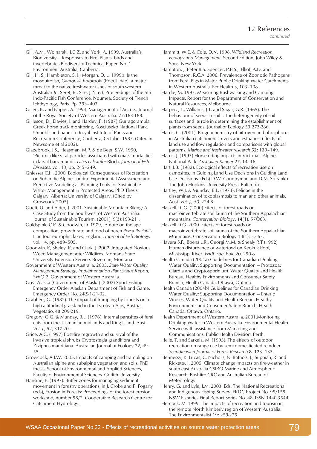Gill, A.M., Woinarski, J.C.Z. and York, A. 1999. Australia's Biodiversity – Responses to Fire. Plants, birds and invertebrates Biodiversity Technical Paper, No. 1 Environment Australia, Canberra.

Gill, H. S.; Hambleton, S. J.; Morgan, D. L. 1999b: Is the mosquitofish, *Gambusia holbrooki* (Poeciliidae), a major threat to the native freshwater fishes of south-western Australia? *In*: Seret, B.; Sire, J. Y. *ed.* Proceedings of the 5th Indo-Pacific Fish Conference, Noumea, Society of French Ichthyology, Paris. Pp. 393–403.

Gillen, K. and Napier, A. 1994. Management of Access. Journal of the Royal Society of Western Australia. 77:163-168.

Gillieson, D., Davies, J. and Hardey, P. (1987) Gurragorambla Greek horse track monitoring, Kosciuszko National Park. Unpublished paper to Royal Institute of Parks and Recreation Conference, Canberra, October 1987. (Cited in Newsome et al 2002).

Glazebrook, J.S., Heasman, M.P. & de Beer, S.W. 1990, 'Picornia-like viral particles associated with mass mortalities in larval barramundi', *Lates calcarifer* Bloch, *Journal of Fish Diseases,* vol. 13, pp. 245–249.

Gniesser C.H. 2000. Ecological Consequences of Recreation on Subarctic-Alpine Tundra: Experimental Assessment and Predictive Modeling as Planning Tools for Sustainable Visitor Management in Protected Areas. PhD Thesis. Calgary, Alberta: University of Calgary. (Cited by Growcock 2005).

Goeft, U. and Alder, J. 2001. Sustainable Mountain Biking: A Case Study from the Southwest of Western Australia. Journal of Sustainable Tourism, (2001), 9(3):193-211.

Goldspink, C.R. & Goodwin, D. 1979, 'A note on the age composition, growth rate and food of perch *Perca fluviatilis* L. in four eutrophic lakes, England', *Journal of Fish Biology,* vol. 14, pp. 489–505.

Goodwin, K, Sheley, R, and Clark, J. 2002. Integrated Noxious Weed Management after Wildfires. Montana State University Extension Service. Bozeman, Montana

Government of Western Australia. 2003. *State Water Quality Management Strategy, Implementation Plan: Status Report,* SWQ 2. Government of Western Australia.

Govt Alaska (Government of Alaska) (2002) Sport Fishing Emergency Order Alaskan Department of Fish and Game. Emergency Order No. 2-RS-1-21-02.

Grabherr, G. (1982). The impact of trampling by tourists on a high altitudinal grassland in the Tyrolean Alps, Austria. Vegetatio. 48:209-219.

Gregory, G.G. & Munday, B.L. (1976). Internal parasites of feral cats from the Tasmanian midlands and King Island. Aust. *Vet. J.,* 52, 317-20.

Grice, A.C. (1997) Post-fire regrowth and survival of the invasive tropical shrubs Cryptostegia grandiflora and Ziziphus mauritiana. Australian Journal of Ecology 22, 49- 55.

Growcock, A.J.W. 2005. Impacts of camping and trampling on Australian alpine and subalpine vegetation and soils. PhD thesis. School of Environmental and Applied Sciences, Faculty of Environmental Sciences. Griffith University.

Hairsine, P. (1997). Buffer zones for managing sediment movement in forestry operations, in J. Croke and P. Fogarty (eds), Erosion in Forests: Proceedings of the forest erosion workshop, number 98/2, Cooperative Research Centre for Catchment Hydrology.

Hammitt, W.E. & Cole, D.N. 1998, *Wildland Recreation. Ecology and Management.* Second Edition, John Wiley & Sons, New York.

Hampton, J. Peter B.S. Spencer, P.B.S., Elliot, A.D. and Thompson, R.C.A. 2006. Prevalence of Zoonotic Pathogens from Feral Pigs in Major Public Drinking Water Catchments in Western Australia. EcoHealth 3, 103–108.

Hardie, M. 1993. Measuring Bushwalking and Camping Impacts. Report for the Department of Conservation and Natural Resources, Melbourne.

Harper, J.L., Williams, J.T. and Sagar, G.R. (1965). The behaviour of seeds in soil I. The heterogeneity of soil surfaces and its role in determining the establishment of plants from seeds. Journal of Ecology 53:273-286.

Harris, G. (2001). Biogeochemistry of nitrogen and phosphorus in Australian catchments, rivers and estuaries: effects of land use and flow regulation and comparisons with global patterns, *Marine and freshwater research* **52**: 139–149.

Harris, J. (1993) Horse riding impacts in Victoria's Alpine National Park. *Australian Ranger* 27, 14–16.

Hart, J.B. (1982). Ecological effects of recreation use on campsites. In Guiding Land Use Decisions In Guiding Land Use Decisions. (Eds) D.W. Countryman and D.M. Sofranko. The John Hopkins University Press, Baltimore.

Hartley, W.J. & Munday, B.L. (1974). Felidae in the dissemination of toxoplasmosis to man and other animals. Aust. *Vet. J., 50,* 224-8.

Haskell D. G. (2000) Effects of forest roads on macroinvertebrate soil fauna of the Southern Appalachian mountains. *Conservation Biology*. **14**(1), 57Ò63.

Haskell D.G. 2000. Effects of forest roads on macroinvertebrate soil fauna of the Southern Appalachian Mountains. Conservation Biology 14(1): 57-63.

Havera S.F., Boens L.R., Georgi M.M. & Shealy R.T (1992) Human disturbance of waterfowl on Keokuk Pool, Mississippi River. *Widl. Soc. Bull.* 20, 290-8.

Health Canada (2004a) Guidelines for Canadian Drinking Water Quality: Supporting Documentation — Protozoa: Giardia and Cryptosporidium. Water Quality and Health Bureau, Healthy Environments and Consumer Safety Branch, Health Canada, Ottawa, Ontario.

Health Canada (2004b) Guidelines for Canadian Drinking Water Quality: Supporting Documentation — Enteric Viruses. Water Quality and Health Bureau, Healthy Environments and Consumer Safety Branch, Health Canada, Ottawa, Ontario.

Health Department of Western Australia. 2001.Monitoring Drinking Water in Western Australia. Environmental Health Service with assistance from Marketing and Communications, Public Health Division. Perth.

Helle, T. and Sarkela, M. (1993). The effects of outdoor recreation on range use by semi-domesticated reindeer. *Scandinavian Journal of Forest Research* **8**, 123–133.

Hennessy, K. Lucas, C. Nicholls, N. Bathols, J., Suppiah, R. and Ricketts, J. 2005. Climate change impacts on fire-weather in south-east Australia CSIRO Marine and Atmospheric Research, Bushfire CRC and Australian Bureau of Meteorology.

Henry, G. and Lyle, J.M. 2003. Eds. The National Recreational and Indigenous Fishing Survey. FRDC Project No. 99/158. NSW Fisheries Final Report Series No. 48. ISSN 1440-3544

Hercock, M. 1999. The impacts of recreation and tourism in the remote North Kimberly region of Western Australia. The Environmentalist 19: 259-275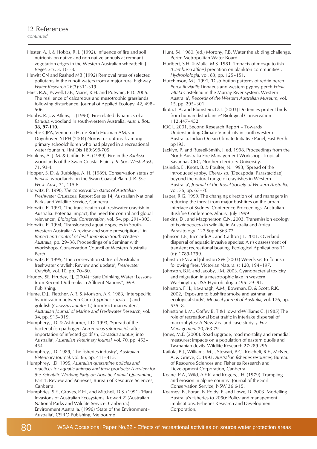*continued*

Hester, A. J. & Hobbs, R. J. (1992). Influence of fire and soil nutrients on native and non-native annuals at remnant vegetation edges in the Western Australian wheatbelt. J. *Veget. Sci.,* 3, 101-8.

Hewitt CN and Rashed MB (1992) Removal rates of selected pollutants in the runoff waters from a major rural highway. *Water Research* 26(3):311-319.

Hirst, R.A., Pywell, D.F., Marrs, R.H. and Putwain, P.D. 2005. The resilience of calcareous and mesotrophic grasslands following disturbance. Journal of Applied Ecology, 42, 498– 506

Hobbs, R. J. & Atkins, L. (1990). Fire-related dynamics of a *Banksia* woodland in south-western Australia. *Aust. J. Bot.,* **38, 97-110.**

Hoebe CJPA, Vennema H, de Roda Husman AM, van Duynhoven YTPH (2004) Norovirus outbreak among primary schoolchildren who had played in a recreational water fountain. J Inf Dis 189:699-705.

Hopkins, A. J. M. & Griffin, E. A. (1989). Fire in the *Banksia* woodlands of the Swan Coastal Plain. *J. R. Soc. West. Aust.,* 71, 93-4.

Hopper, S. D. & Burbidge, A. H. (1989). Conservation status of *Banksia* woodlands on the Swan Coastal Plain. J. R. *Soc. West. Aust.,* 71, 115 6.

Horwitz, P. 1990, *The conservation status of Australian Freshwater Crustacea,* Report Series 14, Australian National Parks and Wildlife Service, Canberra.

Horwitz, P. 1991, 'The translocation of freshwater crayfish in Australia: Potential impact, the need for control and global relevance', *Biological Conservation,* vol. 54, pp. 291–305.

Horwitz, P. 1994, 'Translocated aquatic species in South-Western Australia: A review and some prescriptions', in *Impact and control of feral animals in South-Western Australia*, pp. 29–38, Proceedings of a Seminar with Workshops, Conservation Council of Western Australia, Perth.

Horwitz, P. 1995, 'The conservation status of Australian freshwater crayfish: Review and update', *Freshwater Crayfish*, vol. 10, pp. 70–80.

Hrudey, SE, Hrudey, EJ, (2004) "Safe Drinking Water: Lessons from Recent Outbreaks in Affluent Nations", IWA Publishing.

Hume, D.J., Fletcher, A.R. & Morison, A.K. 1983, 'Interspecific hybridization between Carp (*Cyprinus carpio* L.) and goldfish (*Carassius auratus* L.) from Victorian waters', *Australian Journal of Marine and Freshwater Research,* vol. 34, pp. 915–919.

Humphery, J.D. & Ashburner, L.D. 1993, 'Spread of the bacterial fish pathogen *Aeromonas salmonicida* after importation of infected goldfish, *Carassius auratus,* into Australia', *Australian Veterinary Journal,* vol. 70, pp. 453– 454.

Humphrey, J.D. 1989, 'The fisheries industry', *Australian Veterinary Journal,* vol. 66, pp. 411–415.

Humphrey, J.D. 1995, *Australian quarantine policies and practices for aquatic animals and their products: A review for the Scientific Working Party on Aquatic Animal Quarantine,* Part 1: Review and Annexes, Bureau of Resource Sciences, Canberra.

Humphries, S.E., Groves, R.H., and Mitchell, D.S. (1991) 'Plant Invasions of Australian Ecosystems. Kowari 2' (Australian National Parks and Wildlife Service: Canberra.) Environment Australia, (1996) 'State of the Environment - Australia', CSIRO Pubishing, Melbourne

Hunt, S-J. 1980. (ed.) Morony, F.B. Water the abiding challenge. Perth: Metropolitan Water Board

Hurlbert, S.H. & Mulla, M.S. 1981, 'Impacts of mosquito fish *(Gambusia affinis)* predation on plankton communities', *Hydrobiologia,* vol. 83, pp. 125–151.

Hutchinson, M.J. 1991, 'Distribution patterns of redfin perch *Perca fluviatilis* Linnaeus and western pygmy perch *Edelia vittata* Castelnau in the Murray River system, Western Australia', *Records of the Western Australian Museum,* vol. 15, pp. 295–301.

Ikuta, L.A. and Blumstein, D.T. (2003) Do fences protect birds from human disturbance? Biological Conservation  $112.447 - 452$ 

IOCI,. 2001, Second Research Report – Towards Understanding Climate Variability in south western Australia. Indian Ocean Climate Initiative Panel, East Perth. pp193.

Jacklyn, P. and Russell-Smith, J. ed. 1998. Proceedings from the North Australia Fire Management Workshop. Tropical Savannas CRC, Northern territory University.

Jasinska, E., Knott, B. & Poulter, N. 1993, 'Spread of the introduced yabby, *Cherax* sp. (Decapoda: Parastacidae) beyond the natural range of crayfishes in Western Australia', *Journal of the Royal Society of Western Australia,* vol. 76, pp. 67–70.

Jasper, R.G. 1999. The changing direction of land managers in reducing the threat from major bushfires on the urban interface of Sydney. Conference Proceedings. Australian Bushfire Conference, Albury, July 1999

Jenkins, DJ. and Macpherson C.N. 2003. Transmission ecology of *Echinococcus* in wild-life in Australia and Africa. Parasitology. 127 Suppl:S63-72.

Johnson L.E., Ricciardi A., and Carlton J.T. 2001. Overland dispersal of aquatic invasive species: A risk assessment of transient recreational boating. Ecological Applications 11 (6): 1789-1799.

Johnston FM and Johnston SW (2003) Weeds set to flourish following fires. Victorian Naturalist 120, 194–197.

Johnston, B.R. and Jacoby, J.M. 2003. Cyanobacterial toxicity and migration in a mesotrophic lake in western Washington, USA Hydrobiologia 495: 79–91.

Johnston, F.H., Kavanagh, A.M., Bowman, D. & Scott, R.K. 2002, 'Exposure to bushfire smoke and asthma: an ecological study', *Medical Journal of Australia*, vol. 176, pp. 535–8.

Johnstone I. M., Coffey B. T & Howard-Williams C. (1985) The role of recreational boat traffic in interlake dispersal of macrophytes: A New Zealand case study. *J. Env. Management* 20,263-79.

Jones, M.E. (2000). Road upgrade, road mortality and remedial measures: impacts on a population of eastern quolls and Tasmanian devils. Wildlife Research 27:289-296.

Kailola, P.J., Williams, M.J., Stewart, P.C., Reichelt, R.E., McNee, A. & Grieve, C. 1993, *Australian fisheries resources,* Bureau of Resource Sciences and Fisheries Research and Development Corporation, Canberra.

Keane, P.A., Wild, A.E.R. and Rogers, J.H. (1979). Trampling and erosion in alpine country. Journal of the Soil Conservation Service, NSW 36:6-15.

Kearney, B., Foran, B. Poldy, F. and Lowe, D. 2003. Modelling Australia's fisheries to 2050: Policy and management implications. Fisheries Research and Development Corporation,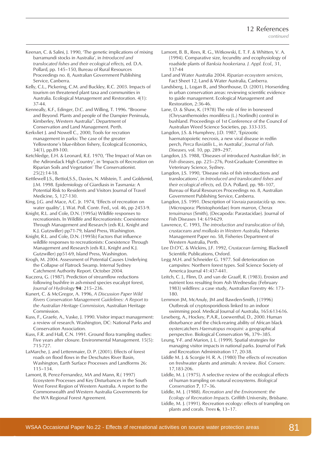*continued*

Keenan, C. & Salini, J. 1990, 'The genetic implications of mixing barramundi stocks in Australia', in *Introduced and translocated fishes and their ecological effects*, ed. D.A. Pollard, pp. 145–150, Bureau of Rural Resources Proceedings no. 8, Australian Government Publishing Service, Canberra.

Kelly, C.L., Pickering, C.M. and Buckley, R.C. 2003. Impacts of tourism on threatened plant taxa and communities in Australia. Ecological Management and Restoration. 4(1): 37-44.

Kenneally, K.F., Edinger, D.C. and Willing, T. 1996. "Broome and Beyond. Plants and people of the Dampier Peninsula, Kimberley, Western Australia". Department of Conservation and Land Management. Perth.

Kerkvliet J. and Nowell C., 2000, Tools for recration management in parks: The case of the greater Yellowstone's blue-ribbon fishery, Ecological Economics, 34(1), pp.89-100.

Ketchledge, E.H. & Leonard, R.E. 1970, 'The Impact of Man on the Adirondack High Country', in 'Impacts of Recreation on Riparian Soils and Vegetation' The Conservationist. 25(2):14-18.

Kettlewell J.S., Bettiol,S.S., Davies, N. Milstein, T. and Goldsmid, J.M. 1998. Epidemiology of Giardiasis in Tasmania: A Potential Risk to Residents and Visitors Journal of Travel Medicine, 5, 127-130.

King, J.G. and Mace, A.C. Jr. 1974, 'Effects of recreation on water quality', J. Wat. Poll. Contr. Fed., vol. 46, pp 2453-9.

Knight, R.L. and Cole, D.N. (1995a) Wildlife responses to recreationists. In Wildlife and Recreationists: Coexistence Through Management and Research (eds R.L. Knight and K.J. Gutzwiller) pp71-79, Island Press, Washington.

Knight, R.L. and Cole, D.N. (1995b) Factors that influence wildlife responses to recreationists: Coexistence Through Management and Research (eds R.L. Knight and K.J. Gutzwiller) pp51-69, Island Press, Washington.

Krogh, M. 2004. Assessment of Potential Causes Underlying the Collapse of Flatrock Swamp. Internal Sydney Catchment Authority Report. October 2004.

Kuczera, G. (1987). Prediction of streamflow reductions following bushfire in ash-mixed species eucalypt forest, *Journal of Hydrology* **94**: 215–236.

Kunert, C. & McGregor, A. 1996, *A Discussion Paper Wild Rivers Conservation Management Guidelines: A Report to the Australian Heritage Commission*, Australian Heritage Commission.

Kuss, F., Graefe, A., Vaske, J. 1990. Visitor impact management: a review of research. Washington, DC: National Parks and Conservation Association.

Kuss, F.R. and Hall, C.N. 1991. Ground flora trampling studies: Five years after closure. Environmental Management. 15(5): 715-727.

LaMarche, J. and Lettenmaier, D. P. (2001). Effects of forest roads on flood flows in the Deschutes River Basin, Washington, Earth Surface Processes and Landforms 26: 115–134.

Lamont, B, Perez-Fernandez, MA and Mann, R.( 1997) Ecosystem Processes and Key Disturbances in the South West Forest Region of Western Australia. A report to the Commonwealth and Western Australia Governments for the WA Regional Forest Agreement.

Lamont, B. B., Rees, R. G., Witkowski, E. T. F. & Whitten, V. A. (1994). Comparative size, fecundity and ecophysiology of roadside plants of *Banksia hookeriana. J. Appl. Ecol.,* 31, 137-44

Land and Water Australia 2004. *Riparian ecosystem services*, Fact Sheet 12, Land & Water Australia, Canberra.

Landsberg, J., Logan B., and Shorthouse, D. (2001). Horseriding in urban conservation areas: reviewing scientific evidence to guide management. Ecological Management and Restoration, 2:36-46.

Lane, D. & Shaw, K. (1978) The role of fire in boneseed (Chrysanthemoides monilifera (L.) Norlindh) control in bushland. Proceedings of 1st Conference of the Council of Australian Weed Science Societies, pp. 333-335.

Langdon, J.S. & Humphrey, J.D. 1987, 'Epizootic haematopoietic necrosis, a new viral disease in redfin perch, *Perca fluviatilis* L., in Australia', *Journal of Fish. Diseases,* vol. 10, pp. 289–297.

Langdon, J.S. 1988, 'Diseases of introduced Australian fish', in *Fish diseases*, pp. 225–276, Post-Graduate Committee in Veterinary Science, Sydney.

Langdon, J.S. 1990, 'Disease risks of fish introductions and translocations', in *Introduced and translocated fishes and their ecological effects,* ed. D.A. Pollard, pp. 98–107, Bureau of Rural Resources Proceedings no. 8, Australian Government Publishing Service, Canberra.

Langdon, J.S. 1991. Description of *Vavraia parastacida* sp. nov. (Microspora: Pleistophoridae) from marron, *Cherax tenuimanus* (Smith), (Decapoda: Parastacidae). Journal of Fish Diseases 14: 619-629.

Lawrence, C. 1993, *The introduction and translocation of fish, crustaceans and mollusks in Western Australia,* Fisheries Management Paper no. 58, Fisheries Department of Western Australia, Perth.

Lee D.O'C. & Wickins, J.F. 1992, *Crustacean farming,* Blackwell Scientific Publications, Oxford.

Legg M.H. and Schneider G. 1977. Soil deterioration on campsites: Northern forest types. Soil Science Society of America Journal 41:437-441.

Leitch, C. J., Flinn, D. and van de Graaff, R. (1983). Erosion and nutrient loss resulting from Ash Wednesday (February 1983) wildfires: a case study, Australian Forestry 46: 173- 180.

Lemmon JM, McAnuly, JM and Bawden-Smith, J (1996) Outbreak of cryptosporidiosis linked to an indoor swimming pool. Medical Journal of Australia, 165:613-616.

Leseberg, A., Hockey, P.A.R., Loewenthal, D., 2000. Human disturbance and the chick-rearing ability of African black oystercatchers *Haematopus moquini:* a geographical perspective. Biological Conservation 96, 379–385.

Leung, Y-F. and Marion, J. L. (1999). Spatial strategies for managing visitor impacts in national parks. Journal of Park and Recreation Administration 17, 20-38.

Liddle M. J. & Scorgie H. R. A. (1980) The effects of recreation on freshwater plants and animals: A review. *Biol. Conserv.* 17,183-206.

Liddle, M. J. (1975). A selective review of the ecological effects of human trampling on natural ecosystems. *Biological Conservation* **7**, 17–36.

Liddle, M. J. (1988). *Recreation and the Environment: the Ecology of Recreation Impacts*. Griffith University, Brisbane.

Liddle, M. J. (1991). Recreation ecology: effects of trampling on plants and corals. *Trees* **6**, 13–17.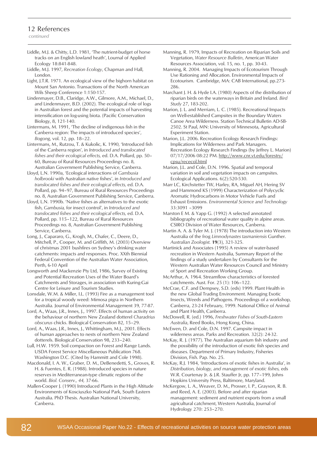#### *continued*

- Liddle, M.J. & Chitty, L.D. 1981, 'The nutrient-budget of horse tracks on an English lowland heath', Lournal of Applied Ecology 18:841-848.
- Liddle, M.J. 1997, *Recreation Ecology*, Chapman and Hall, London.
- Light, J.T.R. 1971. An ecological view of the bighorn habitat on Mount San Antonio. Transactions of the North American Wils Sheep Conference 1:150-157.
- Lindenmayer, D.B., Claridge, A.W., Gilmore, A.M., Michael, D., and Lindenmayer, B.D. (2002). The ecological role of logs in Australian forest and the potential impacts of harvesting intensification on log-using biota. (Pacific Conservation Biology, 8, 121-140.
- Lintermans, M. 1991, 'The decline of indigenous fish in the Canberra region: The impacts of introduced species', *Bogong*, vol. 12, pp. 18–22.
- Lintermans, M., Rutzou, T. & Kukolic, K. 1990, 'Introduced fish of the Canberra region', in *Introduced and translocated fishes and their ecological effects,* ed. D.A. Pollard, pp. 50– 60, Bureau of Rural Resources Proceedings no. 8, Australian Government Publishing Service, Canberra.
- Lloyd, L.N. 1990a, 'Ecological interactions of *Gambusia holbrooki* with Australian native fishes', in *Introduced and translocated fishes and their ecological effects,* ed. D.A. Pollard, pp. 94–97, Bureau of Rural Resources Proceedings no. 8, Australian Government Publishing Service, Canberra.
- Lloyd, L.N. 1990b. 'Native fishes as alternatives to the exotic fish, *Gambusia,* for insect control', in *Introduced and translocated fishes and their ecological effects,* ed. D.A. Pollard, pp. 115–122, Bureau of Rural Resources Proceedings no. 8, Australian Government Publishing Service, Canberra.
- Long, J., Capararo, G., Krogh, M., Chafer, C., Deere, D., Mitchell, P., Cooper, M. and Griffith, M. (2003) Overview of christmas 2001 bushfires on Sydney's drinking water catchments: impacts and responses. Proc. XXth Biennial Federal Convention of the Australian Water Association, Perth, 6-10 April
- Longworth and Mackenzie Pty Ltd, 1986, Survey of Existing and Potential Recreation Uses of the Water Board's Catchments and Storages, in association with Kuring-Gai Centre for Leisure and Tourism Studies.
- Lonsdale, W.M. & Miller, I.L. (1993) Fire as a management tool for a tropical woody weed: Mimosa pigra in Northern Australia. Journal of Environmental Management 39, 77-87.
- Lord, A., Waas, J.R., Innes, J., 1997. Effects of human activity on the behaviour of northern New Zealand dotterel *Charadrius obscurus* chicks. Biological Conservation 82, 15–29.
- Lord, A., Waas, J.R., Innes, J., Whittingham, M.J., 2001. Effects of human approaches to nests of northern New Zealand dotterels. Biological Conservation 98, 233–240.
- Lull, H.W. 1959. Soil compaction on Forest and Range Lands. USDA Forest Service Miscellaneous Publication 768. Washington D.C. (Cited by Hammitt and Cole 1998).
- Macdonald, I. A. W., Graber, D. M., DeBenedetti, S., Groves, R. H. & Fuentes, E. R. (1988). Introduced species in nature reserves in Mediterranean-type climatic regions of the world. *Biol. Conserv., 44,* 37-66.
- Mallen-Cooper J. (1990) Introduced Plants in the High Altitude Environments of Kosciuszko National Park, South Eastern Australia. PhD Thesis. Australian National University, Canberra.
- Manning, R. 1979, Impacts of Recreation on Riparian Soils and Vegetation, *Water Resource Bulletin*, American Water Resources Association, vol. 15, no. 1, pp. 30-43.
- Manning, R. 2004. Managing Impacts of Ecotourism Through Use Rationing and Allocation. Environmental Impacts of Ecotourism. Cambridge, MA: CAB International, pp.273- 286.
- Marchant J. H. & Hyde I.A. (1980) Aspects of the distribution of riparian birds on the waterways in Britain and Ireland. *Bird Study* 27, 183-202.

Marion, J. L. and Merriam, L. C. (1985). Recreational Impacts on Well-established Campsites in the Boundary Waters Canoe Area Wilderness. Station Technical Bulletin AD-SB-2502. St Paul, MN: University of Minnesota, Agricultural Experiment Station.

- Marion, J.L. 2006. Recreation Ecology Research Findings: Implications for Wilderness and Park Managers. Recreation Ecology Research Findings (by Jeffrey L. Marion) 07/17/2006 08:22 PM. http://www.cnr.vt.edu/forestry/ cpsu/rececol.html
- Marion, J.L. and Cole, D.N. 1996. Spatial and temporal variation in soil and vegetation impacts on campsites. Ecological Applications. 6(2):520-530.
- Marr LC, Kirchstetter TW, Harley, RA, Miguel AH, Hering SV and Hammond KS (1999) Characterization of Polycyclic Aromatic Hydrocarbons in Motor Vehicle Fuels and Exhaust Emissions. *Environmental Science and Technology* 33:3091 –3099
- Marston E M. & Yapp G. (1992) A selected annotated bibliography of recreational water quality in alpine areas. CSIRO Division of Water Resources, Canberra.
- Martin A. A. & Tyler M. J. (1978) The introduction into Western Australia of the frog *Limnodynastes tasmaniensis* Gunther. *Australian Zoologist.* **19**(3), 321-325.
- Martinick and Associates (1995) A review of water-based recreation in Western Australia, Summary Report of the findings of a study undertaken by Consultants for the Western Australian Water Resources Council and Ministry of Sport and Recreation Working Group.
- McArthur, A. 1964. Streamflow characteristics of forested catchments. Aust. For. 25 (1): 106–122.
- McCrae, C.F. and Dempsey, S.D. (eds) 1999. Plant Health in the new Global Trading Environment. Managing Exotic Insects, Weeds and Pathogens. Proceedings of a workshop, Canberra, 23-24 February, 1999. National Office of Animal and Plant Health, Canberra.
- McDowell, R. (ed.) 1996, *Freshwater Fishes of South-Eastern Australia*, Reed Books, Hong Kong, China.
- McEwen, D. and Cole, D.N. 1997. Campsite impact in wilderness areas. Parks and Recreation. 32(2): 24-32.
- McKay, R. J. (1977). The Australian aquarium fish industry and the possibility of the introduction of exotic fish species and diseases. Department of Primary Industry, Fisheries Division, Fish. Pap. No. 25.
- McKay, R.J. 1984, 'Introductions of exotic fishes in Australia', in *Distribution, biology, and management of exotic fishes,* eds W.R. Courtenay Jr. & J.R. Stauffer Jr, pp. 177–199, Johns Hopkins University Press, Baltimore, Maryland.
- McKergow, L. A., Weaver, D. M., Prosser, I. P., Grayson, R. B. and Reed, A. E. (2003). Before and after riparian management: sediment and nutrient exports from a small agricultural catchment, Western Australia, Journal of Hydrology 270: 253–270.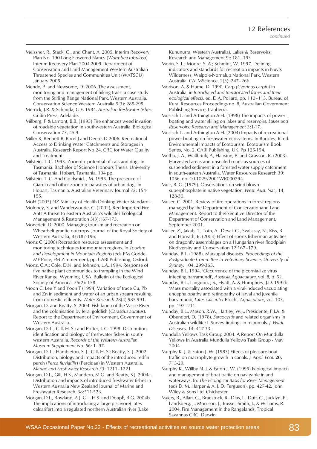Meissner, R., Stack, G., and Chant, A. 2005. Interim Recovery Plan No. 190 Long-Flowered Nancy (*Wurmbea tubulosa*) Interim Recovery Plan 2004-2009 Department of Conservation and Land Management Western Australian Threatened Species and Communities Unit (WATSCU) January 2005.

Mende, P. and Newsome, D. 2006. The assessment, monitoring and management of hiking trails: a case study from the Stirling Range National Park, Western Australia. Conservation Science Western Australia 5(3): 285-295.

Merrick, J.R. & Schmida, G.E. 1984, *Australian freshwater fishes.* Griffin Press, Adelaide.

Milberg, P & Lamont, B.B. (1995) Fire enhances weed invasion of roadside vegetation in southwestern Australia. Biological Conservation 73, 45-9.

Miller R, Bennett B, Birrel J and Deere, D 2006. Recreational Access to Drinking Water Catchments and Storages in Australia. Research Report No 24. CRC for Water Quality and Treatment.

Milstein, T. C. 1993. Zoonotic potential of cats and dogs in Tasmania. Bachelor of Science Honours Thesis. University of Tasmania. Hobart, Tasmania, 104 pp.

Milstein, T. C. And Goldsmid, J.M. 1995. The presence of Giardia and other zoonotic parasites of urban dogs in Hobart, Tasmania. Australian Veterinary Journal 72: 154- 155.

MoH (2005) NZ Ministry of Health Drinking Water Standards.

Moloney, S. and Vanderwoude, C. (2002), Red Imported Fire Ants A threat to eastern Australia's wildlife? Ecological Management & Restoration 3(3):167-175.

Moncrieff, D. 2000. Managing tourism and recreation on Wheatbelt granite outcrops. Journal of the Royal Society of Western Australia, 83:187-196,

Monz C (2000) Recreation resource assessment and monitoring techniques for mountain regions. In *Tourism and Development in Mountain Regions* (eds PM Godde, MF Price, FM Zimmermen), pp. CABI Publishing, Oxford.

Monz, C.A.; Cole, D.N. and Johnson, L.A. 1994. Response of five native plant communities to trampling in the Wind River Range, Wyoming, USA. Bulletin of the Ecological Society of America. 75(2): 158.

Moon C, Lee Y and Yoon T (1994) Variation of trace Cu, Pb and Zn in sediment and water of an urban stream resulting from domestic effluents. *Water Research* 28(4):985-991.

Morgan, D. and Beatty, S. 2004. Fish fauna of the Vasse River and the colonisation by feral goldfish (*Carassius auratus*). Report to the Department of Environment, Government of Western Australia.

Morgan, D. L.; Gill, H. S.; and Potter, I. C. 1998: Distribution, identification and biology of freshwater fishes in southwestern Australia. *Records of the Western Australian Museum Supplement No. 56*: 1–97.

Morgan, D. L.; Hambleton, S. J.; Gill, H. S.; Beatty, S. J. 2002: Distribution, biology and impacts of the introduced redfin perch (*Perca fluviatilis*) (Percidae) in Western Australia. *Marine and Freshwater Research 53*: 1211–1221*.*

Morgan, D.L., Gill, H.S., Maddern, M.G. and Beatty, S.J. 2004a. Distribution and impacts of introduced freshwater fishes in Western Australia New Zealand Journal of Marine and Freshwater Research. 38:511-523.

Morgan, D.L., Rowland, A.J. Gill, H.S. and DoupÈ, R.G. 2004b. The implications of introducing a large piscivore(Lates calcarifer) into a regulated northern Australian river (Lake

Kununurra, Western Australia). Lakes & Reservoirs: Research and Management 9:: 181–193

Morin, S. L.; Moore, S. A.; Schmidt, W. 1997. Defining indicators and standards for recreation impacts in Nuyts Wilderness, Walpole-Nornalup National Park, Western Australia. CALMScience. 2(3): 247–266.

Morison, A. & Hume, D. 1990, Carp *(Cyprinus carpio)* in Australia, in *Introduced and translocated fishes and their ecological effects,* ed. D.A. Pollard, pp. 110–113, Bureau of Rural Resources Proceedings no. 8, Australian Government Publishing Service, Canberra.

Mosisch T. and Arthington A.H. (1998) The impacts of power boating and water skiing on lakes and reservoirs. *Lakes and Reservoirs: Research and Management* 3:1-17.

Mosisch T. and Arthington A.H. (2004) Impacts of recreational power-boating on freshwater ecosystems. In Buckley, R. ed. Environmental Impacts of Ecotourism. Ecotourism Book Series, No. 2. CABI Publishing, UK. Pp 125-154.

Motha, J. A., Wallbrink, P., Hairsine, P. and Grayson, R. (2003). Harvested areas and unsealed roads as sources of suspended sediment in a forested water supply catchment in south-eastern Australia, Water Resources Research 39: 1056, doi:10.1029/2001WR000794.

Muir, B. G. (1979). Observations on wind-blown superphosphate in native vegetation. *West. Aust. Nat.,* 14, 128-30.

Muller, C. 2001. Review of fire operations in forest regions managed by the Department of Conservationand Land Management. Report to theExecutive Director of the Department of Conservation and Land Management, September 2001.

Muller, Z., Jakab, T., Toth, A., Devai, G., Szallassy, N., Kiss, B and Horvath, R. (2003) Effect of sports fisherman activities on dragonfly assemblages on a Hungarian river floodplain Biodiversity and Conservation 12:167–179.

Munday, B.L. (1988). Marsupial diseases. *Proceedings of the Postgraduate Committee in Veterinary Science, University of Sydney.* 104, 299-365.

Munday, B.L. 1994, 'Occurrence of the picornia-like virus infecting barramundi', *Austasia Aquaculture,* vol. 8, p. 52.

Munday, B.L., Langdon, J.S., Hyatt, A. & Humphrey, J.D. 1992b, 'Mass mortality associated with a viral-induced vacuolating encephalopathy and retinopathy of larval and juvenile barramundi, *Lates calcarifer* Bloch', *Aquaculture*, vol. 103, pp. 197–211.

Munday, B.L., Mason, R.W., Hartley, W.J., Presidente, P.J.A. & Obendorf, D. (1978). *Sarcocystis* and related organisms in Australian wildlife: I. Survey findings in mammals. *J. Wildl. Diseases,* 14, 417-33.

Mundulla Yellows Task Group 2004. A Report On Mundulla Yellows In Australia Mundulla Yellows Task Group - May 2004

Murphy K. J. & Eaton J. W. (1983) Effects of pleasure-boat traffic on macrophyte growth in canals. *J. Appl. Ecol.* **20,** 713-29.

Murphy K., Willby N. J. & Eaton J. W. (1995) Ecological impacts and management of boat traffic on navigable inland waterways. In: *The Ecological Basis for River Management* (eds D. M. Harper & A. J. D. Ferguson), pp. 427-42. John Wiley & Sons Ltd, Chichester.

Myers, B., Allan, G., Bradstock, R., Dias, L., Duff, G., Jacklyn, P., Landsberg, J., Morrison, J., Russell-Smith, J., & Williams, R. 2004, Fire Management in the Rangelands, Tropical Savannas CRC, Darwin.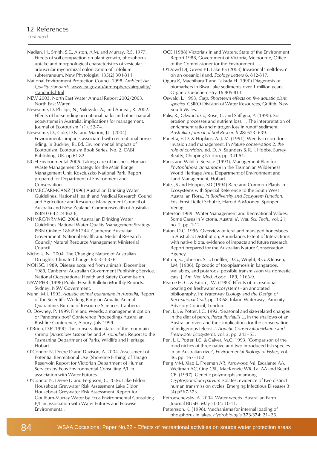*continued*

- Nadian, H., Smith, S.E., Alston, A.M. and Murray, R.S. 1977. Effects of soil compaction on plant growth, phosphorus uptake and morphological characteristics of vesiculararbuscular mycorrhizal colonization of Trifolium subterraneum. New Phytologist, 135(2):301-311
- National Environment Protection Council 1998. *Ambient Air Quality Standards*, www.ea.gov.au/atmosphere/airquality/ standards.html .
- NEW 2003. North East Water Annual Report 2002/2003. North East Water.

Newsome, D, Phillips, N., Milewski, A., and Annear, R. 2002. Effects of horse riding on national parks and other natural ecosystems in Australia: implications for management. Journal of Ecotourism 1(1), 52-74.

Newsome, D., Cole, D.N. and Marion, J.L. (2004) Environmental impacts associated with recreational horseriding. In Buckley, R., Ed. Environmental Impacts of Ecotourism. Ecotourism Book Series, No. 2. CABI Publishing, UK. pp.61-82.

NGH Environmental 2005. Taking care of business Human Waste Management Strategy for the Main Range Management Unit, Kosciuszko National Park. Report prepared for Department of Environment and Conservation.

NHMRC/ARMCANZ (1996) Australian Drinking Water Guidelines. National Health and Medical Research Council and Agriculture and Resource Management Council of Australia and New Zealand. Commonwealth of Australia. ISBN 0 642 24462 6,

NHMRC/NRMMC. 2004. Australian Drinking Water Guidelines National Water Quality Management Strategy. ISBN Online: 1864961244. Canberra: Australian Government. National Health and Medical Research Council/ Natural Resource Management Ministerial Council.

- Nicholls, N. 2004. The Changing Nature of Australian Droughts. Climate Change. 63: 323-336.
- NOHSC. 1989. Disease acquired from animals. December 1989, Canberra: Australian Government Publishing Service, National Occupational Health and Safety Commission.
- NSW PHB (1998) Public Health Bulletin Monthly Reports. Sydney: NSW Government.
- Nunn, M.J. 1995, *Aquatic animal quarantine in Australia,* Report of the Scientific Working Party on Aquatic Animal Quarantine, Bureau of Resource Sciences, Canberra.

O. Downey, P. 1999. Fire and Weeds: a management option or Pandora's box? Conference Proceedings Australian Bushfire Conference, Albury, July 1999

O'Brien, D.P. 1990, The conservation status of the mountain shrimp (*Anaspides tasmaniae* and *A. spinulae*), Report to the Tasmanina Department of Parks, Wildlife and Heritage, Hobart.

O'Connor N, Deere D and Davison, A. 2004. Assessment of Potential Recreational Use (Shoreline Fishing) of Tarago Reservoir. Report for Victorian Department of Human Services by Ecos Environmental Consulting P/L in association with Water Futures.

O'Connor N, Deere D and Ferguson, C. 2006. Lake Eildon Houseboat Greywater Risk Assessment Lake Eildon Houseboat Greywater Risk Assessment. Report for Goulburn-Murray Water by Ecos Environmental Consulting P/L in association with Water Futures and Ecowise Environmental.

OCE (1988) Victoria's Inland Waters. State of the Environment Report 1988, Government of Victoria, Melbourne, Office of the Commissioner for the Environment.

O'Dowd DJ, Green PT, Lake PS (2003) Invasional 'meltdown' on an oceanic island. *Ecology Letters* **6**, 812-817.

Ogura K, Machihara T and Takada H (1990) Diagenesis of biomarkers in Biwa Lake sediments over 1 million years. Organic Geochemistry 16:805-813.

Oswald, L. 1993, *Carp: Short-term effects on five aquatic plant species,* CSIRO Division of Water Resources, Griffith, New South Wales.

Palis, R., Okwach, G., Rose, C. and Saffigna, P. (1990). Soil erosion processes and nutrient loss. 1. The interpretation of enrichment ratio and nitrogen loss in runoff sediment, *Australian Journal of Soil Research* **28**: 623–639.

Panetta, F. D. & Hopkins, A. J. M. (1991). Weeds in corridors: invasion and management. In *Nature conservation 2: the role of corridors,* ed. D. A. Saunders & R. J. Hobbs. Surrey Beatty, Chipping Norton, pp. 341-51.

Parks and Wildlife Service (1993). Management Plan for *Phytophthora cinnamomi* in the Tasmanian Wilderness World Heritage Area. Department of Environment and Land Management, Hobart.

Pate, JS and Hopper, SD (1994) Rare and Common Plants in Ecosystems with Special Reference to the South West Australian Flora.. *In Biodiversity and Ecosystem Function*. Eds. Ernst-Detlef Schulze, Harold A Mooney. Springer-Verlag

Paterson 1989. 'Water Management and Recreational Values, Some Cases in Victoria, Australia', *Wat. Sci. Tech*., vol. 21, no. 2, pp. 1-12.

Paton, D.C. 1996. Overview of feral and managed honeybees in Australia: Distribution, Abundance, Extent of Interactions with native biota, evidence of impacts and future research. Report prepared for the Australian Nature Conservation Agency.

Patton, S., Johnson, S.L., Loeffler, D.G., Wright, B.G. &Jensen, J.M. (1986). Epizootic of toxoplasmosis in kangaroos, wallabies, and potaroos: possible transmission via domestic cats. J. *Am. Vet. Med. Assoc.,* 189, 1166-9.

Pearce H. G. & Eaton J. W. (1983) Effects of recreational boating on freshwater ecosystems - an annotated bibliography. In: *Waterway Ecology and the Design of Recreational Craft,* pp. 13-68. Inland Waterways Amenity Advisory Council, London.

Pen, L.J. & Potter, I.C. 1992, 'Seasonal and size-related changes in the diet of perch, *Perca fluviatilis* L., in the shallows of an Australian river, and their implications for the conservation of indigenous teleosts', *Aquatic Conservation:Marine and Freshwater Ecosystems,* vol. 2, pp. 243–53.

Pen, L.J., Potter, I.C. & Calver, M.C. 1993, 'Comparison of the food niches of three native and two introduced fish species in an Australian river', *Environmental Biology of Fishes,* vol. 36, pp. 167–182.

Peng MM, Xiao L, Freeman AR, Arrowood MJ, Escalante AA, Weltman AC, Ong CSL, MacKenzie WR, Lal AA and Beard CB. (1997). Genetic polymorphism among *Cryptosporidium parvum* isolates: evidence of two distinct human transmission cycles. Emerging Infectious Diseases 3 (4) p567-573.

Petroeschevsky. A. 2004. Water weeds. Australian Farm Journal BUSH, May 2004: 10-11.

Pettersson, K. (1998). Mechanisms for internal loading of phosphorus in lakes, *Hydrobiologia* **373-374**: 21–25.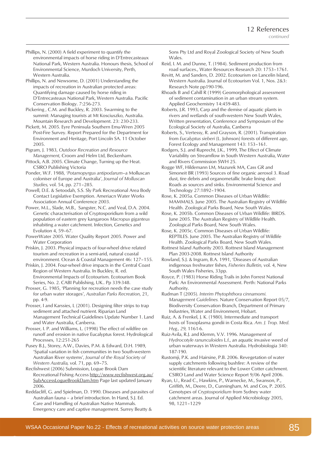Phillips, N. (2000) A field experiment to quantify the environmental impacts of horse riding in D'Entrecasteaux National Park, Western Australia. Honours thesis, School of Environmental Science, Murdoch University, Perth, Western Australia.

Phillips, N. and Newsome, D. (2001) Understanding the impacts of recreation in Australian protected areas: Quantifying damage caused by horse riding in D'Entrecasteaux National Park, Western Australia. Pacific Conservation Biology. 7:256-273.

Pickering , C.M. and Buckley, R. 2003. Swarming to the summit: Managing tourists at Mt Kosciuszko, Australia. Mountain Research and Development. 23: 230-233.

Pickett, M. 2005. Eyre Peninsula Southern Emu-Wren 2005 Post-Fire Survey. Report Prepared for the Department for Environment and Heritage, Port Lincoln SA. 11 October 2005.

Pigram, J. 1983, *Outdoor Recreation and Resource Management*, Croom and Helm Ltd, Beckenham.

Pittock, A.B. 2005. Climate Change, Turning up the Heat. CSIRO Publishing Victoria

Ponder, W.F. 1988, *'Potamopyrgus antipodarum*–a Molluscan coloniser of Europe and Australia', *Journal of Molluscan Studies,* vol. 54, pp. 271–285.

Powell, D.E. & Setoodah, S.S. Sly Park Recreational Area Body Contact Legislative Exemption. Ameriacn Water Works Association Annual Conference 2003.

Power, M.L., Slade, M.B., Sangster, N.C. and Veal, D.A. 2004. Genetic characterisation of Cryptosporidium from a wild population of eastern grey kangaroos *Macropus giganteus* inhabiting a water catchment. Infection, Genetics and Evolution 4, 59–67.

PowerWater 2005. Water Quality Report 2005. Power and Water Corporation

Priskin, J. 2003. Physical impacts of four-wheel drive related tourism and recreation in a semi-arid, natural coastal environment. Ocean & Coastal Management 46: 127–155.

Priskin, J. 2004. Four-wheel drive impacts in the Central Coast Region of Western Australia. In Buckley, R. ed. Environmental Impacts of Ecotourism. Ecotourism Book Series, No. 2. CABI Publishing, UK.. Pp 339-348.

Prosser, G. 1985, 'Planning for recreation needs the case study for urban water storages', *Australian Parks Recreation*, 21, pp. 4-9.

Prosser, I and Karssies, L (2001). Designing filter strips to trap sediment and attached nutrient. Riparian Land Management Technical Guidelines Update Number 1. Land and Water Australia, Canberra.

Prosser, I. P. and Williams, L. (1998) The effect of wildfire on runoff and erosion in native Eucalyptus forest. Hydrological Processes, 12:251-265

Pusey B.J., Storey, A.W., Davies, P.M. & Edward, D.H. 1989, 'Spatial variation in fish communities in two South-western Australian River systems', *Journal of the Royal Society of Western Australia,* vol. 71, pp. 69–75.

Recfishwest (2006) Submission, Logue Brook Dam Recreational Fishing Access http://www.recfishwest.org.au/ SubAccessLogueBrookDam.htm Page last updated January 2006.

Reddacliff, G. and Spielman, D. 1990. Diseases and parasites of Australian fauna – a brief introduction. In Hand, S.J. Ed. Care and Hamdling of Australian Native Mammals. Emergency care and captive management. Surrey Beatty &

Sons Pty Ltd and Royal Zoological Society of New South Wales.

Reid, I. M. and Dunne, T. (1984). Sediment production from road surfaces., Water Resources Research 20: 1753–1761.

Revitt, M. and Sanders, D. 2002. Ecotourism on Lancelin Island, Western Australia. Journal of Ecotourism Vol. 1, Nos. 2&3: Research Note pp190-196.

Rhoads B and Cahill R (1999) Geomorphological assessment of sediment contamination in an urban stream system. Applied Geochemistry 14:459-483.

Roberts, J.R. 1993, Carp and the demise of aquatic plants in rivers and wetlands of south-western New South Wales, Written presentation, Conference and Symposium of the Ecological Society of Australia, Canberra

Roberts, S., Vertessy, R. and Grayson, R. (2001). Transpiration from *Eucalyptus sieberi* (L. Johnson) forests of different age, Forest Ecology and Management 143: 153–161.

Rodgers, S.J. and Ruprecht, J.K., 1999, The Effect of Climate Variability on Streamflow in South Western Australia, Water and Rivers Commission SWH 25.

Rogge WF, Hildemann LM, Mazurek MA, Cass GR and Simoneit BR (1993) Sources of fine organic aerosol 3. Road dust, tire debris and organometallic brake lining dust: Roads as sources and sinks. Environmental Science and Technology 27:1892–1904.

Rose, K. 2005a. Common Diseases of Urban Wildlife: MAMMALS. June 2005. The Australian Registry of Wildlife Health. Zoological Parks Board, New South Wales.

Rose, K. 2005b. Common Diseases of Urban Wildlife: BIRDS. June 2005. The Australian Registry of Wildlife Health. Zoological Parks Board, New South Wales.

Rose, K. 2005c. Common Diseases of Urban Wildlife: REPTILES. June 2005. The Australian Registry of Wildlife Health. Zoological Parks Board, New South Wales.

Rottnest Island Authority 2003. Rottnest Island Management Plan 2003-2008. Rottnest Island Authority

Rowland, S.J. & Ingram, B.A. 1991, 'Diseases of Australian indigenous freshwater fishes, *Fisheries Bulletin,* vol. 4, New South Wales Fisheries, 33pp.

Royce, P. (1983) Horse Riding Trails in John Forrest National Park: An Environmental Assessment. Perth: National Parks Authority.

Rudman T (2005). *Interim Phytophthora cinnamomi. Management Guidelines.* Nature Conservation Report 05/7, Biodiversity Conservation Branch, Department of Primary Industries, Water and Environment, Hobart.

Ruiz, A. & Frenkel, J. K. (1980). Intermediate and transport hosts of Toxoplasma gondii in Costa Rica. *Am. J. Trop. Med. Hyg., 29,* 1161-6.

Ruiz-Avila, R.J. and Klemm, V.V. 1996. Management of *Hydrocotyle ranunculoides* L.f., an aquatic invasive weed of urban waterways in Western Australia. Hydrobiologia 340: 187-190.

Rustomji, P.K. and Hairsine, P.B. 2006. Revegetation of water supply catchments following bushfire: A review of the scientific literature relevant to the Lower Cotter catchment. CSIRO Land and Water Science Report 9/06 April 2006.

Ryan, U., Read C., Hawkins, P., Warnecke, M., Swanson, P., Griffith, M., Deere, D., Cunningham, M. and Cox, P. 2005. Genotypes of *Cryptosporidium* from Sydney water catchment areas. Journal of Applied Microbiology 2005, 98, 1221–1229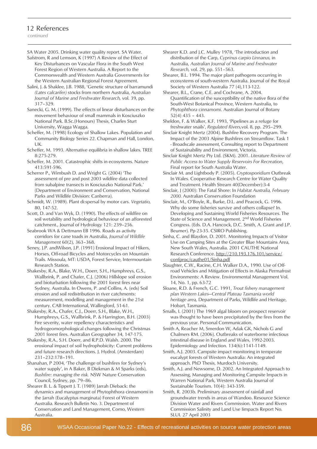*continued*

- SA Water 2005. Drinking water quality report. SA Water.
- Safstrom, R and Lemson, K (1997) A Review of the Effect of Key Disturbances on Vascular Flora in the South West Forest Region of Western Australia. A Report to the Commonwealth and Western Australia Governments for the Western Australian Regional Forest Agreement.
- Salini, J. & Shaklee, J.B. 1988, 'Genetic structure of barramundi *(Lates calcarifer)* stocks from northern Australia, *Australian Journal of Marine and Freshwater Research,* vol. 39, pp. 317–329.
- Sanecki, G. M. (1999). The effects of linear disturbances on the movement behaviour of small mammals in Kosciuszko National Park. B.Sc.(Honours) Thesis, Charles Sturt University, Wagga Wagga.
- Scheffer, M. (1998) Ecology of Shallow Lakes. Population and Community Biology Series 22. Chapman and Hall, London, UK.
- Scheffer, M. 1993. Alternative equilibria in shallow lakes. TREE 8:275-279.
- Scheffer, M. 2001. Catastrophic shifts in ecosystems. Nature 413:591-596.
- Scherrer P., Wimbush D. and Wright G. (2004) 'The assessment of pre and post 2003 wildfire data collected from subalpine transects in Kosciuszko National Park.' (Department of Environment and Conservation, National Parks and Wildlife Division: Canberra).
- Schmidt, W. (1989). Plant di:spersal by motor cars. *Vegetatio,* 80, 147-52.
- Scott, D. and Van Wyk, D. (1990). The effects of wildfire on soil wetability and hydrological behaviour of an afforested catchment., Journal of Hydrology 121: 239–256.
- Seabrook WA & Dettmann EB 1996. Roads as activity corridors for cane toads in Australia, *Journal of Wildlife Management* 60(2), 363–368.
- Seney, J.P. andWilson, J.P. (1991) Erosional Impact of Hikers, Horses, Off-road Bicycles and Motorcycles on Mountain Trails. Missoula, MT: USDA, Forest Service, Intermountain Research Station.
- Shakesby, R.A., Blake, W.H., Doerr, S.H., Humphreys, G.S., Wallbrink, P. and Chafer, C.J. (2006) Hillslope soil erosion and bioturbation following the 2001 forest fires near Sydney, Australia. In Owens, P. and Collins, A. (eds) Soil erosion and soil redistribution in river catchments: measurement, modelling and management in the 21st century. CAB International, Wallingford, 51-61.
- Shakesby, R.A., Chafer, C.J., Doerr, S.H., Blake, W.H., Humphreys, G.S., Wallbrink, P. & Harrington, B.H. (2003) Fire severity, water repellency characteristics and hydrogeomorphological changes following the Christmas 2001 forest fires. Australian Geographer 34, 147-175.
- Shakesby, R.A., S.H. Doerr, and R.P.D. Walsh. 2000. The erosional impact of soil hydrophobicity: Current problems and future research directions. J. Hydrol. (Amsterdam) 231–232:178–191.
- Shanahan, P 2004, 'The challenge of bushfires for Sydney's water supply', in A Baker, B Diekman & M Sparks (eds), *Bushfire: managing the risk.* NSW Nature Conservation Council, Sydney, pp. 79–86.
- Shearer B. L. & Tippett J. T. (1989) Jarrah Dieback: the dynamics and management of Phytophthora cinnamomi in the Jarrah (Eucalyptus marginata) Forest of Western Australia. Research Bulletin No. 3. Department of Conservation and Land Management, Como, Western Australia.
- Shearer K.D. and J.C. Mulley 1978, 'The introduction and distribution of the Carp, *Cyprinus carpio Linnaeus,* in Australia, *Australian Journal of Marine and Freshwater Research,* vol. 29, pp. 551–563.
- Shearer, B.L. 1994. The major plant pathogens occurring in ecosystems of south-western Australia. Journal of the Royal Society of Western Australia 77 (4),113-122.
- Shearer, B.L., Crane, C.E. and Cochrane, A. 2004. Quantification of the susceptibility of the native flora of the South-West Botanical Province, Western Australia, to *Phytophthora cinnamomi*. Australian Journal of Botany 52(4) 435 – 443.
- Sheldon, F. & Walker, K.F. 1993, 'Pipelines as a refuge for freshwater snails', *Regulated Rivers,*vol. 8, pp. 295–299.
- Sinclair Knight Mertz (2004). Bushfire Recovery Program. The Impact of the 2003 Alpine Bushfires on Streamflow. Task 1 - Broadscale assessment, Consulting report to Department of Sustainability and Environment, Victoria.
- Sinclair Knight Mertz Pty Ltd. (SKM). 2001. *Literature Review of Public Access to Water Supply Reservoirs For Recreation*, Final report for South Australia Water.
- Sinclair M. and Lightbody P. (2005). *Cryptosporidium* Outbreak In Wales. Cooperative Research Centre for Water Quality and Treatment. Health Stream 40(December):3-4
- Sinclair, J (2000): The Fatal Shore: In *Habitat Australia, February 2000.* Australian Conservation Foundation
- Sinclair, M., O'Boyle, R., Burke, D.L. and Peacock, G. 1996. Why do some fisheries survive and others collapse? In. Developing and Sustaining World Fisheries Resources. The State of Science and Management. 2nd World Fisheries Congress. (Eds. D.A. Hancock, D.C. Smith, A. Grant and J.P. Beumer). Pp 23-35. CSIRO Publishing.
- Sinha, C. and Blaydon, D. 2001. Monitoring Impacts of Visitor Use on Camping Sites at the Greater Blue Mountains Area, New South Wales, Australia. 2001 CAUTHE National Research Conference. http://210.193.176.101/service/ confproc/cauthe01/Sinha.pdf
- Slaughter, C.W., Racine, C.H. Walker D.A., 1990. Use of Offroad Vehicles and Mitigation of Effects in Alaska Permafrost Environments: A Review. Environmental Management Vol. 14, No. 1, pp. 63-72
- Sloane, R.D. & French, G.C. 1991, *Trout fishery management plan Western Lakes—Central Plateau Tasmania world heritage area,* Department of Parks, Wildlife and Heritage, Hobart, Tasmania.
- Smalls, I. (2001) The 1969 algal bloom on prospect reservoir was thought to have been precipitated by the fires from the previous year. Personal Communication.
- Smith A, Reacher M, Smerdon W, Adak GK, Nichols G and Chalmers RM. (2006). Outbreaks of waterborne infectious intestinal disease in England and Wales, 1992-2003. Epidemiology and Infection. 134(6):1141-1149.
- Smith, A.J. 2003. Campsite impact monitoring in temperate eucalypt forests of Western Australia: An integrated approach. PhD Thesis, Murdoch University.
- Smith, A.J. and Newsome, D. 2002. An Integrated Approach to Assessing, Managing and Monitoring Campsite Impacts in Warren National Park, Western Australia Journal of Sustainable Tourism. 10(4): 343-359.
- Smith, R. 2003b. Preliminary assessment of rainfall and groundwater trends in areas of Wandoo. Resource Science Division Water and Rivers Commission. Water and Rivers Commission Salinity and Land Use Iimpacts Report No. SLUI. 27 April 2003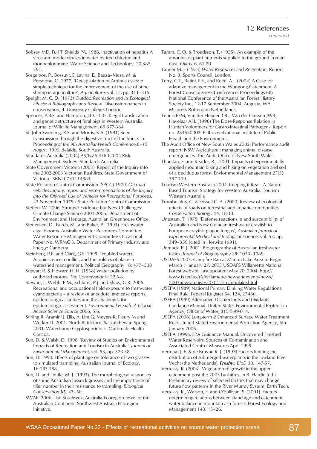Sobsey MD, Fuji T, Shields PA. 1988. Inactivation of hepatitis A virus and model viruses in water by free chlorine and monochloramine. Water Science and Technology. 20:385- 391.

Sorgeloos, P., Bossuyt, E.,Lavina, E., Baeza–Mesa, M. & Persoone, G. 1977, 'Decapsulation of Artemia cysts: A simple technique for the improvement of the use of brine shrimp in aquaculture', *Aquaculture,* vol. 12, pp. 311–315.

Speight M. C. D. (1973) *OutdoorRecreation and its Ecological Effects: A Bibliography and Review.* Discussion papers in conservation, 4. University College, London.

Spencer, P.B.S. and Hampton, J.O. 2005. Illegal translocation and genetic structure of feral pigs in Western Australia. Journal of Wildlife Management. 69:377-384.

St. John-Sweeting, R.S. and Morris, K.A. (1991) Seed transmission through the digestive tract of the horse. In Pr*oceedingsof the 9th AustralianWeeds Conference,6–10 August, 1990*. delaide, South Australia.

Standards Australia (2004) AS/NZS 4360:2004 Risk Management. Sydney: Standards Australia.

State Government Victoria (2003). Report of the Inquiry into the 2002-2003 Victorian Bushfires. State Government of Victoria. ISBN: 0731114884

State Pollution Control Commission (SPCC) 1979, *Off-road vehicles inquiry: report and recommendations of the Inquiry into the Off-road Use of Vehicles for Recreational Pu*rposes, 23 November 1979 / State Pollution Control Commission.

Steffen, W. 2006. Stronger Evidence but New Challenges: Climate Change Science 2001-2005. Department of Environment and Heritage, Australian Greenhouse Office.

Steffensen, D., Burch, M., and Baker, P. (1991). Freshwater algal blooms. Australian Water Resources Committee-Water Resource Management Committee Occasional Paper No. WRMC 3. Department of Primary Industry and Energy: Canberra.

Steinberg, P.E. and Clark, G.E. 1999. Troubled water? Acquiescence, conflict, and the politics of place in watershed management. Political Geography 18: 477–508

Stewart R. & Howard H. H. (1968) Water pollution by outboard motors. *The Conservationist* 22,6-8.

Stewart, I., Webb, P.M., Schluter, P.J. and Shaw, G.R. 2006. Recreational and occupational field exposure to freshwater cyanobacteria – a review of anecdotal and case reports, epidemiological studies and the challenges for epidemiologic assessment. *Environmental Health: A Global Access Science Source* 2006, 5:6.

Stirling R, Aramini J. Ellis, A, Lim G, Meyers R, Fleury M and Werker D. 2001. North Battleford, Saskatchewan Spring, 2001, Waterborne Cryptosporidiosis Outbreak. Health Canada.

Sun, D. & Walsh, D. 1998, 'Review of Studies on Environmental Impacts of Recreation and Tourism in Australia', *Journal of Environmental Management*, vol. 53, pp. 323-38.

Sun, D. 1990. Effects of plant age on tolerance of two grasses to simulated trampling. Australian Journal of Ecology. 16:183-188.

Sun, D. and Liddle, M. J. (1993). The morphological responses of some Australian tussock grasses and the importance of tiller number in their resistance to trampling. *Biological Conservation* **65**, 43–50.

SWAEI 2006. The Southwest Australia Ecoregion Jewel of the Australian Continent. Southwest Australia Ecoregion Initiative.

Tamm, C. O. & Troedsson, T. (1955). An example of the amounts of plant nutrients supplied to the ground in road dust. *Oikos,* 6, 61 70.

Tanner M. E (1973) *Water Resources and Recreation.* Report No. 3, Sports Council, London.

Terry, C.T., Batini, F.E., and Reed, A.J. (2004) A Case for adaptive management in the Wungong Catchment, A Forest Consciousness Conference, Proceedings 6th National Conference of the Australian Forest History Society Inc., 12-17 September 2004, Augusta, WA, Millpress Rotterdam Netherlands

Teunis PFM, Van der Heijden OG, Van der Giessen JWB, Havelaar AH. (1996) The Dose-Response Relation in Human Volunteers for Gastro-Intestinal Pathogens. Report no. 284550002. Bilthoven:National Institute of Public Health and the Environment,.

The Audit Office of New South Wales 2002. Performance audit report: NSW Agriculture : managing animal disease emergencies. The Audit Office of New South Wales.

Thurstan, E. and Reader, R.J. 2001. Impacts of experimentally applied mountain biking and hiking on vegetation and soil of a deciduous forest. Enviornmental Management 27(3): 397-409.

Tourism Western Australia 2004. Keeping it Real - A Nature Based Tourism Strategy for Western Australia. Tourism Western Australia

Trombulak S. C. & Frissell C. A. (2000) Review of ecological effects of roads on terrestrial and aquatic communities. *Conservation Biology*. **14**, 18-30.

Unestam, T. 1975, 'Defense reactions in and susceptibility of Australian and New Guinean freshwater crayfish to European-crayfish-plague fungus', *Australian Journal of Experimental Medical and Biological Science,* vol. 53, pp. 349–359 (cited in Horwitz 1991).

Unmack, P. J. 2001: Biogeography of Australian freshwater fishes. *Journal of Biogeography 28*: 1053–1089.

USDAFS 2003. Campfire Ban at Marion Lake Area to Begin March 1 January 27, 2003 USDAFS Willamette National Forest website. Last updated: May 20, 2004. http:// www.fs.fed.us/r6/willamette/newsandevents/news/ 2003newsarchives/030127marionlake.html

USEPA (1989) National Primary Dinking Water Regulations. Final Rule. Federal Register 54, 124, 27486.

USEPA (1999) Alternative Disinfectants and Oxidants Guidance Manual. United States Environmental Protection Agency, Office of Water, 815-R-99-014.

USEPA (2006) Long-term 2 Enhanced Surface Water Treatment Rule. United Stated Environmental Protection Agency, 5th January 2006.

USEPA 1999a, EPA Guidance Manual, Uncovered Finished Water Reservoirs, Sources of Contamination and Associated Control Measures April 1999.

Vermaat J. E. & de Bruyne R. J. (1993) Factors limiting the distribution of submerged waterplants in the lowland River Vecht (the Netherlands). *Freshw. BioE.* 30, 147-57.

Vertessy, R. (2003). Vegetation re-growth in the upper catchment post the 2003 bushfires. in R. Hardie (ed.), Preliminary review of selected factors that may change future flow patterns in the River Murray System, Earth Tech.

Vertessy, R., Watson, F. and O'Sullivan, S. (2001). Factors determining relations between stand age and catchment water balance in mountain ash forests, Forest Ecology and Management 143: 13–26.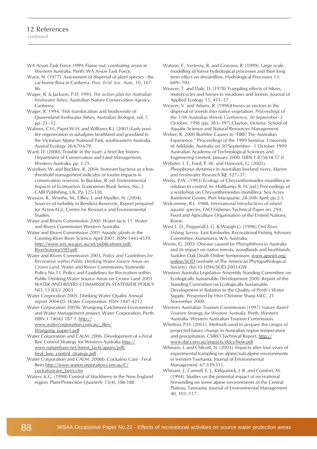*continued*

- WA Arson Task Force 1999. Flame out: combating arson in Western Australia. Perth: WA Arson Task Force.
- Wace, N. (1977). Assessment of dispersal of plant species the car-borne flora in Canberra. *Proc. Ecol. Soc. Aust.,* 10, 167- 86.
- Wager, R. & Jackson, P.D. 1993, *The action plan for Australian freshwater fishes,* Australian Nature Conservation Agency, Canberra.
- Wager, R. 1994, 'Fish translocation and biodiversity of Queensland freshwater fishes, *Australian Biologist,* vol. 7, pp. 23–32.
- Wahren, C.H., Papst W.H. and Williams R.J. (2001).Early postfire regeneration in subalpine heathland and grassland in the Victorian Alpine National Park, southeastern Australia. Austral Ecology 26:670-679.
- Ward, D. (2000). Trouble in the tuart: a brief fire history. Department of Conservation and Land Management, Western Australia, pp. 1-25.
- Warnken, W. and Buckley, R. 2004. Instream bacteria as a lowthreshold management indicator of tourist impacts in conservation reserves. In Buckley, R. ed. Environmental Impacts of Ecotourism. Ecotourism Book Series, No. 2. CABI Publishing, UK. Pp 325-338.
- Wasson, R., Worthy, M., Olley, J. and Mueller, N. (2004). Sources of turbidity in Bendora Reservoir, Report prepared for ActewAGL, Centre for Resource and Environmental Studies.
- Water and Rivers Commission 2000. Water facts 11. Water and Rivers Commission Western Australia.
- Water and Rivers Commission 2001 Aquatic plants in the Canning River River Science April 2001. ISSN 1443-4539. http://www.wrc.wa.gov.au/srt/publications/pdf/ RiverScience19D.pdf
- Water and Rivers Commission 2003, *Policy and Guidelines for Recreation within Public Drinking Water Source Areas on Crown Land,* Water and Rivers Commission, Statewide Policy No.13. Policy and Guidelines for Recreation within Public Drinking Water Source Areas on Crown Land 2003 WATER AND RIVERS COMMISSION STATEWIDE POLICY NO. 13 JULY 2003
- Water Corporation 2005. Drinking Water Quality Annual report 2004-05. Water Corporation. ISSN 1447-4212
- Water Corporation 2005b. Wungong Catchment Environment and Water Management project. Water Corporation, Perth. ISBN 1 74043 187 1. http:// www.watercorporation.com.au/\_files/ Wungong\_paper1.pdf
- Water Corporation and CALM. 2006. Development of a Feral Bee Control Strategy for Western Australia http:// www.naturebase.net/forest\_facts/apiary/pdf/ feral\_bee\_control\_strategy.pdf
- Water Corporation and CALM. 2006b. Cockatoo Care Feral Bees http://www.watercorporation.com.au/C/ cockatoocare\_bees.cfm
- Waters, K.G. (1998) Control of blackberry in the New England region. Plant Protection Quarterly 13(4), 186-188
- Watson, F., Vertessy, R. and Grayson, R. (1999). Large scale modelling of forest hydrological processes and their long term effect on streamflow, Hydrological Processes 13: 689–700.
- Weaver, T. and Dale, D. (1978) Trampling effects of hikers, motorcycles and horses in meadows and forests. Journal of Applied Ecology 15, 451–57.

Weaver, V. and Adams, R. (1996)Horses as vectors in the dispersal of weeds into native vegetation. *Proceedings of the 11th Australian Weeds Conference, 30 September–3 October, 1996* (pp. 383–397).Clayton, Victoria: School of Aquatic Science and Natural Resources Management.

Weber, R. 2000 Bushfire Causes In "FIRE! The Australian Experience." Proceedings of the 1999 Seminar. University of Adelaide, Australia on 30 September - 1 October 1999 Australian Academy of Technological Sciences and Engineering Limited. January 2000. ISBN 1 875618 57 0.

Webster, I. T., Ford, P. W. and Hancock, G. (2001). Phosphorus dynamics in Australian lowland rivers, *Marine and Freshwater Research* **52**: 127–37.

- Weiss, P.W. (1993) Ecology of Chrysanthemoides monilifera in relation to control. In: Holtkamp, R. H. (ed.) Proceedings of a workshop on Chrysanthemoides monilifera. Sea Acres Rainforest Centre, Port Macquarie, 28-30th April, pp.2-5.
- Welcomme, R.L. 1988, *International introductions of inland aquatic species,* FAO Fisheries Technical Paper no. 294, Food and Agriculture Organisation of the United Nations, Rome.
- West L. D., Pepperall J. G. & Waugh G. (1996) *Ord River Fishing Survey.* East Kimberley Recreational Fishing Advisory Committee, Kununurra, WA, Australia.
- Weste, G. 2003. Disease caused by *Phytophthora* in Australia and its impact on native forests, woodlands and heathlands. Sudden Oak Death Online Symposium. www.apsnet.org/ online/SOD (website of The American Phytopathological Society). doi:10.1094/SOD-2003-GW
- Western Australia Legislative Assembly Standing Committee on Ecologically Sustainable Development 2000. Report of the Standing Committee on Ecologically Sustainable Development in Relation to the Quality of Perth's Water Supply. Presented by Hon Christine Sharp MLC. 21 November 2000.
- Western Australian Tourism Commission (1997) *Nature Based Tourism Strategy for Western Australia*. Perth, Western Australia: Western Australian Tourism Commission.
- Whetton, P.H. (2001). Methods used to prepare the ranges of projected future change in Australian region temperature and precipitation. CSIRO Technical Report. http:// www.dar.csiro.au/impacts/docs/how.pdf

Whinam, J. and Chilcott, N. (2003). Impacts after four years of experimental trampling on alpine/sub-alpine environments in western Tasmania. Journal of Environmental Management. 67:339-351.

Whinam, J., Cannell, E. J., Kirkpatrick, J. B. and Comfort, M. (1994). Studies on the potential impact of recreational horseriding on some alpine environments of the Central Plateau, Tasmania. Journal of Environmental Management 40, 103–117.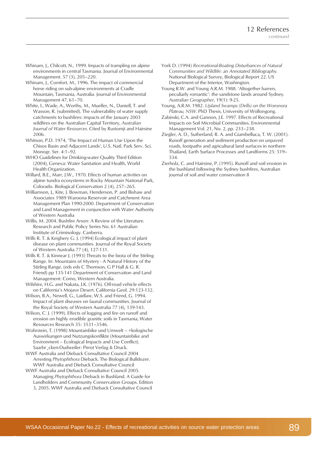- Whinam, J., Chilcott, N., 1999. Impacts of trampling on alpine environments in central Tasmania. Journal of Environmental Management. 57 (3), 205–220.
- Whinam, J., Comfort, M., 1996. The impact of commercial horse riding on sub-alpine environments at Cradle Mountain, Tasmania, Australia. Journal of Environmental Management 47, 61–70.
- White, I., Wade, A., Worthy, M., Mueller, N., Daniell, T. and Wasson, R. (submitted). The vulnerability of water supply catchments to bushfires: impacts of the January 2003 wildfires on the Australian Capital Territory, *Australian Journal of Water Resources.* Cited by Rustomji and Hairsine 2006.
- Whitson, P.D. 1974, 'The Impact of Human Use Upon the Chisos Basin and Adjacent Lands', U.S. Natl. Park Serv. Sci. Monogr. Ser. 4:1–92.
- WHO Guidelines for Drinking-water Quality Third Edition (2004), Geneva: Water Sanitation and Health, World Health Organization.
- Willard, B.E., Marr, J.W., 1970. Effects of human activities on alpine tundra ecosystems in Rocky Mountain National Park, Colorado. Biological Conservation 2 (4), 257–265.
- Williamson, J., Kite, J. Bowman, Henderson, P. and Bishaw and Associates 1989 Waroona Reservoir and Catchment Area Management Plan 1990-2000. Department of Conservation and Land Management in conjunction with Water Authority of Western Australia
- Willis, M. 2004. Bushfire Arson: A Review of the Literature. Research and Public Policy Series No. 61 Australian Institute of Criminology. Canberra.
- Wills R. T. & Keighery G. J. (1994) Ecological impact of plant disease on plant communities. Journal of the Royal Society of Western Australia 77 (4), 127-131.
- Wills R. T. & Kinnear J. (1993) Threats to the biota of the Stirling Range. In: Mountains of Mystery - A Natural History of the Stirling Range. (eds eds C Thomson, G P Hall & G. R. Friend) pp 135-141 Department of Conservation and Land Management: Como, Western Australia.
- Wilshire, H.G. and Nakata, J.K. (1976). Off-road vehicle effects on California's Mojave Desert. California Geol. 29:123-132.
- Wilson, B.A., Newell, G., Laidlaw, W.S. and Friend, G. 1994. Impact of plant diseases on faunal communities. Journal of the Royal Society of Western Australia 77 (4), 139-143.
- Wilson, C. J. (1999). Effects of logging and fire on runoff and erosion on highly erodible granitic soils in Tasmania, Water Resources Research 35: 3531–3546.
- Wohrstein, T. (1998) Mountainbike und Umwelt ÷kologische Auswirkungen und Nutzungskonflikte (Mountainbike and Environment – Ecological Impacts and Use Conflict). Saarbr¸cken-Dudweiler: Pirrot Verlag & Druck.
- WWF Australia and Dieback Consultative Council 2004 Arresting *Phytophthora* Dieback. The Biological Bulldozer. WWF Australia and Dieback Consultative Council
- WWF Australia and Dieback Consultative Council 2005. Managing *Phytophthora* Dieback in Bushland. A Guide for Landholders and Community Conservation Groups. Edition 3, 2005. WWF Australia and Dieback Consultative Council
- York D. (1994) *Recreational-Boating Disturbances of Natural Communities and Wildlife: an Annotated Bibliography.* National Biological Survey, Biological Report 22. US Department of the Interior, Washington.
- Young R.W. and Young A.R.M. 1988. 'Altogether barren, peculiarly romantic': the sandstone lands around Sydney. *Australian Geographer*, 19(1): 9-25.
- Young, A.R.M. 1982. *Upland Swamps (Dells) on the Woronora Plateau, NSW.* PhD Thesis, University of Wollongong.
- Zabinski, C.A. and Gannon, J.E. 1997. Effects of Recreational Impacts on Soil Microbial Communities. Environmental Management Vol. 21, No. 2, pp. 233–238.
- Ziegler, A. D., Sutherland, R. A. and Giambelluca, T. W. (2001). Runoff generation and sediment production on unpaved roads, footpaths and agricultural land surfaces in northern Thailand, Earth Surface Processes and Landforms 25: 519– 534.
- Zierholz, C. and Hairsine, P. (1995). Runoff and soil erosion in the bushland following the Sydney bushfires, Australian journal of soil and water conservation 8